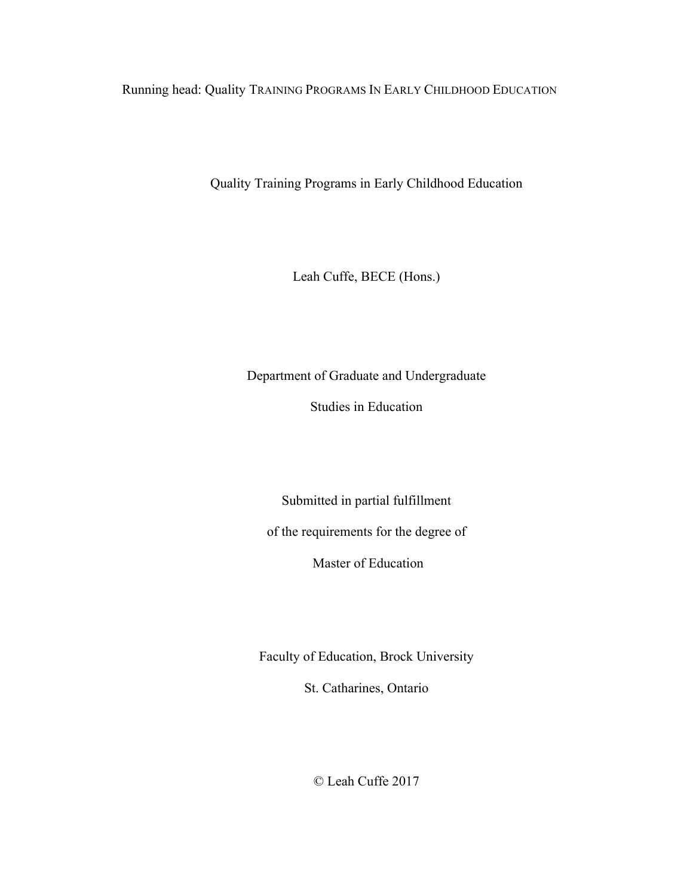Running head: Quality TRAINING PROGRAMS IN EARLY CHILDHOOD EDUCATION

Quality Training Programs in Early Childhood Education

Leah Cuffe, BECE (Hons.)

Department of Graduate and Undergraduate

Studies in Education

Submitted in partial fulfillment of the requirements for the degree of

Master of Education

Faculty of Education, Brock University

St. Catharines, Ontario

© Leah Cuffe 2017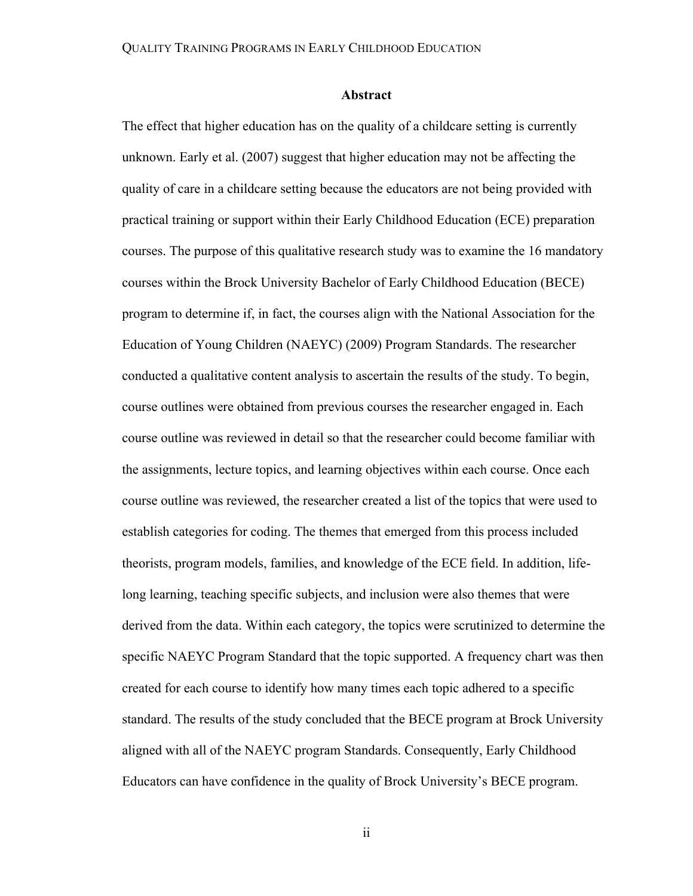#### **Abstract**

The effect that higher education has on the quality of a childcare setting is currently unknown. Early et al. (2007) suggest that higher education may not be affecting the quality of care in a childcare setting because the educators are not being provided with practical training or support within their Early Childhood Education (ECE) preparation courses. The purpose of this qualitative research study was to examine the 16 mandatory courses within the Brock University Bachelor of Early Childhood Education (BECE) program to determine if, in fact, the courses align with the National Association for the Education of Young Children (NAEYC) (2009) Program Standards. The researcher conducted a qualitative content analysis to ascertain the results of the study. To begin, course outlines were obtained from previous courses the researcher engaged in. Each course outline was reviewed in detail so that the researcher could become familiar with the assignments, lecture topics, and learning objectives within each course. Once each course outline was reviewed, the researcher created a list of the topics that were used to establish categories for coding. The themes that emerged from this process included theorists, program models, families, and knowledge of the ECE field. In addition, lifelong learning, teaching specific subjects, and inclusion were also themes that were derived from the data. Within each category, the topics were scrutinized to determine the specific NAEYC Program Standard that the topic supported. A frequency chart was then created for each course to identify how many times each topic adhered to a specific standard. The results of the study concluded that the BECE program at Brock University aligned with all of the NAEYC program Standards. Consequently, Early Childhood Educators can have confidence in the quality of Brock University's BECE program.

ii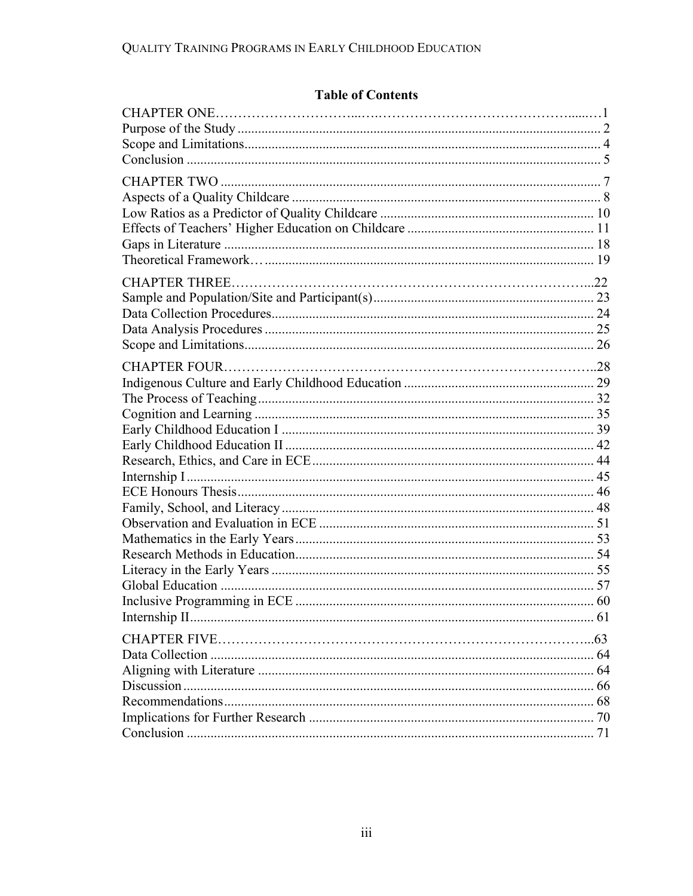# **Table of Contents**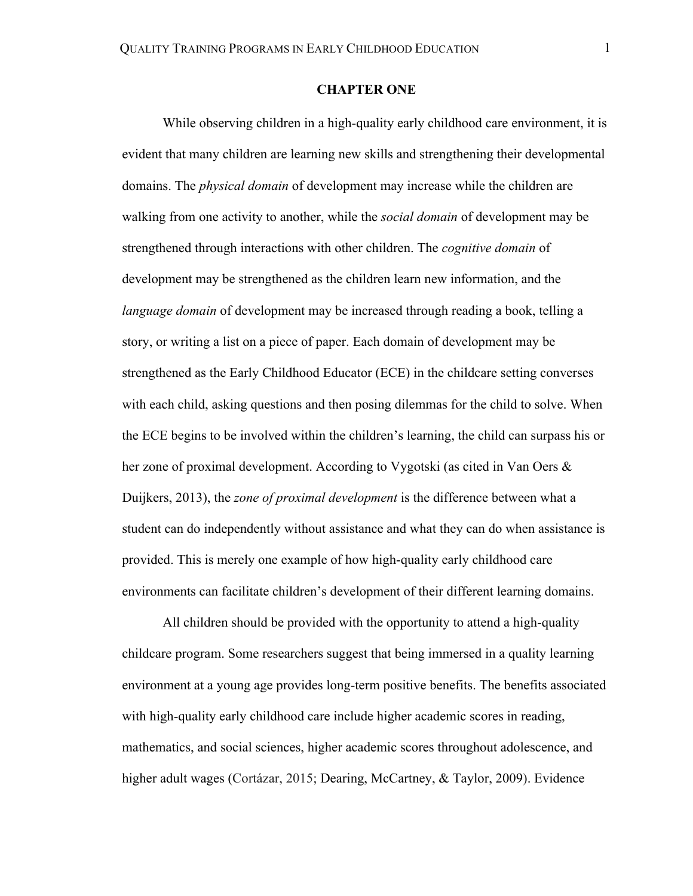# **CHAPTER ONE**

While observing children in a high-quality early childhood care environment, it is evident that many children are learning new skills and strengthening their developmental domains. The *physical domain* of development may increase while the children are walking from one activity to another, while the *social domain* of development may be strengthened through interactions with other children. The *cognitive domain* of development may be strengthened as the children learn new information, and the *language domain* of development may be increased through reading a book, telling a story, or writing a list on a piece of paper. Each domain of development may be strengthened as the Early Childhood Educator (ECE) in the childcare setting converses with each child, asking questions and then posing dilemmas for the child to solve. When the ECE begins to be involved within the children's learning, the child can surpass his or her zone of proximal development. According to Vygotski (as cited in Van Oers & Duijkers, 2013), the *zone of proximal development* is the difference between what a student can do independently without assistance and what they can do when assistance is provided. This is merely one example of how high-quality early childhood care environments can facilitate children's development of their different learning domains.

All children should be provided with the opportunity to attend a high-quality childcare program. Some researchers suggest that being immersed in a quality learning environment at a young age provides long-term positive benefits. The benefits associated with high-quality early childhood care include higher academic scores in reading, mathematics, and social sciences, higher academic scores throughout adolescence, and higher adult wages (Cortázar, 2015; Dearing, McCartney, & Taylor, 2009). Evidence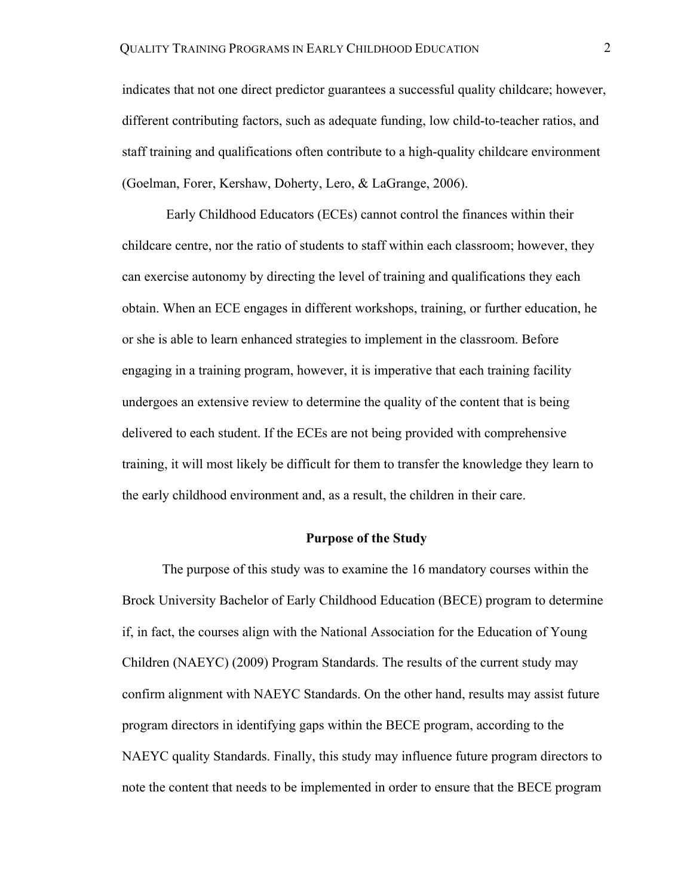indicates that not one direct predictor guarantees a successful quality childcare; however, different contributing factors, such as adequate funding, low child-to-teacher ratios, and staff training and qualifications often contribute to a high-quality childcare environment (Goelman, Forer, Kershaw, Doherty, Lero, & LaGrange, 2006).

Early Childhood Educators (ECEs) cannot control the finances within their childcare centre, nor the ratio of students to staff within each classroom; however, they can exercise autonomy by directing the level of training and qualifications they each obtain. When an ECE engages in different workshops, training, or further education, he or she is able to learn enhanced strategies to implement in the classroom. Before engaging in a training program, however, it is imperative that each training facility undergoes an extensive review to determine the quality of the content that is being delivered to each student. If the ECEs are not being provided with comprehensive training, it will most likely be difficult for them to transfer the knowledge they learn to the early childhood environment and, as a result, the children in their care.

# **Purpose of the Study**

The purpose of this study was to examine the 16 mandatory courses within the Brock University Bachelor of Early Childhood Education (BECE) program to determine if, in fact, the courses align with the National Association for the Education of Young Children (NAEYC) (2009) Program Standards. The results of the current study may confirm alignment with NAEYC Standards. On the other hand, results may assist future program directors in identifying gaps within the BECE program, according to the NAEYC quality Standards. Finally, this study may influence future program directors to note the content that needs to be implemented in order to ensure that the BECE program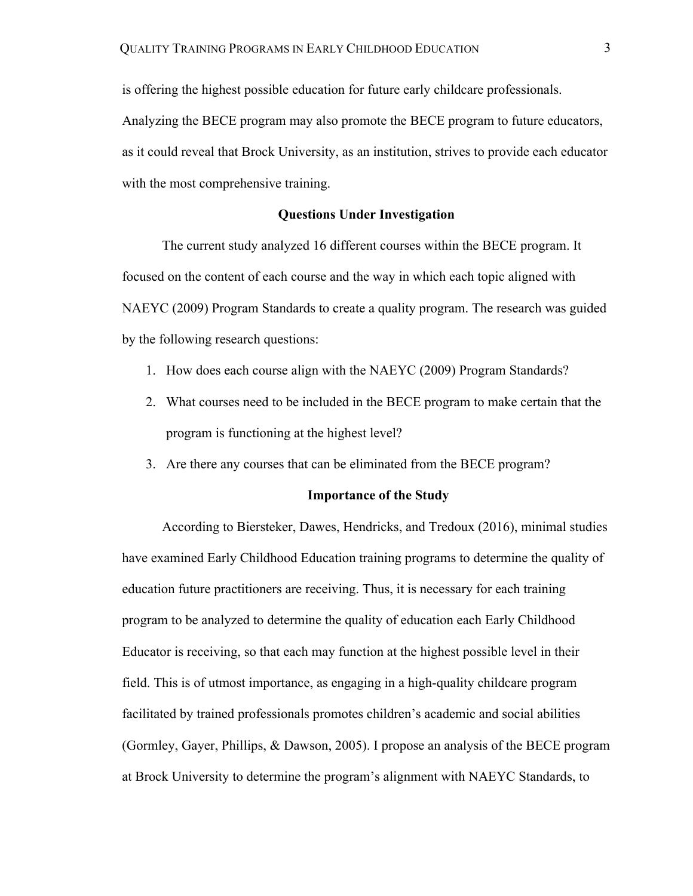is offering the highest possible education for future early childcare professionals. Analyzing the BECE program may also promote the BECE program to future educators, as it could reveal that Brock University, as an institution, strives to provide each educator with the most comprehensive training.

# **Questions Under Investigation**

The current study analyzed 16 different courses within the BECE program. It focused on the content of each course and the way in which each topic aligned with NAEYC (2009) Program Standards to create a quality program. The research was guided by the following research questions:

- 1. How does each course align with the NAEYC (2009) Program Standards?
- 2. What courses need to be included in the BECE program to make certain that the program is functioning at the highest level?
- 3. Are there any courses that can be eliminated from the BECE program?

#### **Importance of the Study**

According to Biersteker, Dawes, Hendricks, and Tredoux (2016), minimal studies have examined Early Childhood Education training programs to determine the quality of education future practitioners are receiving. Thus, it is necessary for each training program to be analyzed to determine the quality of education each Early Childhood Educator is receiving, so that each may function at the highest possible level in their field. This is of utmost importance, as engaging in a high-quality childcare program facilitated by trained professionals promotes children's academic and social abilities (Gormley, Gayer, Phillips, & Dawson, 2005). I propose an analysis of the BECE program at Brock University to determine the program's alignment with NAEYC Standards, to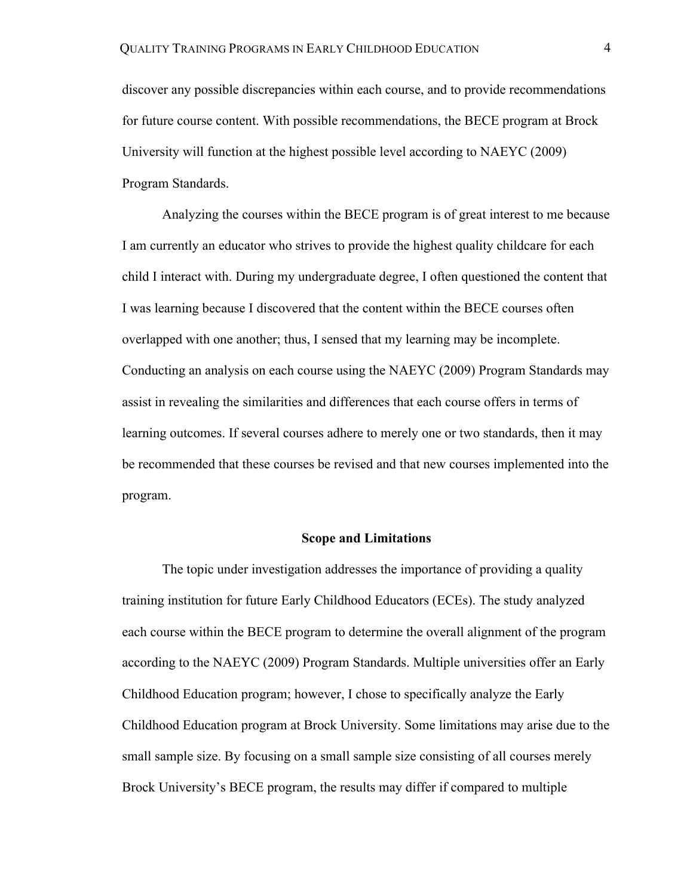discover any possible discrepancies within each course, and to provide recommendations for future course content. With possible recommendations, the BECE program at Brock University will function at the highest possible level according to NAEYC (2009) Program Standards.

Analyzing the courses within the BECE program is of great interest to me because I am currently an educator who strives to provide the highest quality childcare for each child I interact with. During my undergraduate degree, I often questioned the content that I was learning because I discovered that the content within the BECE courses often overlapped with one another; thus, I sensed that my learning may be incomplete. Conducting an analysis on each course using the NAEYC (2009) Program Standards may assist in revealing the similarities and differences that each course offers in terms of learning outcomes. If several courses adhere to merely one or two standards, then it may be recommended that these courses be revised and that new courses implemented into the program.

# **Scope and Limitations**

The topic under investigation addresses the importance of providing a quality training institution for future Early Childhood Educators (ECEs). The study analyzed each course within the BECE program to determine the overall alignment of the program according to the NAEYC (2009) Program Standards. Multiple universities offer an Early Childhood Education program; however, I chose to specifically analyze the Early Childhood Education program at Brock University. Some limitations may arise due to the small sample size. By focusing on a small sample size consisting of all courses merely Brock University's BECE program, the results may differ if compared to multiple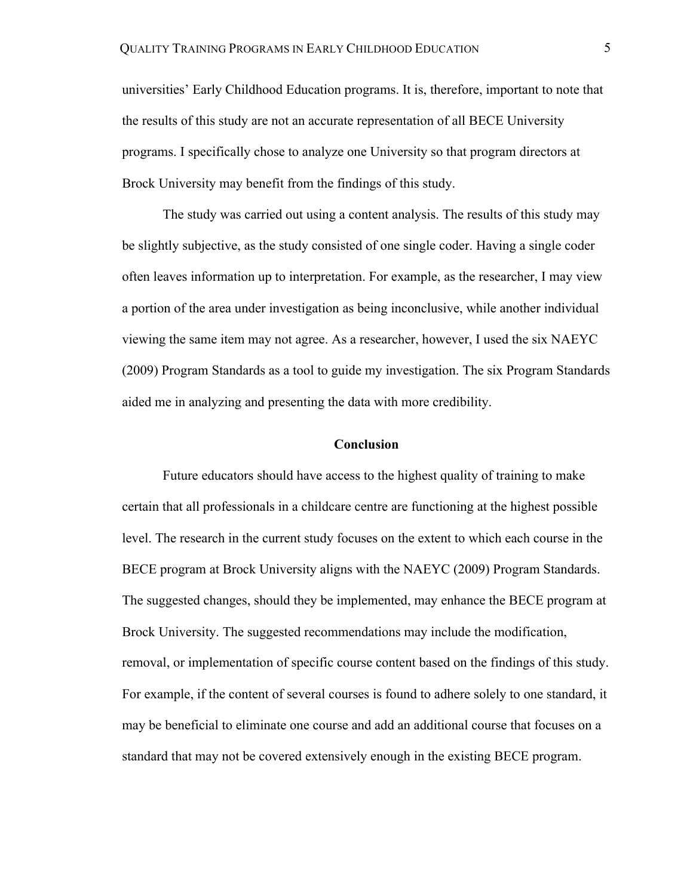universities' Early Childhood Education programs. It is, therefore, important to note that the results of this study are not an accurate representation of all BECE University programs. I specifically chose to analyze one University so that program directors at Brock University may benefit from the findings of this study.

The study was carried out using a content analysis. The results of this study may be slightly subjective, as the study consisted of one single coder. Having a single coder often leaves information up to interpretation. For example, as the researcher, I may view a portion of the area under investigation as being inconclusive, while another individual viewing the same item may not agree. As a researcher, however, I used the six NAEYC (2009) Program Standards as a tool to guide my investigation. The six Program Standards aided me in analyzing and presenting the data with more credibility.

# **Conclusion**

Future educators should have access to the highest quality of training to make certain that all professionals in a childcare centre are functioning at the highest possible level. The research in the current study focuses on the extent to which each course in the BECE program at Brock University aligns with the NAEYC (2009) Program Standards. The suggested changes, should they be implemented, may enhance the BECE program at Brock University. The suggested recommendations may include the modification, removal, or implementation of specific course content based on the findings of this study. For example, if the content of several courses is found to adhere solely to one standard, it may be beneficial to eliminate one course and add an additional course that focuses on a standard that may not be covered extensively enough in the existing BECE program.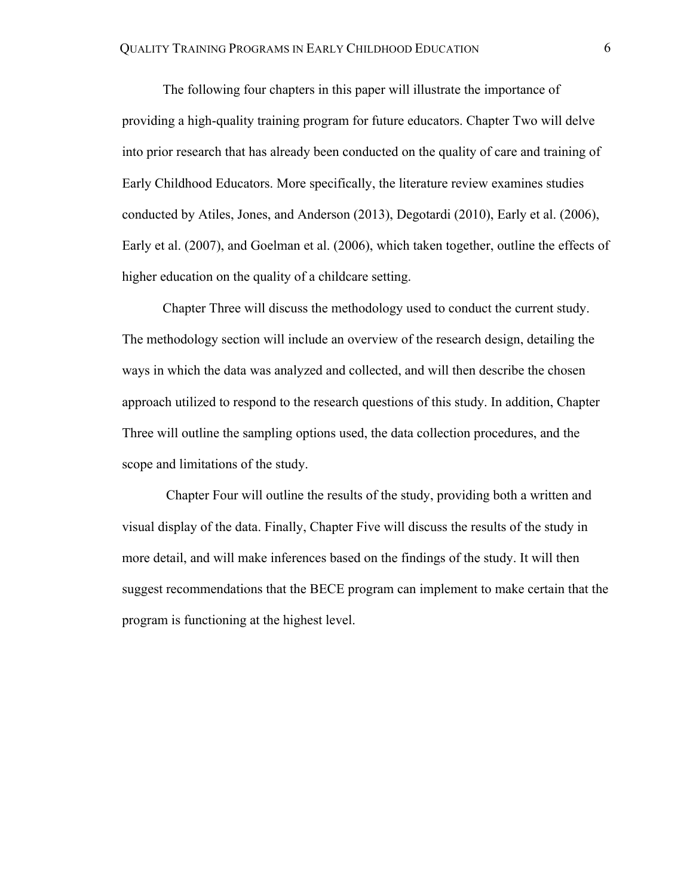The following four chapters in this paper will illustrate the importance of providing a high-quality training program for future educators. Chapter Two will delve into prior research that has already been conducted on the quality of care and training of Early Childhood Educators. More specifically, the literature review examines studies conducted by Atiles, Jones, and Anderson (2013), Degotardi (2010), Early et al. (2006), Early et al. (2007), and Goelman et al. (2006), which taken together, outline the effects of higher education on the quality of a childcare setting.

Chapter Three will discuss the methodology used to conduct the current study. The methodology section will include an overview of the research design, detailing the ways in which the data was analyzed and collected, and will then describe the chosen approach utilized to respond to the research questions of this study. In addition, Chapter Three will outline the sampling options used, the data collection procedures, and the scope and limitations of the study.

Chapter Four will outline the results of the study, providing both a written and visual display of the data. Finally, Chapter Five will discuss the results of the study in more detail, and will make inferences based on the findings of the study. It will then suggest recommendations that the BECE program can implement to make certain that the program is functioning at the highest level.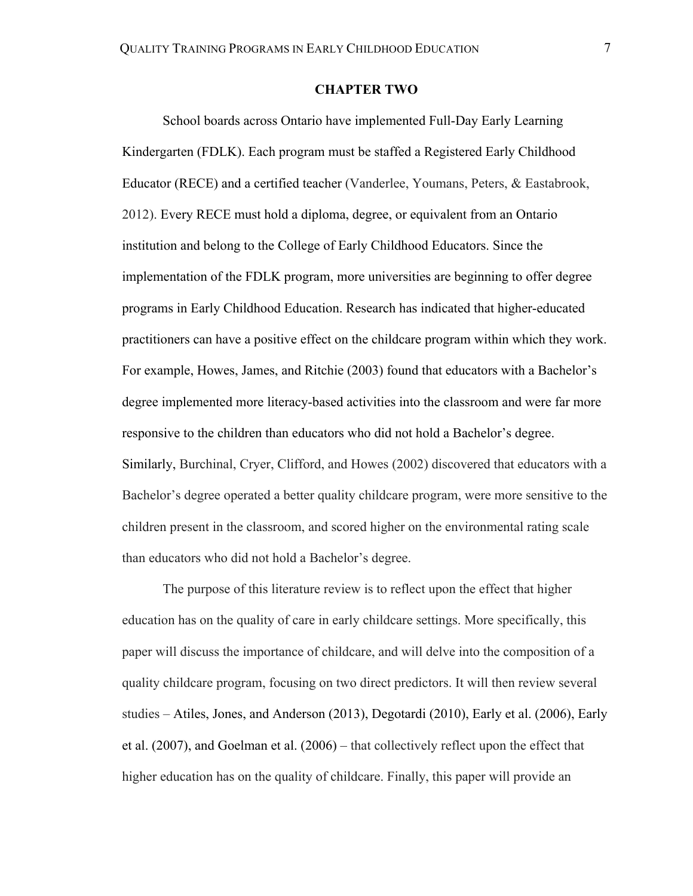# **CHAPTER TWO**

School boards across Ontario have implemented Full-Day Early Learning Kindergarten (FDLK). Each program must be staffed a Registered Early Childhood Educator (RECE) and a certified teacher (Vanderlee, Youmans, Peters, & Eastabrook, 2012). Every RECE must hold a diploma, degree, or equivalent from an Ontario institution and belong to the College of Early Childhood Educators. Since the implementation of the FDLK program, more universities are beginning to offer degree programs in Early Childhood Education. Research has indicated that higher-educated practitioners can have a positive effect on the childcare program within which they work. For example, Howes, James, and Ritchie (2003) found that educators with a Bachelor's degree implemented more literacy-based activities into the classroom and were far more responsive to the children than educators who did not hold a Bachelor's degree. Similarly, Burchinal, Cryer, Clifford, and Howes (2002) discovered that educators with a Bachelor's degree operated a better quality childcare program, were more sensitive to the children present in the classroom, and scored higher on the environmental rating scale than educators who did not hold a Bachelor's degree.

The purpose of this literature review is to reflect upon the effect that higher education has on the quality of care in early childcare settings. More specifically, this paper will discuss the importance of childcare, and will delve into the composition of a quality childcare program, focusing on two direct predictors. It will then review several studies – Atiles, Jones, and Anderson (2013), Degotardi (2010), Early et al. (2006), Early et al. (2007), and Goelman et al. (2006) – that collectively reflect upon the effect that higher education has on the quality of childcare. Finally, this paper will provide an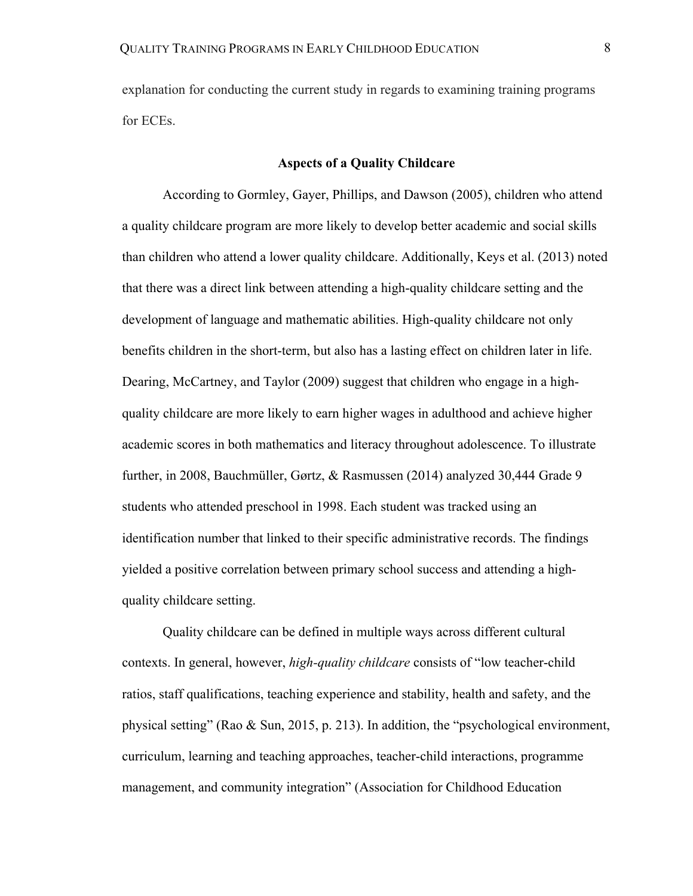explanation for conducting the current study in regards to examining training programs for ECEs.

# **Aspects of a Quality Childcare**

According to Gormley, Gayer, Phillips, and Dawson (2005), children who attend a quality childcare program are more likely to develop better academic and social skills than children who attend a lower quality childcare. Additionally, Keys et al. (2013) noted that there was a direct link between attending a high-quality childcare setting and the development of language and mathematic abilities. High-quality childcare not only benefits children in the short-term, but also has a lasting effect on children later in life. Dearing, McCartney, and Taylor (2009) suggest that children who engage in a highquality childcare are more likely to earn higher wages in adulthood and achieve higher academic scores in both mathematics and literacy throughout adolescence. To illustrate further, in 2008, Bauchmüller, Gørtz, & Rasmussen (2014) analyzed 30,444 Grade 9 students who attended preschool in 1998. Each student was tracked using an identification number that linked to their specific administrative records. The findings yielded a positive correlation between primary school success and attending a highquality childcare setting.

Quality childcare can be defined in multiple ways across different cultural contexts. In general, however, *high-quality childcare* consists of "low teacher-child ratios, staff qualifications, teaching experience and stability, health and safety, and the physical setting" (Rao & Sun, 2015, p. 213). In addition, the "psychological environment, curriculum, learning and teaching approaches, teacher-child interactions, programme management, and community integration" (Association for Childhood Education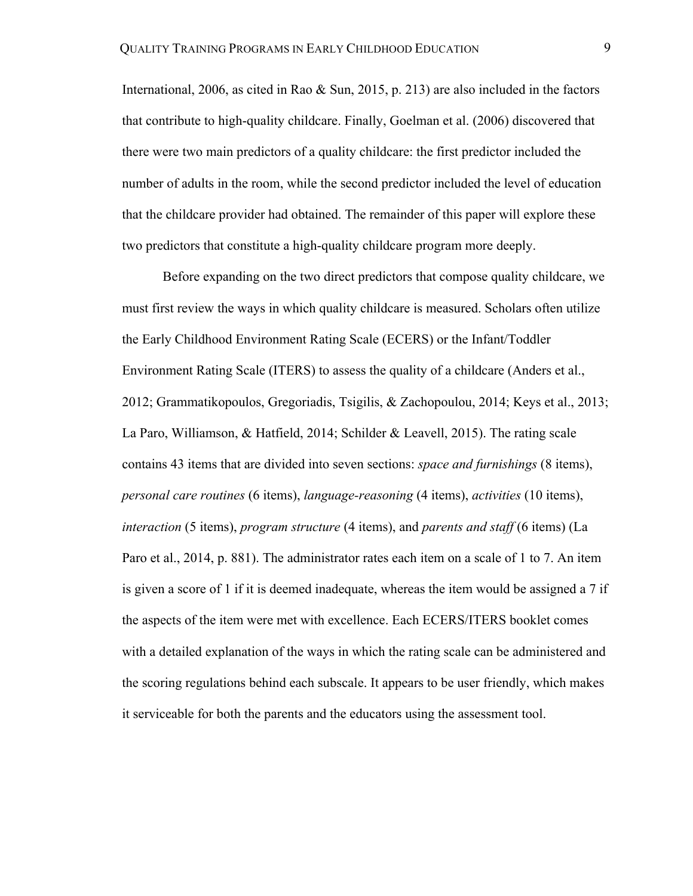International, 2006, as cited in Rao & Sun, 2015, p. 213) are also included in the factors that contribute to high-quality childcare. Finally, Goelman et al. (2006) discovered that there were two main predictors of a quality childcare: the first predictor included the number of adults in the room, while the second predictor included the level of education that the childcare provider had obtained. The remainder of this paper will explore these two predictors that constitute a high-quality childcare program more deeply.

Before expanding on the two direct predictors that compose quality childcare, we must first review the ways in which quality childcare is measured. Scholars often utilize the Early Childhood Environment Rating Scale (ECERS) or the Infant/Toddler Environment Rating Scale (ITERS) to assess the quality of a childcare (Anders et al., 2012; Grammatikopoulos, Gregoriadis, Tsigilis, & Zachopoulou, 2014; Keys et al., 2013; La Paro, Williamson, & Hatfield, 2014; Schilder & Leavell, 2015). The rating scale contains 43 items that are divided into seven sections: *space and furnishings* (8 items), *personal care routines* (6 items), *language-reasoning* (4 items), *activities* (10 items), *interaction* (5 items), *program structure* (4 items), and *parents and staff* (6 items) (La Paro et al., 2014, p. 881). The administrator rates each item on a scale of 1 to 7. An item is given a score of 1 if it is deemed inadequate, whereas the item would be assigned a 7 if the aspects of the item were met with excellence. Each ECERS/ITERS booklet comes with a detailed explanation of the ways in which the rating scale can be administered and the scoring regulations behind each subscale. It appears to be user friendly, which makes it serviceable for both the parents and the educators using the assessment tool.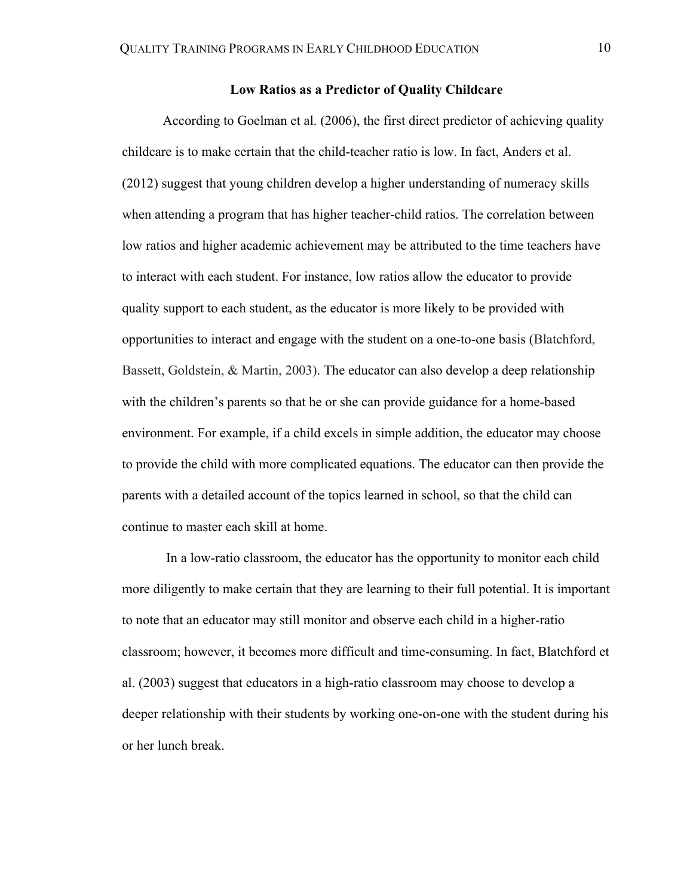# **Low Ratios as a Predictor of Quality Childcare**

According to Goelman et al. (2006), the first direct predictor of achieving quality childcare is to make certain that the child-teacher ratio is low. In fact, Anders et al. (2012) suggest that young children develop a higher understanding of numeracy skills when attending a program that has higher teacher-child ratios. The correlation between low ratios and higher academic achievement may be attributed to the time teachers have to interact with each student. For instance, low ratios allow the educator to provide quality support to each student, as the educator is more likely to be provided with opportunities to interact and engage with the student on a one-to-one basis (Blatchford, Bassett, Goldstein, & Martin, 2003). The educator can also develop a deep relationship with the children's parents so that he or she can provide guidance for a home-based environment. For example, if a child excels in simple addition, the educator may choose to provide the child with more complicated equations. The educator can then provide the parents with a detailed account of the topics learned in school, so that the child can continue to master each skill at home.

In a low-ratio classroom, the educator has the opportunity to monitor each child more diligently to make certain that they are learning to their full potential. It is important to note that an educator may still monitor and observe each child in a higher-ratio classroom; however, it becomes more difficult and time-consuming. In fact, Blatchford et al. (2003) suggest that educators in a high-ratio classroom may choose to develop a deeper relationship with their students by working one-on-one with the student during his or her lunch break.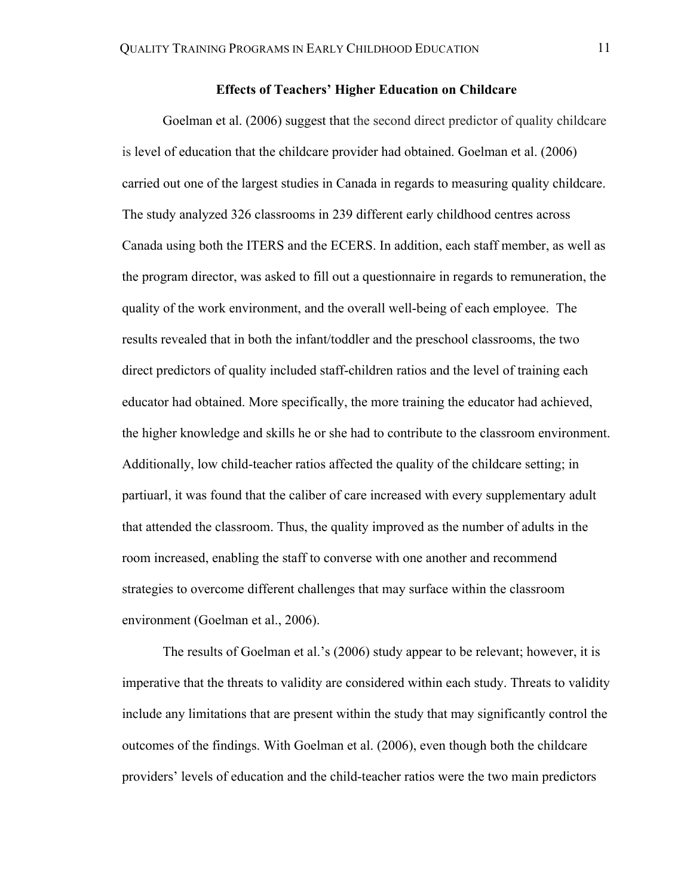# **Effects of Teachers' Higher Education on Childcare**

Goelman et al. (2006) suggest that the second direct predictor of quality childcare is level of education that the childcare provider had obtained. Goelman et al. (2006) carried out one of the largest studies in Canada in regards to measuring quality childcare. The study analyzed 326 classrooms in 239 different early childhood centres across Canada using both the ITERS and the ECERS. In addition, each staff member, as well as the program director, was asked to fill out a questionnaire in regards to remuneration, the quality of the work environment, and the overall well-being of each employee. The results revealed that in both the infant/toddler and the preschool classrooms, the two direct predictors of quality included staff-children ratios and the level of training each educator had obtained. More specifically, the more training the educator had achieved, the higher knowledge and skills he or she had to contribute to the classroom environment. Additionally, low child-teacher ratios affected the quality of the childcare setting; in partiuarl, it was found that the caliber of care increased with every supplementary adult that attended the classroom. Thus, the quality improved as the number of adults in the room increased, enabling the staff to converse with one another and recommend strategies to overcome different challenges that may surface within the classroom environment (Goelman et al., 2006).

The results of Goelman et al.'s (2006) study appear to be relevant; however, it is imperative that the threats to validity are considered within each study. Threats to validity include any limitations that are present within the study that may significantly control the outcomes of the findings. With Goelman et al. (2006), even though both the childcare providers' levels of education and the child-teacher ratios were the two main predictors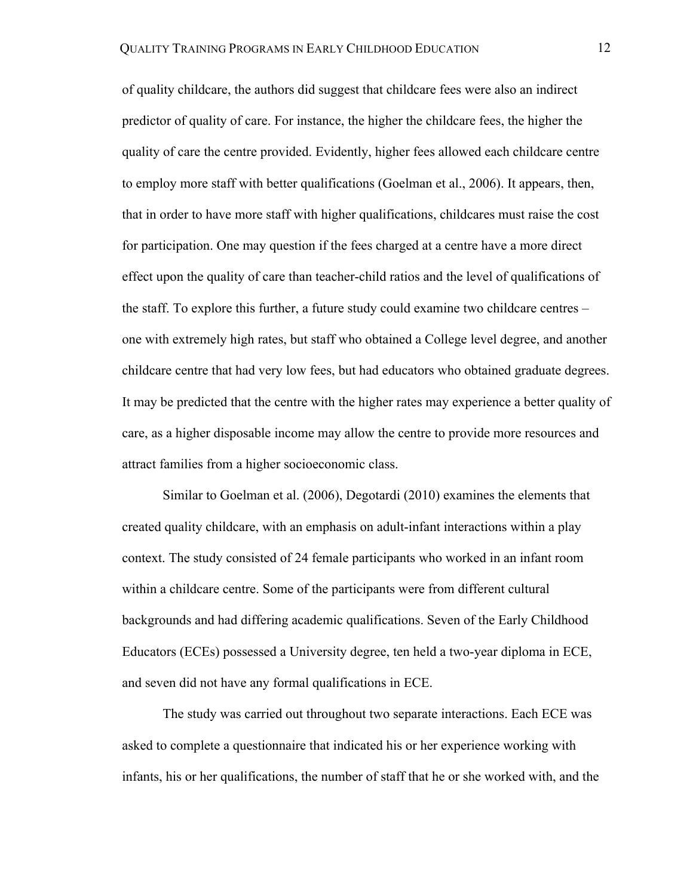of quality childcare, the authors did suggest that childcare fees were also an indirect predictor of quality of care. For instance, the higher the childcare fees, the higher the quality of care the centre provided. Evidently, higher fees allowed each childcare centre to employ more staff with better qualifications (Goelman et al., 2006). It appears, then, that in order to have more staff with higher qualifications, childcares must raise the cost for participation. One may question if the fees charged at a centre have a more direct effect upon the quality of care than teacher-child ratios and the level of qualifications of the staff. To explore this further, a future study could examine two childcare centres – one with extremely high rates, but staff who obtained a College level degree, and another childcare centre that had very low fees, but had educators who obtained graduate degrees. It may be predicted that the centre with the higher rates may experience a better quality of care, as a higher disposable income may allow the centre to provide more resources and attract families from a higher socioeconomic class.

Similar to Goelman et al. (2006), Degotardi (2010) examines the elements that created quality childcare, with an emphasis on adult-infant interactions within a play context. The study consisted of 24 female participants who worked in an infant room within a childcare centre. Some of the participants were from different cultural backgrounds and had differing academic qualifications. Seven of the Early Childhood Educators (ECEs) possessed a University degree, ten held a two-year diploma in ECE, and seven did not have any formal qualifications in ECE.

The study was carried out throughout two separate interactions. Each ECE was asked to complete a questionnaire that indicated his or her experience working with infants, his or her qualifications, the number of staff that he or she worked with, and the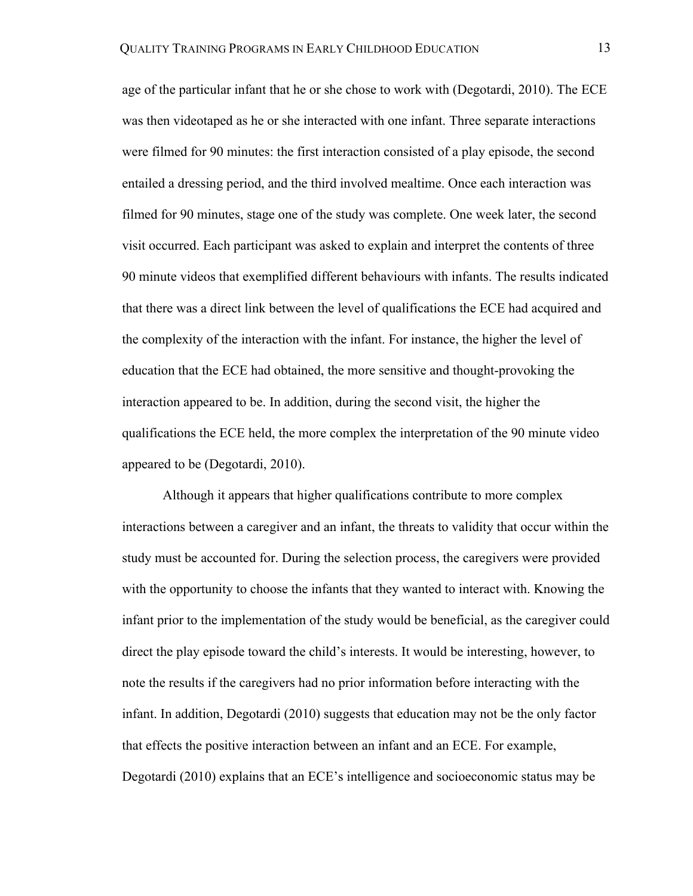age of the particular infant that he or she chose to work with (Degotardi, 2010). The ECE was then videotaped as he or she interacted with one infant. Three separate interactions were filmed for 90 minutes: the first interaction consisted of a play episode, the second entailed a dressing period, and the third involved mealtime. Once each interaction was filmed for 90 minutes, stage one of the study was complete. One week later, the second visit occurred. Each participant was asked to explain and interpret the contents of three 90 minute videos that exemplified different behaviours with infants. The results indicated that there was a direct link between the level of qualifications the ECE had acquired and the complexity of the interaction with the infant. For instance, the higher the level of education that the ECE had obtained, the more sensitive and thought-provoking the interaction appeared to be. In addition, during the second visit, the higher the qualifications the ECE held, the more complex the interpretation of the 90 minute video appeared to be (Degotardi, 2010).

Although it appears that higher qualifications contribute to more complex interactions between a caregiver and an infant, the threats to validity that occur within the study must be accounted for. During the selection process, the caregivers were provided with the opportunity to choose the infants that they wanted to interact with. Knowing the infant prior to the implementation of the study would be beneficial, as the caregiver could direct the play episode toward the child's interests. It would be interesting, however, to note the results if the caregivers had no prior information before interacting with the infant. In addition, Degotardi (2010) suggests that education may not be the only factor that effects the positive interaction between an infant and an ECE. For example, Degotardi (2010) explains that an ECE's intelligence and socioeconomic status may be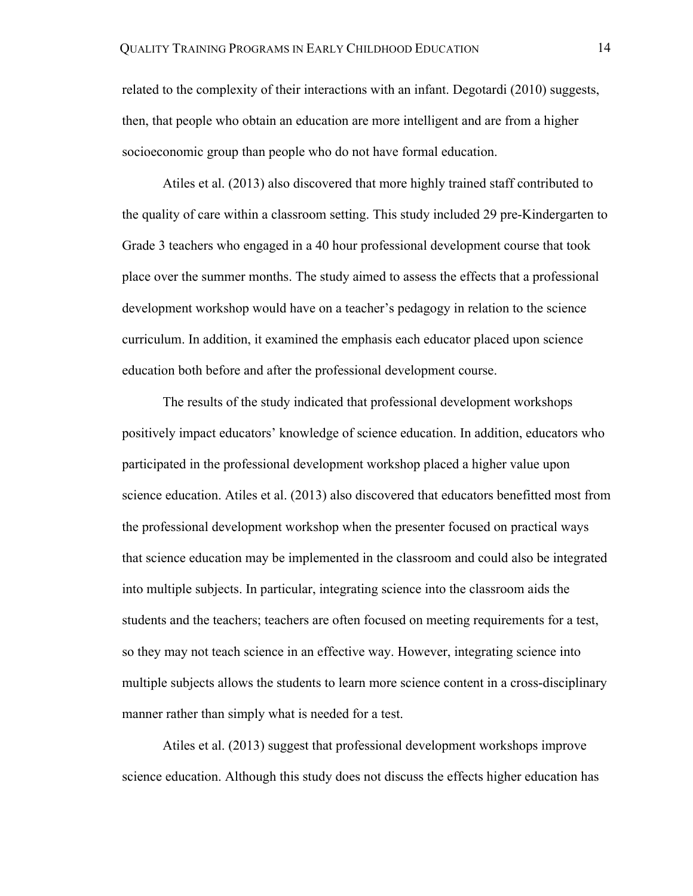related to the complexity of their interactions with an infant. Degotardi (2010) suggests, then, that people who obtain an education are more intelligent and are from a higher socioeconomic group than people who do not have formal education.

Atiles et al. (2013) also discovered that more highly trained staff contributed to the quality of care within a classroom setting. This study included 29 pre-Kindergarten to Grade 3 teachers who engaged in a 40 hour professional development course that took place over the summer months. The study aimed to assess the effects that a professional development workshop would have on a teacher's pedagogy in relation to the science curriculum. In addition, it examined the emphasis each educator placed upon science education both before and after the professional development course.

The results of the study indicated that professional development workshops positively impact educators' knowledge of science education. In addition, educators who participated in the professional development workshop placed a higher value upon science education. Atiles et al. (2013) also discovered that educators benefitted most from the professional development workshop when the presenter focused on practical ways that science education may be implemented in the classroom and could also be integrated into multiple subjects. In particular, integrating science into the classroom aids the students and the teachers; teachers are often focused on meeting requirements for a test, so they may not teach science in an effective way. However, integrating science into multiple subjects allows the students to learn more science content in a cross-disciplinary manner rather than simply what is needed for a test.

Atiles et al. (2013) suggest that professional development workshops improve science education. Although this study does not discuss the effects higher education has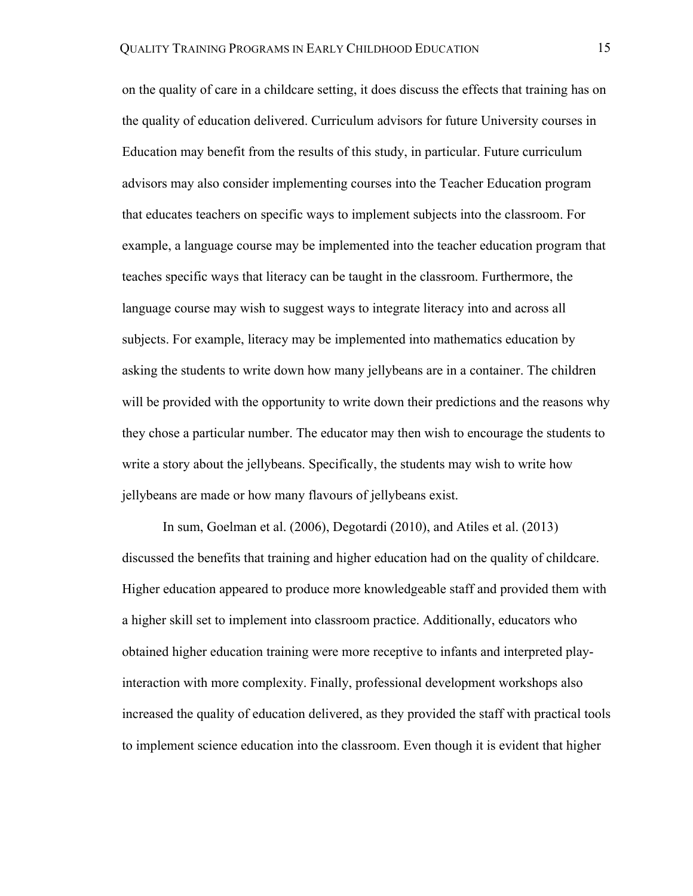on the quality of care in a childcare setting, it does discuss the effects that training has on the quality of education delivered. Curriculum advisors for future University courses in Education may benefit from the results of this study, in particular. Future curriculum advisors may also consider implementing courses into the Teacher Education program that educates teachers on specific ways to implement subjects into the classroom. For example, a language course may be implemented into the teacher education program that teaches specific ways that literacy can be taught in the classroom. Furthermore, the language course may wish to suggest ways to integrate literacy into and across all subjects. For example, literacy may be implemented into mathematics education by asking the students to write down how many jellybeans are in a container. The children will be provided with the opportunity to write down their predictions and the reasons why they chose a particular number. The educator may then wish to encourage the students to write a story about the jellybeans. Specifically, the students may wish to write how jellybeans are made or how many flavours of jellybeans exist.

In sum, Goelman et al. (2006), Degotardi (2010), and Atiles et al. (2013) discussed the benefits that training and higher education had on the quality of childcare. Higher education appeared to produce more knowledgeable staff and provided them with a higher skill set to implement into classroom practice. Additionally, educators who obtained higher education training were more receptive to infants and interpreted playinteraction with more complexity. Finally, professional development workshops also increased the quality of education delivered, as they provided the staff with practical tools to implement science education into the classroom. Even though it is evident that higher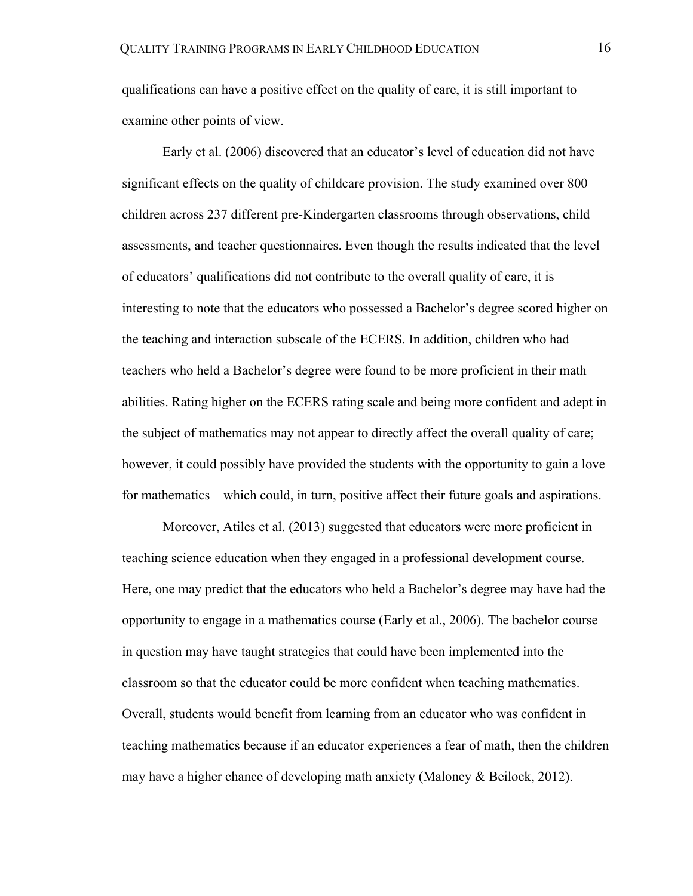qualifications can have a positive effect on the quality of care, it is still important to examine other points of view.

Early et al. (2006) discovered that an educator's level of education did not have significant effects on the quality of childcare provision. The study examined over 800 children across 237 different pre-Kindergarten classrooms through observations, child assessments, and teacher questionnaires. Even though the results indicated that the level of educators' qualifications did not contribute to the overall quality of care, it is interesting to note that the educators who possessed a Bachelor's degree scored higher on the teaching and interaction subscale of the ECERS. In addition, children who had teachers who held a Bachelor's degree were found to be more proficient in their math abilities. Rating higher on the ECERS rating scale and being more confident and adept in the subject of mathematics may not appear to directly affect the overall quality of care; however, it could possibly have provided the students with the opportunity to gain a love for mathematics – which could, in turn, positive affect their future goals and aspirations.

Moreover, Atiles et al. (2013) suggested that educators were more proficient in teaching science education when they engaged in a professional development course. Here, one may predict that the educators who held a Bachelor's degree may have had the opportunity to engage in a mathematics course (Early et al., 2006). The bachelor course in question may have taught strategies that could have been implemented into the classroom so that the educator could be more confident when teaching mathematics. Overall, students would benefit from learning from an educator who was confident in teaching mathematics because if an educator experiences a fear of math, then the children may have a higher chance of developing math anxiety (Maloney & Beilock, 2012).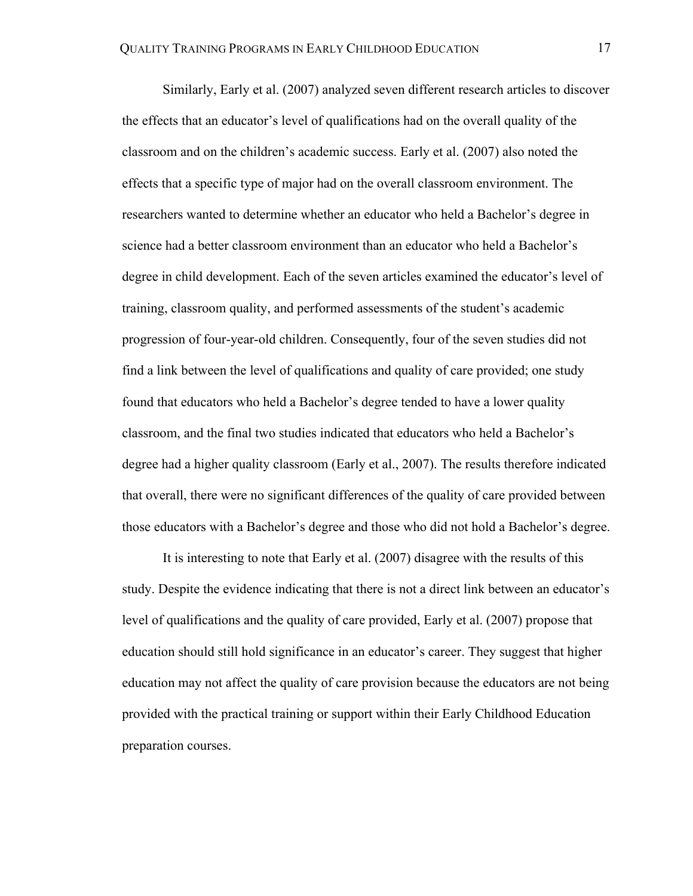Similarly, Early et al. (2007) analyzed seven different research articles to discover the effects that an educator's level of qualifications had on the overall quality of the classroom and on the children's academic success. Early et al. (2007) also noted the effects that a specific type of major had on the overall classroom environment. The researchers wanted to determine whether an educator who held a Bachelor's degree in science had a better classroom environment than an educator who held a Bachelor's degree in child development. Each of the seven articles examined the educator's level of training, classroom quality, and performed assessments of the student's academic progression of four-year-old children. Consequently, four of the seven studies did not find a link between the level of qualifications and quality of care provided; one study found that educators who held a Bachelor's degree tended to have a lower quality classroom, and the final two studies indicated that educators who held a Bachelor's degree had a higher quality classroom (Early et al., 2007). The results therefore indicated that overall, there were no significant differences of the quality of care provided between those educators with a Bachelor's degree and those who did not hold a Bachelor's degree.

It is interesting to note that Early et al. (2007) disagree with the results of this study. Despite the evidence indicating that there is not a direct link between an educator's level of qualifications and the quality of care provided, Early et al. (2007) propose that education should still hold significance in an educator's career. They suggest that higher education may not affect the quality of care provision because the educators are not being provided with the practical training or support within their Early Childhood Education preparation courses.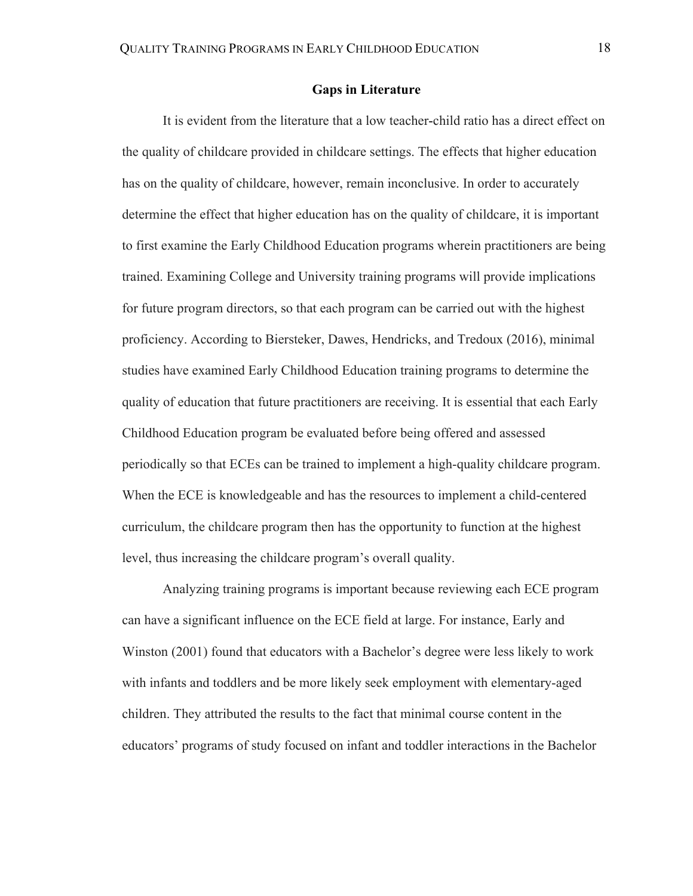## **Gaps in Literature**

It is evident from the literature that a low teacher-child ratio has a direct effect on the quality of childcare provided in childcare settings. The effects that higher education has on the quality of childcare, however, remain inconclusive. In order to accurately determine the effect that higher education has on the quality of childcare, it is important to first examine the Early Childhood Education programs wherein practitioners are being trained. Examining College and University training programs will provide implications for future program directors, so that each program can be carried out with the highest proficiency. According to Biersteker, Dawes, Hendricks, and Tredoux (2016), minimal studies have examined Early Childhood Education training programs to determine the quality of education that future practitioners are receiving. It is essential that each Early Childhood Education program be evaluated before being offered and assessed periodically so that ECEs can be trained to implement a high-quality childcare program. When the ECE is knowledgeable and has the resources to implement a child-centered curriculum, the childcare program then has the opportunity to function at the highest level, thus increasing the childcare program's overall quality.

Analyzing training programs is important because reviewing each ECE program can have a significant influence on the ECE field at large. For instance, Early and Winston (2001) found that educators with a Bachelor's degree were less likely to work with infants and toddlers and be more likely seek employment with elementary-aged children. They attributed the results to the fact that minimal course content in the educators' programs of study focused on infant and toddler interactions in the Bachelor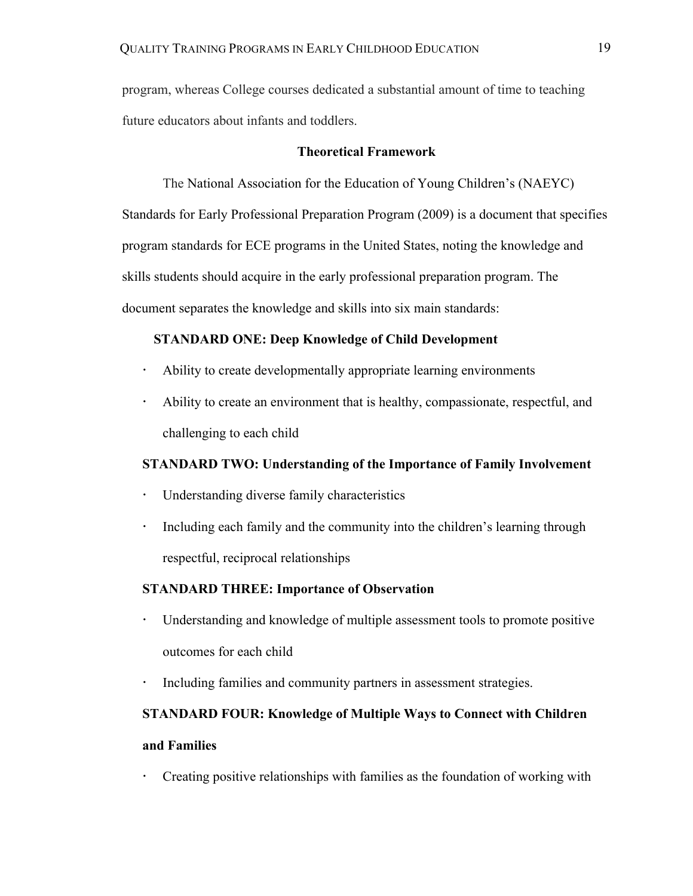program, whereas College courses dedicated a substantial amount of time to teaching future educators about infants and toddlers.

# **Theoretical Framework**

The National Association for the Education of Young Children's (NAEYC) Standards for Early Professional Preparation Program (2009) is a document that specifies program standards for ECE programs in the United States, noting the knowledge and skills students should acquire in the early professional preparation program. The document separates the knowledge and skills into six main standards:

# **STANDARD ONE: Deep Knowledge of Child Development**

- ! Ability to create developmentally appropriate learning environments
- ! Ability to create an environment that is healthy, compassionate, respectful, and challenging to each child

# **STANDARD TWO: Understanding of the Importance of Family Involvement**

- ! Understanding diverse family characteristics
- Including each family and the community into the children's learning through respectful, reciprocal relationships

# **STANDARD THREE: Importance of Observation**

- ! Understanding and knowledge of multiple assessment tools to promote positive outcomes for each child
- ! Including families and community partners in assessment strategies.

# **STANDARD FOUR: Knowledge of Multiple Ways to Connect with Children and Families**

! Creating positive relationships with families as the foundation of working with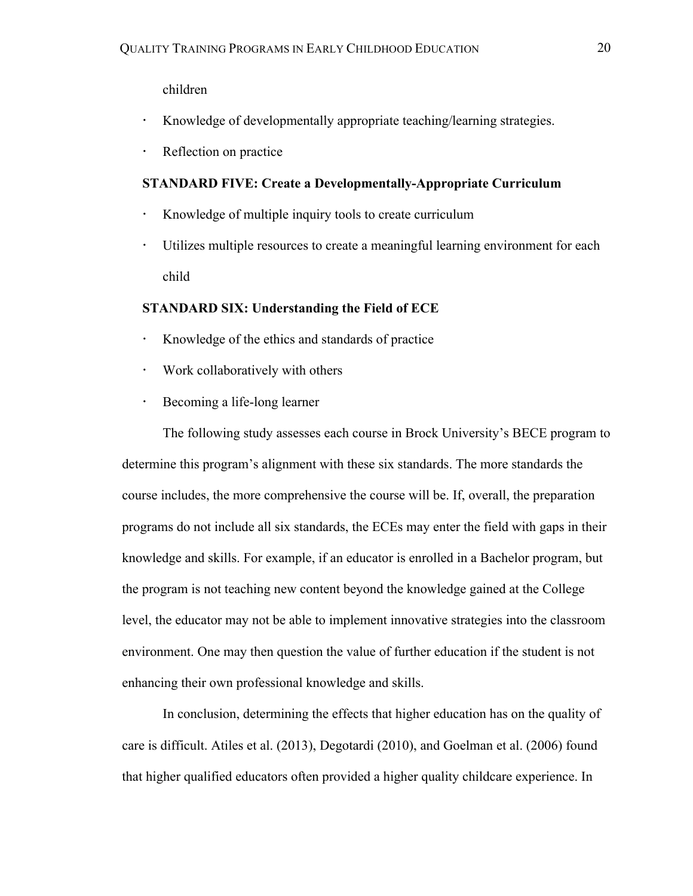children

- ! Knowledge of developmentally appropriate teaching/learning strategies.
- **·** Reflection on practice

# **STANDARD FIVE: Create a Developmentally-Appropriate Curriculum**

- ! Knowledge of multiple inquiry tools to create curriculum
- ! Utilizes multiple resources to create a meaningful learning environment for each child

# **STANDARD SIX: Understanding the Field of ECE**

- ! Knowledge of the ethics and standards of practice
- Work collaboratively with others
- **Becoming a life-long learner**

The following study assesses each course in Brock University's BECE program to determine this program's alignment with these six standards. The more standards the course includes, the more comprehensive the course will be. If, overall, the preparation programs do not include all six standards, the ECEs may enter the field with gaps in their knowledge and skills. For example, if an educator is enrolled in a Bachelor program, but the program is not teaching new content beyond the knowledge gained at the College level, the educator may not be able to implement innovative strategies into the classroom environment. One may then question the value of further education if the student is not enhancing their own professional knowledge and skills.

In conclusion, determining the effects that higher education has on the quality of care is difficult. Atiles et al. (2013), Degotardi (2010), and Goelman et al. (2006) found that higher qualified educators often provided a higher quality childcare experience. In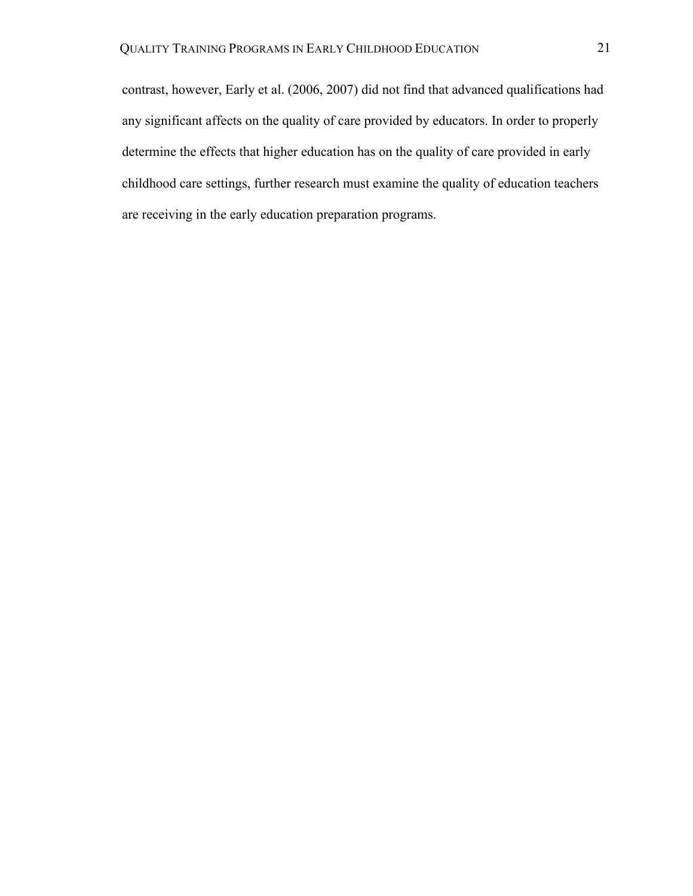contrast, however, Early et al. (2006, 2007) did not find that advanced qualifications had any significant affects on the quality of care provided by educators. In order to properly determine the effects that higher education has on the quality of care provided in early childhood care settings, further research must examine the quality of education teachers are receiving in the early education preparation programs.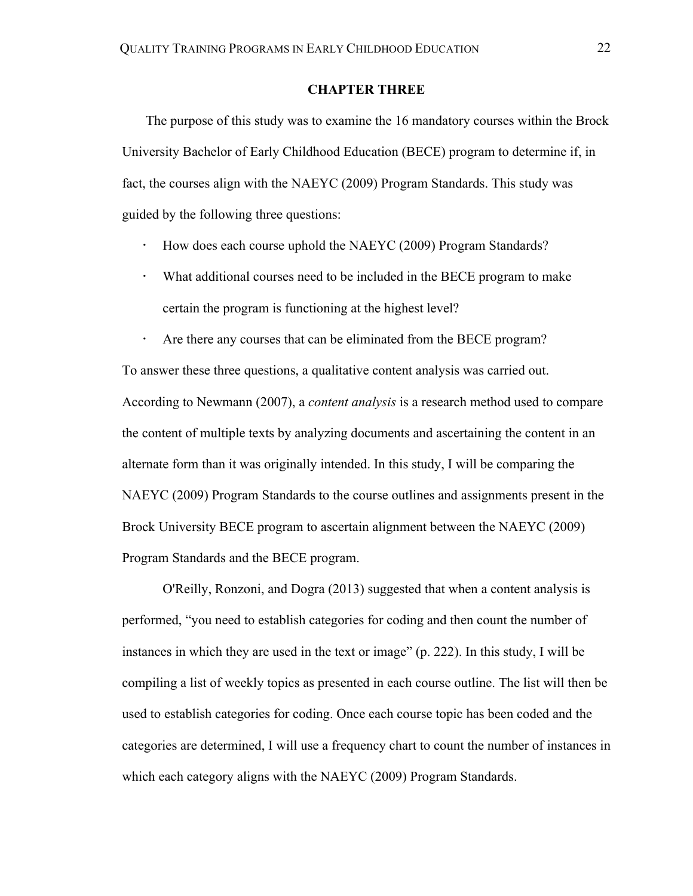## **CHAPTER THREE**

The purpose of this study was to examine the 16 mandatory courses within the Brock University Bachelor of Early Childhood Education (BECE) program to determine if, in fact, the courses align with the NAEYC (2009) Program Standards. This study was guided by the following three questions:

- ! How does each course uphold the NAEYC (2009) Program Standards?
- ! What additional courses need to be included in the BECE program to make certain the program is functioning at the highest level?

Are there any courses that can be eliminated from the BECE program? To answer these three questions, a qualitative content analysis was carried out. According to Newmann (2007), a *content analysis* is a research method used to compare the content of multiple texts by analyzing documents and ascertaining the content in an alternate form than it was originally intended. In this study, I will be comparing the NAEYC (2009) Program Standards to the course outlines and assignments present in the Brock University BECE program to ascertain alignment between the NAEYC (2009) Program Standards and the BECE program.

O'Reilly, Ronzoni, and Dogra (2013) suggested that when a content analysis is performed, "you need to establish categories for coding and then count the number of instances in which they are used in the text or image" (p. 222). In this study, I will be compiling a list of weekly topics as presented in each course outline. The list will then be used to establish categories for coding. Once each course topic has been coded and the categories are determined, I will use a frequency chart to count the number of instances in which each category aligns with the NAEYC (2009) Program Standards.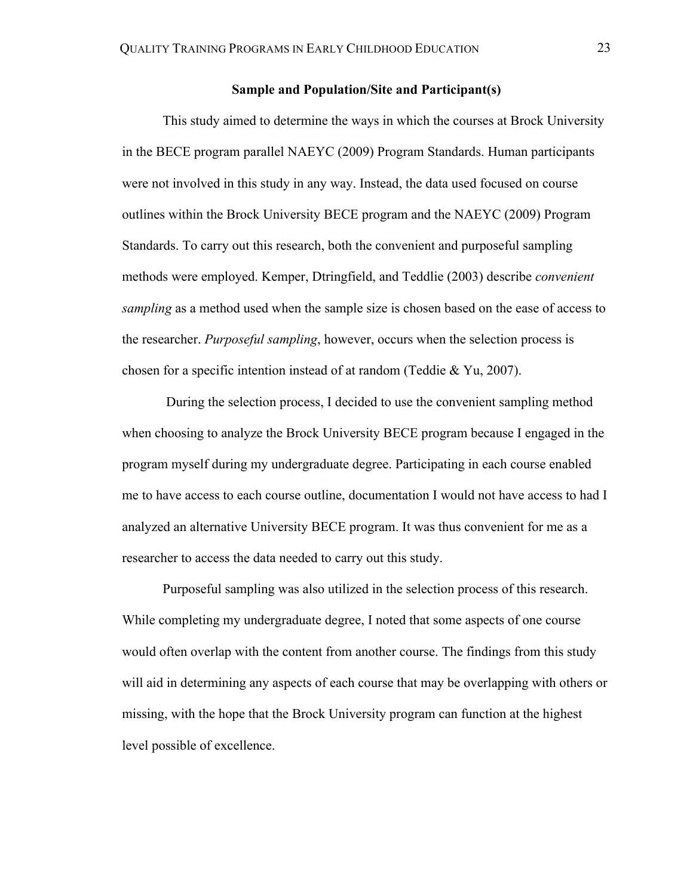## **Sample and Population/Site and Participant(s)**

This study aimed to determine the ways in which the courses at Brock University in the BECE program parallel NAEYC (2009) Program Standards. Human participants were not involved in this study in any way. Instead, the data used focused on course outlines within the Brock University BECE program and the NAEYC (2009) Program Standards. To carry out this research, both the convenient and purposeful sampling methods were employed. Kemper, Dtringfield, and Teddlie (2003) describe *convenient sampling* as a method used when the sample size is chosen based on the ease of access to the researcher. *Purposeful sampling*, however, occurs when the selection process is chosen for a specific intention instead of at random (Teddie & Yu, 2007).

During the selection process, I decided to use the convenient sampling method when choosing to analyze the Brock University BECE program because I engaged in the program myself during my undergraduate degree. Participating in each course enabled me to have access to each course outline, documentation I would not have access to had I analyzed an alternative University BECE program. It was thus convenient for me as a researcher to access the data needed to carry out this study.

Purposeful sampling was also utilized in the selection process of this research. While completing my undergraduate degree, I noted that some aspects of one course would often overlap with the content from another course. The findings from this study will aid in determining any aspects of each course that may be overlapping with others or missing, with the hope that the Brock University program can function at the highest level possible of excellence.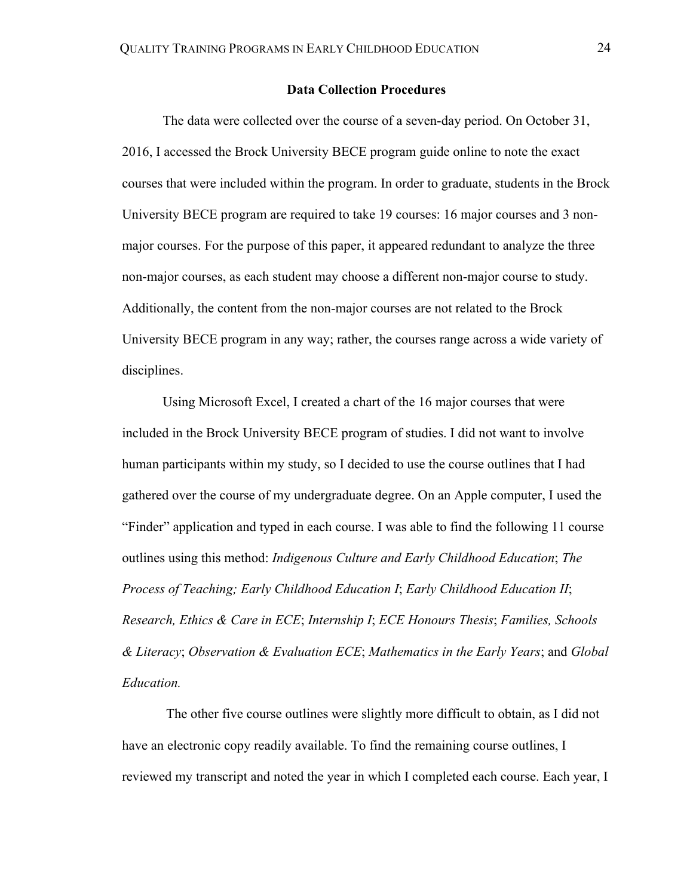## **Data Collection Procedures**

The data were collected over the course of a seven-day period. On October 31, 2016, I accessed the Brock University BECE program guide online to note the exact courses that were included within the program. In order to graduate, students in the Brock University BECE program are required to take 19 courses: 16 major courses and 3 nonmajor courses. For the purpose of this paper, it appeared redundant to analyze the three non-major courses, as each student may choose a different non-major course to study. Additionally, the content from the non-major courses are not related to the Brock University BECE program in any way; rather, the courses range across a wide variety of disciplines.

Using Microsoft Excel, I created a chart of the 16 major courses that were included in the Brock University BECE program of studies. I did not want to involve human participants within my study, so I decided to use the course outlines that I had gathered over the course of my undergraduate degree. On an Apple computer, I used the "Finder" application and typed in each course. I was able to find the following 11 course outlines using this method: *Indigenous Culture and Early Childhood Education*; *The Process of Teaching; Early Childhood Education I*; *Early Childhood Education II*; *Research, Ethics & Care in ECE*; *Internship I*; *ECE Honours Thesis*; *Families, Schools & Literacy*; *Observation & Evaluation ECE*; *Mathematics in the Early Years*; and *Global Education.*

The other five course outlines were slightly more difficult to obtain, as I did not have an electronic copy readily available. To find the remaining course outlines, I reviewed my transcript and noted the year in which I completed each course. Each year, I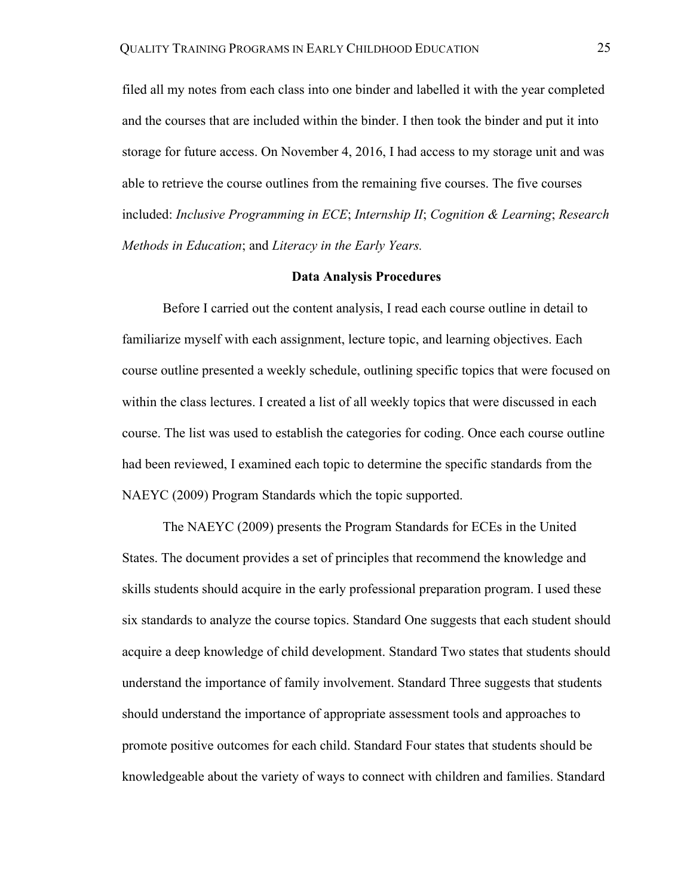filed all my notes from each class into one binder and labelled it with the year completed and the courses that are included within the binder. I then took the binder and put it into storage for future access. On November 4, 2016, I had access to my storage unit and was able to retrieve the course outlines from the remaining five courses. The five courses included: *Inclusive Programming in ECE*; *Internship II*; *Cognition & Learning*; *Research Methods in Education*; and *Literacy in the Early Years.* 

# **Data Analysis Procedures**

Before I carried out the content analysis, I read each course outline in detail to familiarize myself with each assignment, lecture topic, and learning objectives. Each course outline presented a weekly schedule, outlining specific topics that were focused on within the class lectures. I created a list of all weekly topics that were discussed in each course. The list was used to establish the categories for coding. Once each course outline had been reviewed, I examined each topic to determine the specific standards from the NAEYC (2009) Program Standards which the topic supported.

The NAEYC (2009) presents the Program Standards for ECEs in the United States. The document provides a set of principles that recommend the knowledge and skills students should acquire in the early professional preparation program. I used these six standards to analyze the course topics. Standard One suggests that each student should acquire a deep knowledge of child development. Standard Two states that students should understand the importance of family involvement. Standard Three suggests that students should understand the importance of appropriate assessment tools and approaches to promote positive outcomes for each child. Standard Four states that students should be knowledgeable about the variety of ways to connect with children and families. Standard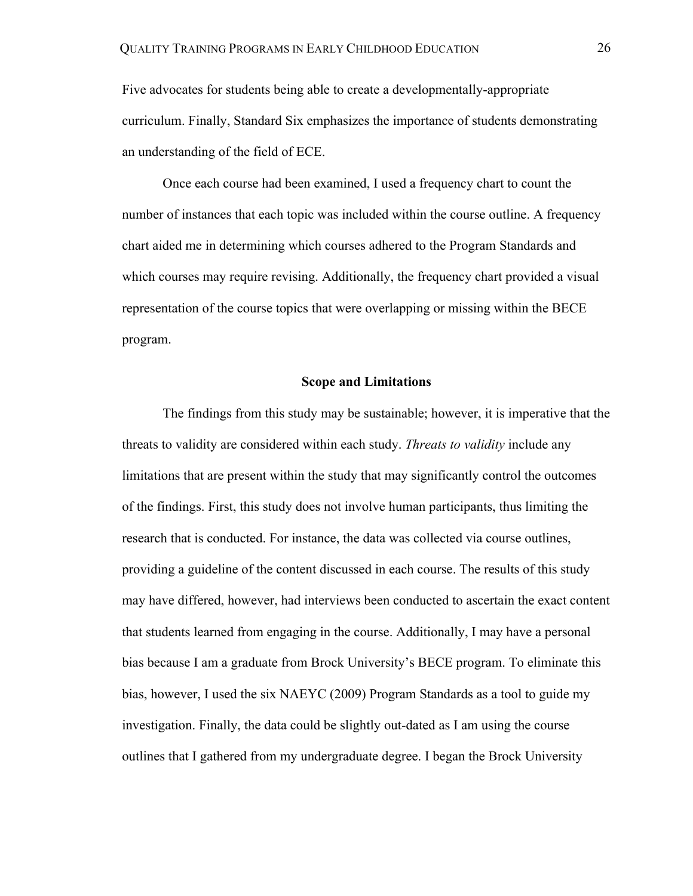Five advocates for students being able to create a developmentally-appropriate curriculum. Finally, Standard Six emphasizes the importance of students demonstrating an understanding of the field of ECE.

Once each course had been examined, I used a frequency chart to count the number of instances that each topic was included within the course outline. A frequency chart aided me in determining which courses adhered to the Program Standards and which courses may require revising. Additionally, the frequency chart provided a visual representation of the course topics that were overlapping or missing within the BECE program.

#### **Scope and Limitations**

The findings from this study may be sustainable; however, it is imperative that the threats to validity are considered within each study. *Threats to validity* include any limitations that are present within the study that may significantly control the outcomes of the findings. First, this study does not involve human participants, thus limiting the research that is conducted. For instance, the data was collected via course outlines, providing a guideline of the content discussed in each course. The results of this study may have differed, however, had interviews been conducted to ascertain the exact content that students learned from engaging in the course. Additionally, I may have a personal bias because I am a graduate from Brock University's BECE program. To eliminate this bias, however, I used the six NAEYC (2009) Program Standards as a tool to guide my investigation. Finally, the data could be slightly out-dated as I am using the course outlines that I gathered from my undergraduate degree. I began the Brock University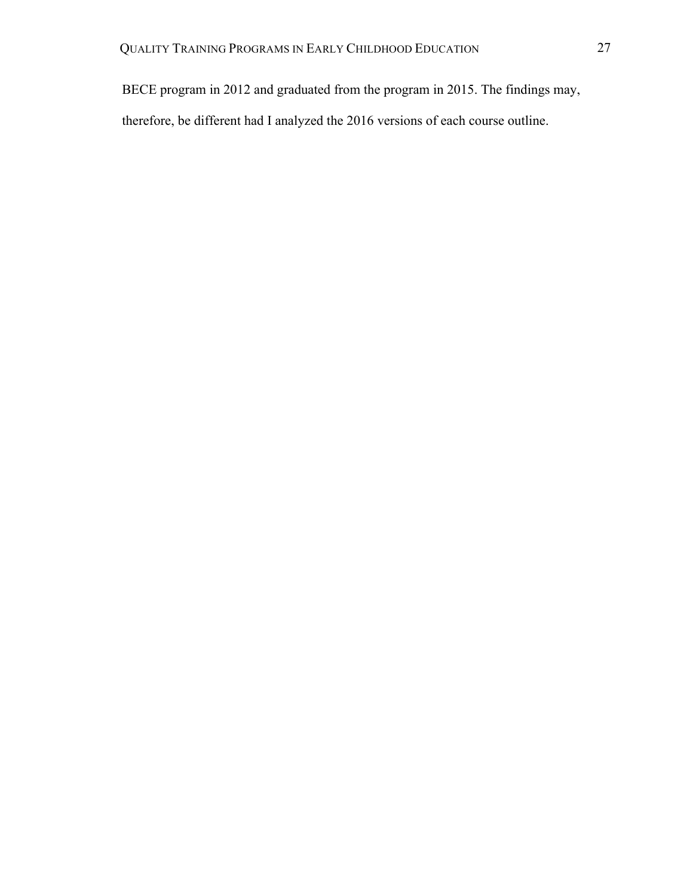BECE program in 2012 and graduated from the program in 2015. The findings may, therefore, be different had I analyzed the 2016 versions of each course outline.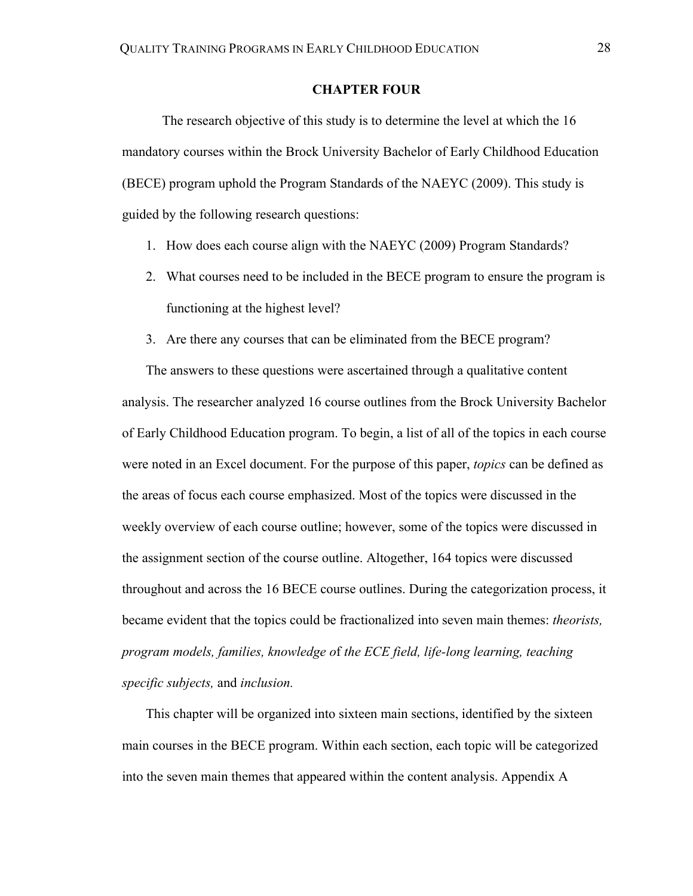# **CHAPTER FOUR**

The research objective of this study is to determine the level at which the 16 mandatory courses within the Brock University Bachelor of Early Childhood Education (BECE) program uphold the Program Standards of the NAEYC (2009). This study is guided by the following research questions:

- 1. How does each course align with the NAEYC (2009) Program Standards?
- 2. What courses need to be included in the BECE program to ensure the program is functioning at the highest level?
- 3. Are there any courses that can be eliminated from the BECE program?

The answers to these questions were ascertained through a qualitative content analysis. The researcher analyzed 16 course outlines from the Brock University Bachelor of Early Childhood Education program. To begin, a list of all of the topics in each course were noted in an Excel document. For the purpose of this paper, *topics* can be defined as the areas of focus each course emphasized. Most of the topics were discussed in the weekly overview of each course outline; however, some of the topics were discussed in the assignment section of the course outline. Altogether, 164 topics were discussed throughout and across the 16 BECE course outlines. During the categorization process, it became evident that the topics could be fractionalized into seven main themes: *theorists, program models, families, knowledge o*f *the ECE field, life-long learning, teaching specific subjects,* and *inclusion.* 

This chapter will be organized into sixteen main sections, identified by the sixteen main courses in the BECE program. Within each section, each topic will be categorized into the seven main themes that appeared within the content analysis. Appendix A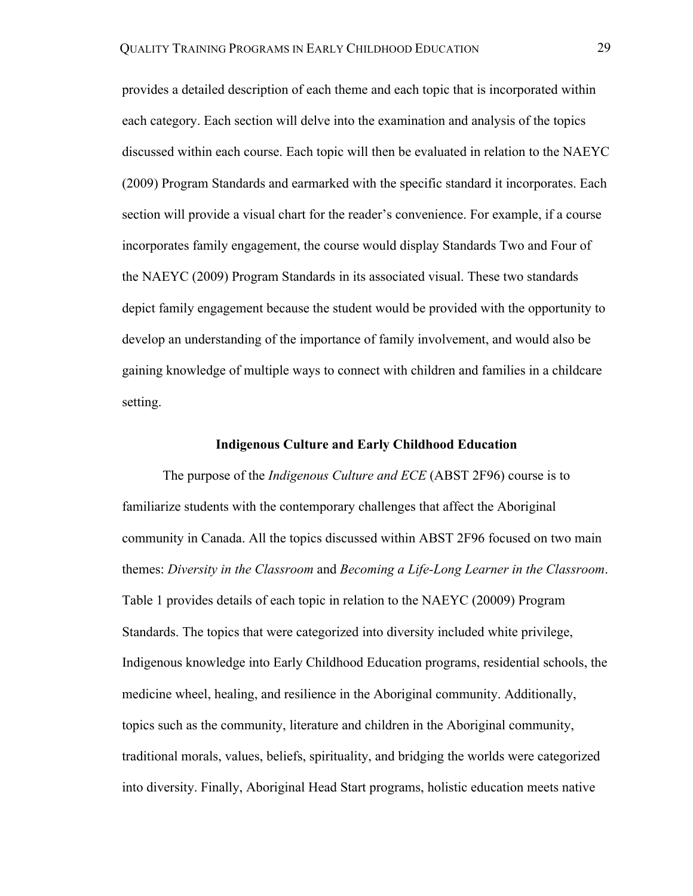provides a detailed description of each theme and each topic that is incorporated within each category. Each section will delve into the examination and analysis of the topics discussed within each course. Each topic will then be evaluated in relation to the NAEYC (2009) Program Standards and earmarked with the specific standard it incorporates. Each section will provide a visual chart for the reader's convenience. For example, if a course incorporates family engagement, the course would display Standards Two and Four of the NAEYC (2009) Program Standards in its associated visual. These two standards depict family engagement because the student would be provided with the opportunity to develop an understanding of the importance of family involvement, and would also be gaining knowledge of multiple ways to connect with children and families in a childcare setting.

## **Indigenous Culture and Early Childhood Education**

The purpose of the *Indigenous Culture and ECE* (ABST 2F96) course is to familiarize students with the contemporary challenges that affect the Aboriginal community in Canada. All the topics discussed within ABST 2F96 focused on two main themes: *Diversity in the Classroom* and *Becoming a Life-Long Learner in the Classroom*. Table 1 provides details of each topic in relation to the NAEYC (20009) Program Standards. The topics that were categorized into diversity included white privilege, Indigenous knowledge into Early Childhood Education programs, residential schools, the medicine wheel, healing, and resilience in the Aboriginal community. Additionally, topics such as the community, literature and children in the Aboriginal community, traditional morals, values, beliefs, spirituality, and bridging the worlds were categorized into diversity. Finally, Aboriginal Head Start programs, holistic education meets native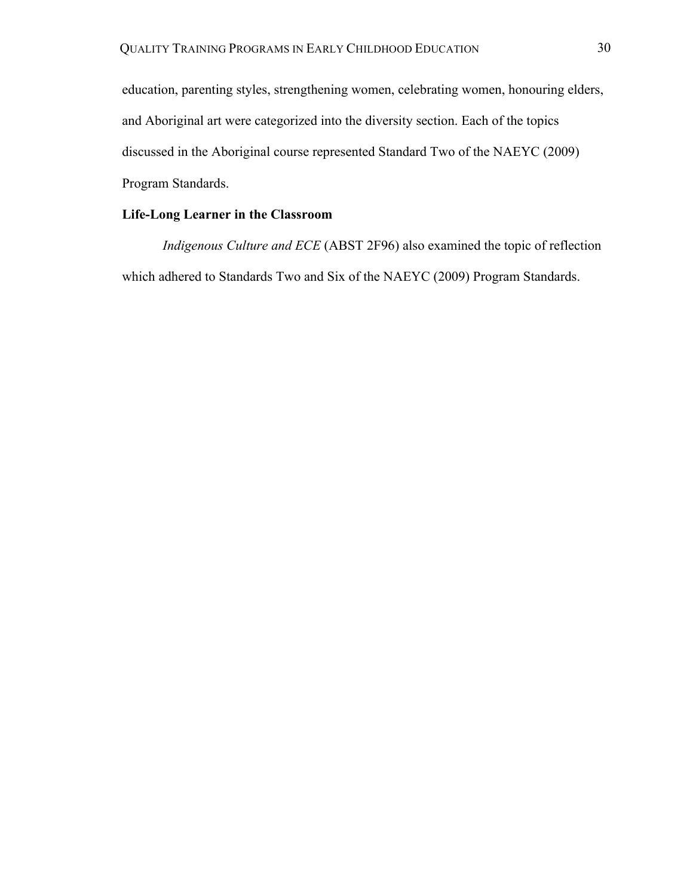education, parenting styles, strengthening women, celebrating women, honouring elders, and Aboriginal art were categorized into the diversity section. Each of the topics discussed in the Aboriginal course represented Standard Two of the NAEYC (2009) Program Standards.

# **Life-Long Learner in the Classroom**

*Indigenous Culture and ECE* (ABST 2F96) also examined the topic of reflection which adhered to Standards Two and Six of the NAEYC (2009) Program Standards.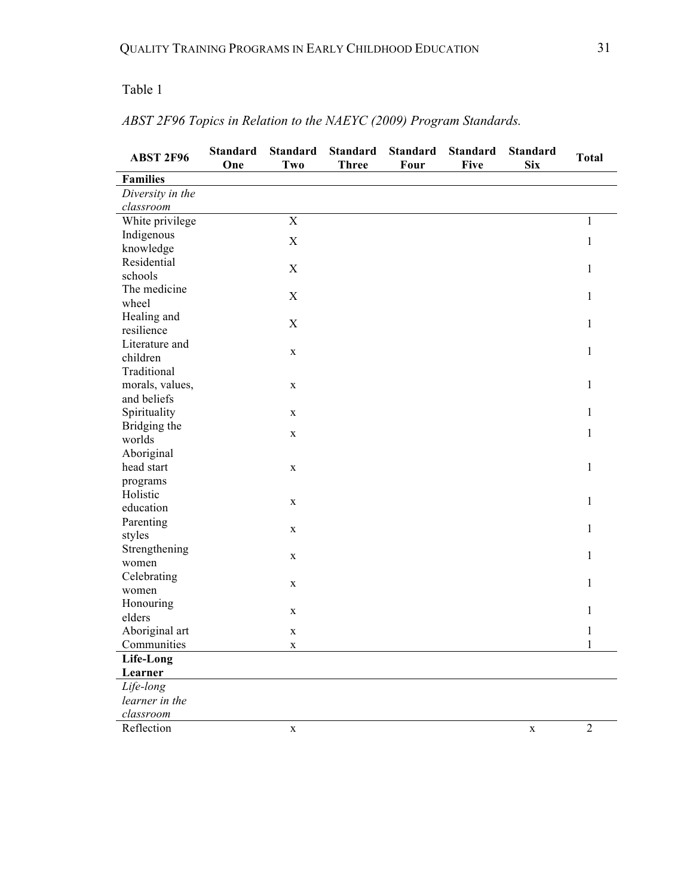# Table 1

| <b>ABST 2F96</b>               | <b>Standard</b><br>One | <b>Standard</b><br><b>Two</b> | <b>Standard</b><br><b>Three</b> | <b>Standard</b><br>Four | <b>Standard</b><br><b>Five</b> | <b>Standard</b><br><b>Six</b> | <b>Total</b>   |
|--------------------------------|------------------------|-------------------------------|---------------------------------|-------------------------|--------------------------------|-------------------------------|----------------|
| <b>Families</b>                |                        |                               |                                 |                         |                                |                               |                |
| Diversity in the               |                        |                               |                                 |                         |                                |                               |                |
| classroom                      |                        |                               |                                 |                         |                                |                               |                |
| White privilege                |                        | $\bar{X}$                     |                                 |                         |                                |                               | 1              |
| Indigenous                     |                        | $\mathbf X$                   |                                 |                         |                                |                               | $\mathbf{1}$   |
| knowledge                      |                        |                               |                                 |                         |                                |                               |                |
| Residential                    |                        | $\boldsymbol{X}$              |                                 |                         |                                |                               | $\mathbf{1}$   |
| schools                        |                        |                               |                                 |                         |                                |                               |                |
| The medicine                   |                        | $\boldsymbol{X}$              |                                 |                         |                                |                               | $\mathbf{1}$   |
| wheel                          |                        |                               |                                 |                         |                                |                               |                |
| Healing and                    |                        | $\boldsymbol{X}$              |                                 |                         |                                |                               | $\mathbf{1}$   |
| resilience                     |                        |                               |                                 |                         |                                |                               |                |
| Literature and                 |                        | $\mathbf X$                   |                                 |                         |                                |                               | $\mathbf{1}$   |
| children<br>Traditional        |                        |                               |                                 |                         |                                |                               |                |
|                                |                        |                               |                                 |                         |                                |                               | $\mathbf{1}$   |
| morals, values,<br>and beliefs |                        | $\mathbf X$                   |                                 |                         |                                |                               |                |
| Spirituality                   |                        | $\mathbf X$                   |                                 |                         |                                |                               | 1              |
| Bridging the                   |                        |                               |                                 |                         |                                |                               |                |
| worlds                         |                        | $\mathbf X$                   |                                 |                         |                                |                               | $\mathbf{1}$   |
| Aboriginal                     |                        |                               |                                 |                         |                                |                               |                |
| head start                     |                        | $\mathbf X$                   |                                 |                         |                                |                               | $\mathbf{1}$   |
| programs                       |                        |                               |                                 |                         |                                |                               |                |
| Holistic                       |                        |                               |                                 |                         |                                |                               |                |
| education                      |                        | $\mathbf X$                   |                                 |                         |                                |                               | $\mathbf{1}$   |
| Parenting                      |                        |                               |                                 |                         |                                |                               |                |
| styles                         |                        | $\mathbf X$                   |                                 |                         |                                |                               | 1              |
| Strengthening                  | $\mathbf X$            |                               |                                 |                         |                                |                               | 1              |
| women                          |                        |                               |                                 |                         |                                |                               |                |
| Celebrating                    |                        |                               |                                 |                         |                                | $\mathbf{1}$                  |                |
| women                          | $\mathbf X$            |                               |                                 |                         |                                |                               |                |
| Honouring                      |                        | $\mathbf X$                   |                                 |                         |                                |                               | 1              |
| elders                         |                        |                               |                                 |                         |                                |                               |                |
| Aboriginal art                 |                        | $\mathbf X$                   |                                 |                         |                                |                               | 1              |
| Communities                    |                        | $\mathbf X$                   |                                 |                         |                                |                               | 1              |
| Life-Long                      |                        |                               |                                 |                         |                                |                               |                |
| Learner                        |                        |                               |                                 |                         |                                |                               |                |
| Life-long                      |                        |                               |                                 |                         |                                |                               |                |
| learner in the                 |                        |                               |                                 |                         |                                |                               |                |
| classroom                      |                        |                               |                                 |                         |                                |                               |                |
| Reflection                     |                        | $\mathbf X$                   |                                 |                         |                                | $\mathbf X$                   | $\overline{2}$ |

# *ABST 2F96 Topics in Relation to the NAEYC (2009) Program Standards.*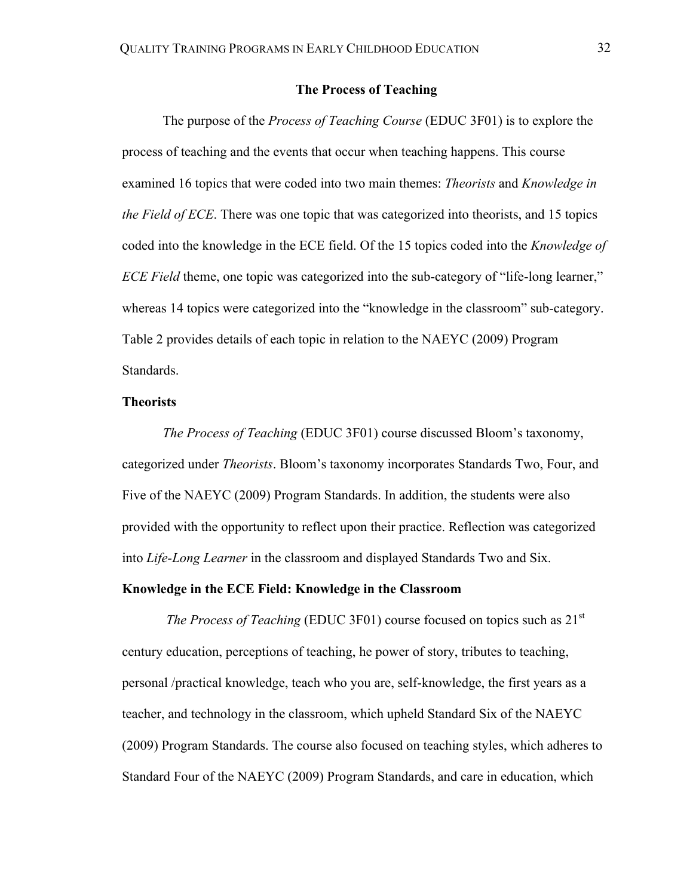# **The Process of Teaching**

The purpose of the *Process of Teaching Course* (EDUC 3F01) is to explore the process of teaching and the events that occur when teaching happens. This course examined 16 topics that were coded into two main themes: *Theorists* and *Knowledge in the Field of ECE*. There was one topic that was categorized into theorists, and 15 topics coded into the knowledge in the ECE field. Of the 15 topics coded into the *Knowledge of ECE Field* theme, one topic was categorized into the sub-category of "life-long learner," whereas 14 topics were categorized into the "knowledge in the classroom" sub-category. Table 2 provides details of each topic in relation to the NAEYC (2009) Program Standards.

## **Theorists**

*The Process of Teaching* (EDUC 3F01) course discussed Bloom's taxonomy, categorized under *Theorists*. Bloom's taxonomy incorporates Standards Two, Four, and Five of the NAEYC (2009) Program Standards. In addition, the students were also provided with the opportunity to reflect upon their practice. Reflection was categorized into *Life-Long Learner* in the classroom and displayed Standards Two and Six.

# **Knowledge in the ECE Field: Knowledge in the Classroom**

*The Process of Teaching* (EDUC 3F01) course focused on topics such as 21<sup>st</sup> century education, perceptions of teaching, he power of story, tributes to teaching, personal /practical knowledge, teach who you are, self-knowledge, the first years as a teacher, and technology in the classroom, which upheld Standard Six of the NAEYC (2009) Program Standards. The course also focused on teaching styles, which adheres to Standard Four of the NAEYC (2009) Program Standards, and care in education, which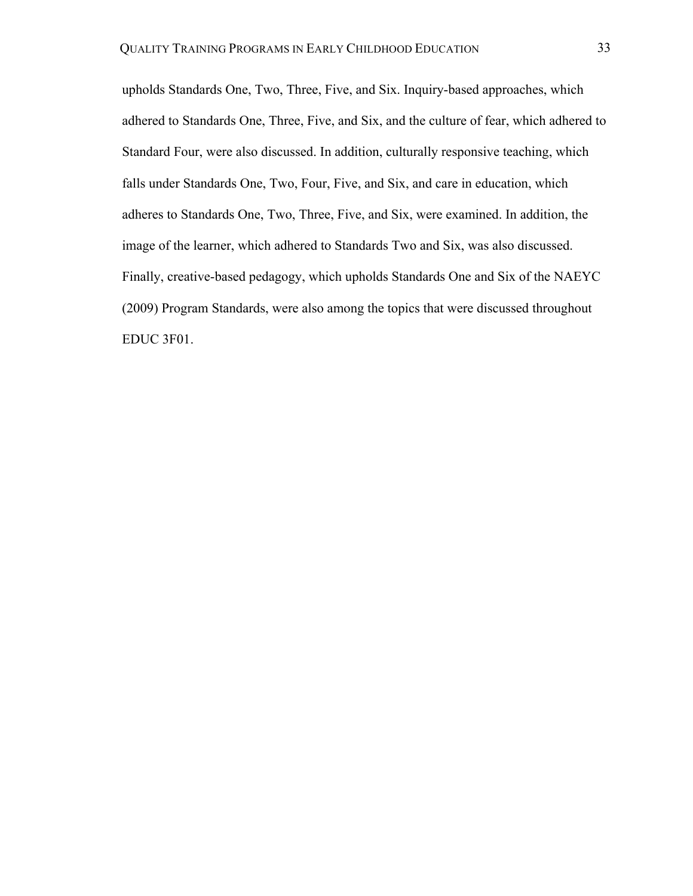upholds Standards One, Two, Three, Five, and Six. Inquiry-based approaches, which adhered to Standards One, Three, Five, and Six, and the culture of fear, which adhered to Standard Four, were also discussed. In addition, culturally responsive teaching, which falls under Standards One, Two, Four, Five, and Six, and care in education, which adheres to Standards One, Two, Three, Five, and Six, were examined. In addition, the image of the learner, which adhered to Standards Two and Six, was also discussed. Finally, creative-based pedagogy, which upholds Standards One and Six of the NAEYC (2009) Program Standards, were also among the topics that were discussed throughout EDUC 3F01.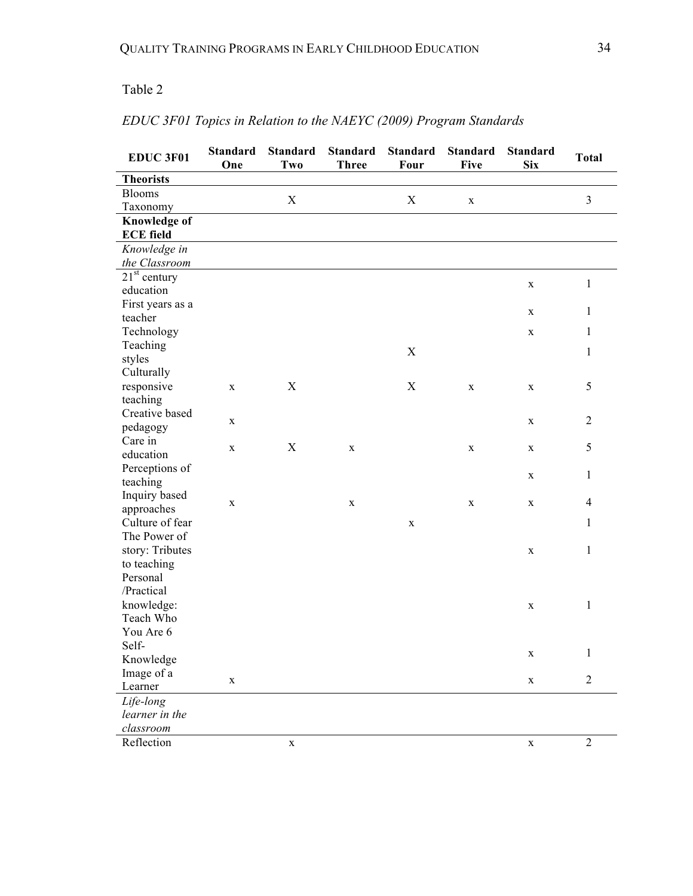# Table 2

# *EDUC 3F01 Topics in Relation to the NAEYC (2009) Program Standards*

| EDUC 3F01               | <b>Standard</b><br>One | <b>Standard</b><br>Two | <b>Standard</b><br><b>Three</b> | <b>Standard</b><br>Four   | <b>Standard</b><br><b>Five</b> | <b>Standard</b><br><b>Six</b> | <b>Total</b>   |
|-------------------------|------------------------|------------------------|---------------------------------|---------------------------|--------------------------------|-------------------------------|----------------|
| <b>Theorists</b>        |                        |                        |                                 |                           |                                |                               |                |
| <b>Blooms</b>           |                        | X                      |                                 | X                         | $\mathbf X$                    |                               | 3              |
| Taxonomy                |                        |                        |                                 |                           |                                |                               |                |
| <b>Knowledge of</b>     |                        |                        |                                 |                           |                                |                               |                |
| <b>ECE field</b>        |                        |                        |                                 |                           |                                |                               |                |
| Knowledge in            |                        |                        |                                 |                           |                                |                               |                |
| the Classroom           |                        |                        |                                 |                           |                                |                               |                |
| $21st$ century          |                        |                        |                                 |                           |                                | $\mathbf X$                   | $\mathbf{1}$   |
| education               |                        |                        |                                 |                           |                                |                               |                |
| First years as a        |                        |                        |                                 |                           |                                | $\mathbf X$                   | 1              |
| teacher                 |                        |                        |                                 |                           |                                |                               | $\mathbf{1}$   |
| Technology<br>Teaching  |                        |                        |                                 |                           |                                | $\mathbf X$                   |                |
| styles                  |                        |                        |                                 | $\boldsymbol{\mathrm{X}}$ |                                |                               | 1              |
| Culturally              |                        |                        |                                 |                           |                                |                               |                |
| responsive              | $\mathbf X$            | X                      |                                 | $\mathbf X$               | $\mathbf X$                    | $\mathbf X$                   | 5              |
| teaching                |                        |                        |                                 |                           |                                |                               |                |
| Creative based          |                        |                        |                                 |                           |                                |                               |                |
| pedagogy                | X                      |                        |                                 |                           |                                | X                             | $\overline{2}$ |
| Care in                 |                        |                        |                                 |                           |                                |                               |                |
| education               | $\mathbf X$            | $\mathbf X$            | X                               |                           | $\mathbf X$                    | X                             | 5              |
| Perceptions of          |                        |                        |                                 |                           |                                |                               | $\mathbf{1}$   |
| teaching                |                        |                        |                                 |                           |                                | $\mathbf X$                   |                |
| Inquiry based           | $\mathbf X$            |                        | X                               |                           | $\mathbf X$                    | $\mathbf X$                   | $\overline{4}$ |
| approaches              |                        |                        |                                 |                           |                                |                               |                |
| Culture of fear         |                        |                        |                                 | $\mathbf X$               |                                |                               | 1              |
| The Power of            |                        |                        |                                 |                           |                                |                               |                |
| story: Tributes         |                        |                        |                                 |                           |                                | $\mathbf X$                   | $\mathbf{1}$   |
| to teaching             |                        |                        |                                 |                           |                                |                               |                |
| Personal                |                        |                        |                                 |                           |                                |                               |                |
| /Practical              |                        |                        |                                 |                           |                                |                               |                |
| knowledge:<br>Teach Who |                        |                        |                                 |                           |                                | $\mathbf X$                   | $\mathbf{1}$   |
| You Are 6               |                        |                        |                                 |                           |                                |                               |                |
| Self-                   |                        |                        |                                 |                           |                                |                               |                |
| Knowledge               |                        |                        |                                 |                           |                                | $\mathbf X$                   | $\mathbf{1}$   |
| Image of a              |                        |                        |                                 |                           |                                |                               |                |
| Learner                 | X                      |                        |                                 |                           |                                | $\mathbf X$                   | $\overline{2}$ |
| Life-long               |                        |                        |                                 |                           |                                |                               |                |
| learner in the          |                        |                        |                                 |                           |                                |                               |                |
| classroom               |                        |                        |                                 |                           |                                |                               |                |
| Reflection              |                        | $\mathbf X$            |                                 |                           |                                | $\mathbf X$                   | $\overline{c}$ |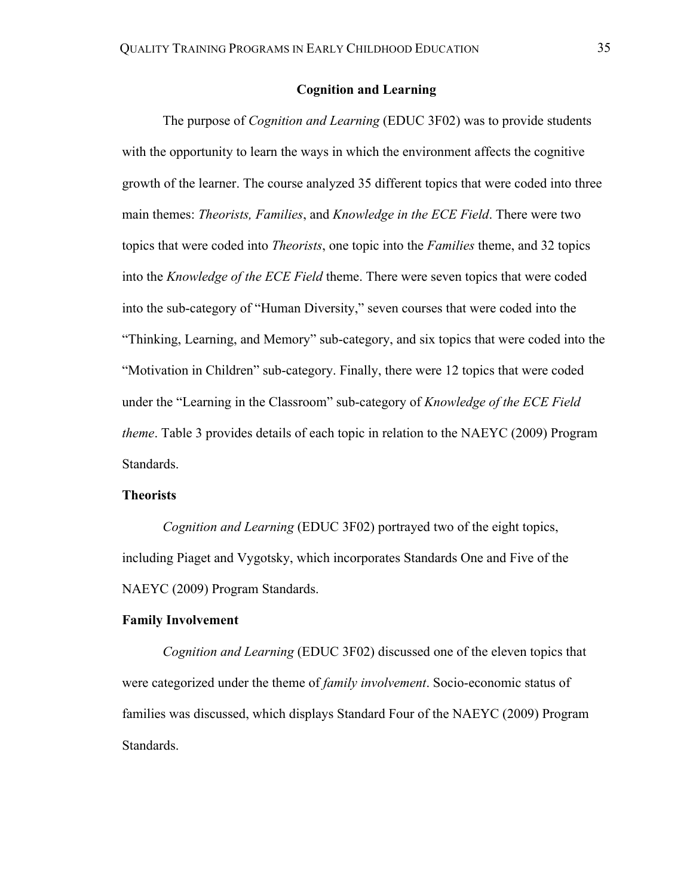## **Cognition and Learning**

The purpose of *Cognition and Learning* (EDUC 3F02) was to provide students with the opportunity to learn the ways in which the environment affects the cognitive growth of the learner. The course analyzed 35 different topics that were coded into three main themes: *Theorists, Families*, and *Knowledge in the ECE Field*. There were two topics that were coded into *Theorists*, one topic into the *Families* theme, and 32 topics into the *Knowledge of the ECE Field* theme. There were seven topics that were coded into the sub-category of "Human Diversity," seven courses that were coded into the "Thinking, Learning, and Memory" sub-category, and six topics that were coded into the "Motivation in Children" sub-category. Finally, there were 12 topics that were coded under the "Learning in the Classroom" sub-category of *Knowledge of the ECE Field theme*. Table 3 provides details of each topic in relation to the NAEYC (2009) Program Standards.

### **Theorists**

*Cognition and Learning* (EDUC 3F02) portrayed two of the eight topics, including Piaget and Vygotsky, which incorporates Standards One and Five of the NAEYC (2009) Program Standards.

## **Family Involvement**

*Cognition and Learning* (EDUC 3F02) discussed one of the eleven topics that were categorized under the theme of *family involvement*. Socio-economic status of families was discussed, which displays Standard Four of the NAEYC (2009) Program Standards.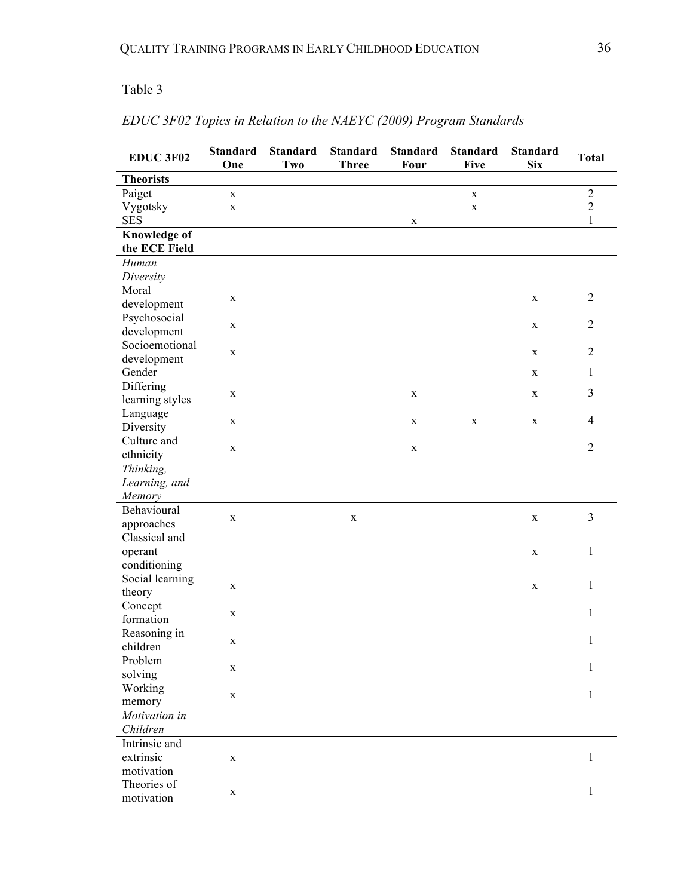## Table 3

| <b>EDUC 3F02</b>                     | <b>Standard</b><br>One | <b>Standard</b><br>Two | <b>Standard</b><br><b>Three</b> | <b>Standard</b><br>Four | <b>Standard</b><br><b>Five</b> | <b>Standard</b><br><b>Six</b> | <b>Total</b>   |
|--------------------------------------|------------------------|------------------------|---------------------------------|-------------------------|--------------------------------|-------------------------------|----------------|
| <b>Theorists</b>                     |                        |                        |                                 |                         |                                |                               |                |
| Paiget                               | $\mathbf X$            |                        |                                 |                         | $\mathbf X$                    |                               | $\sqrt{2}$     |
| Vygotsky                             | $\mathbf X$            |                        |                                 |                         | X                              |                               | $\overline{2}$ |
| <b>SES</b>                           |                        |                        |                                 | $\mathbf X$             |                                |                               | $\mathbf{1}$   |
| <b>Knowledge of</b><br>the ECE Field |                        |                        |                                 |                         |                                |                               |                |
| Human                                |                        |                        |                                 |                         |                                |                               |                |
| Diversity                            |                        |                        |                                 |                         |                                |                               |                |
| Moral                                |                        |                        |                                 |                         |                                |                               | $\overline{2}$ |
| development                          | $\mathbf X$            |                        |                                 |                         |                                | $\mathbf X$                   |                |
| Psychosocial                         |                        |                        |                                 |                         |                                |                               | $\overline{2}$ |
| development                          | $\mathbf X$            |                        |                                 |                         |                                | $\mathbf X$                   |                |
| Socioemotional                       |                        |                        |                                 |                         |                                |                               | $\overline{2}$ |
| development                          | $\mathbf X$            |                        |                                 |                         |                                | $\mathbf X$                   |                |
| Gender                               |                        |                        |                                 |                         |                                | $\mathbf X$                   | $\mathbf{1}$   |
| Differing                            |                        |                        |                                 |                         |                                |                               | 3              |
| learning styles                      | $\mathbf X$            |                        |                                 | $\mathbf X$             |                                | $\mathbf X$                   |                |
| Language                             |                        |                        |                                 |                         |                                |                               | $\overline{4}$ |
| Diversity                            | $\mathbf X$            |                        |                                 | $\mathbf X$             | $\mathbf X$                    | $\mathbf X$                   |                |
| Culture and                          | $\mathbf X$            |                        |                                 | $\mathbf X$             |                                |                               | $\overline{2}$ |
| ethnicity                            |                        |                        |                                 |                         |                                |                               |                |
| Thinking,                            |                        |                        |                                 |                         |                                |                               |                |
| Learning, and                        |                        |                        |                                 |                         |                                |                               |                |
| Memory                               |                        |                        |                                 |                         |                                |                               |                |
| Behavioural                          | $\mathbf X$            |                        | $\mathbf X$                     |                         |                                | $\mathbf X$                   | 3              |
| approaches                           |                        |                        |                                 |                         |                                |                               |                |
| Classical and                        |                        |                        |                                 |                         |                                |                               |                |
| operant                              |                        |                        |                                 |                         |                                | $\mathbf X$                   | $\mathbf{1}$   |
| conditioning                         |                        |                        |                                 |                         |                                |                               |                |
| Social learning                      | $\mathbf X$            |                        |                                 |                         |                                | $\mathbf X$                   | $\mathbf{1}$   |
| theory                               |                        |                        |                                 |                         |                                |                               |                |
| Concept                              | $\mathbf X$            |                        |                                 |                         |                                |                               | $\mathbf{1}$   |
| formation                            |                        |                        |                                 |                         |                                |                               |                |
| Reasoning in                         | $\mathbf X$            |                        |                                 |                         |                                |                               | $\mathbf{1}$   |
| children                             |                        |                        |                                 |                         |                                |                               |                |
| Problem                              | $\mathbf X$            |                        |                                 |                         |                                |                               | $\mathbf{1}$   |
| solving                              |                        |                        |                                 |                         |                                |                               |                |
| Working                              | $\mathbf X$            |                        |                                 |                         |                                |                               | $\mathbf{1}$   |
| memory                               |                        |                        |                                 |                         |                                |                               |                |
| Motivation in                        |                        |                        |                                 |                         |                                |                               |                |
| Children                             |                        |                        |                                 |                         |                                |                               |                |
| Intrinsic and                        |                        |                        |                                 |                         |                                |                               |                |
| extrinsic                            | X                      |                        |                                 |                         |                                |                               | $\mathbf{1}$   |
| motivation                           |                        |                        |                                 |                         |                                |                               |                |
| Theories of                          | X                      |                        |                                 |                         |                                |                               | $\mathbf{1}$   |
| motivation                           |                        |                        |                                 |                         |                                |                               |                |

# *EDUC 3F02 Topics in Relation to the NAEYC (2009) Program Standards*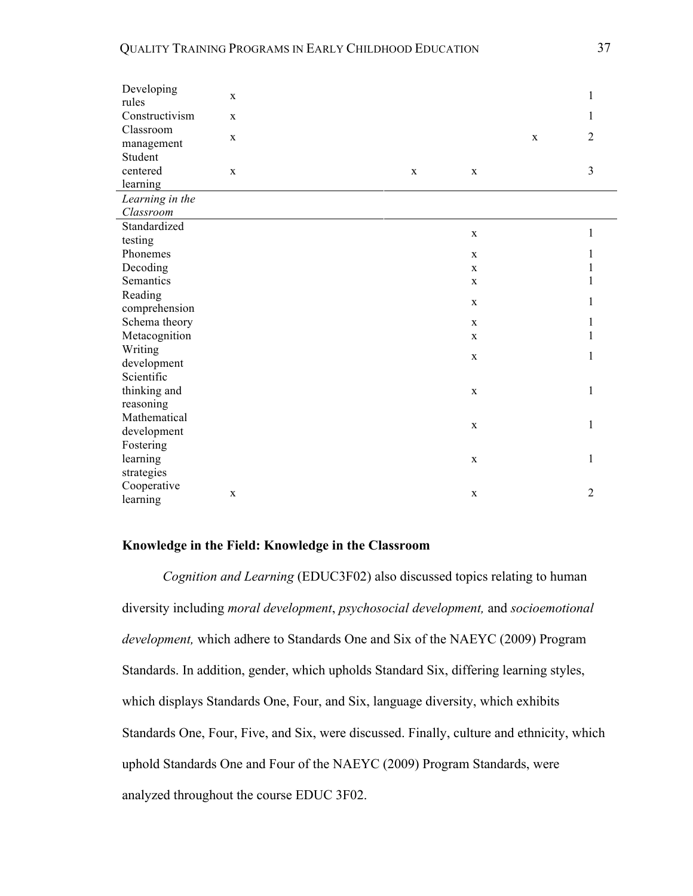| Developing<br>$\mathbf X$<br>rules                     | 1                |
|--------------------------------------------------------|------------------|
| Constructivism<br>$\mathbf X$                          | 1                |
| Classroom<br>$\mathbf X$<br>management                 | 2<br>$\mathbf X$ |
| Student                                                |                  |
| centered<br>$\mathbf{X}$<br>$\mathbf X$<br>$\mathbf X$ | 3                |
| learning                                               |                  |
| Learning in the<br>Classroom                           |                  |
| Standardized                                           |                  |
| $\mathbf X$<br>testing                                 | 1                |
| Phonemes<br>$\mathbf X$                                | 1                |
| Decoding<br>$\mathbf X$                                | 1                |
| Semantics<br>$\mathbf X$                               | 1                |
| Reading                                                |                  |
| $\mathbf X$<br>comprehension                           | 1                |
| Schema theory<br>$\mathbf X$                           | 1                |
| Metacognition<br>$\mathbf X$                           | 1                |
| Writing<br>$\mathbf X$                                 | 1                |
| development                                            |                  |
| Scientific                                             |                  |
| thinking and<br>$\mathbf X$                            | 1                |
| reasoning                                              |                  |
| Mathematical<br>$\mathbf X$                            | 1                |
| development                                            |                  |
| Fostering                                              | 1                |
| learning<br>$\mathbf X$                                |                  |
| strategies<br>Cooperative                              |                  |
|                                                        | $\overline{2}$   |

## **Knowledge in the Field: Knowledge in the Classroom**

*Cognition and Learning* (EDUC3F02) also discussed topics relating to human diversity including *moral development*, *psychosocial development,* and *socioemotional development,* which adhere to Standards One and Six of the NAEYC (2009) Program Standards. In addition, gender, which upholds Standard Six, differing learning styles, which displays Standards One, Four, and Six, language diversity, which exhibits Standards One, Four, Five, and Six, were discussed. Finally, culture and ethnicity, which uphold Standards One and Four of the NAEYC (2009) Program Standards, were analyzed throughout the course EDUC 3F02.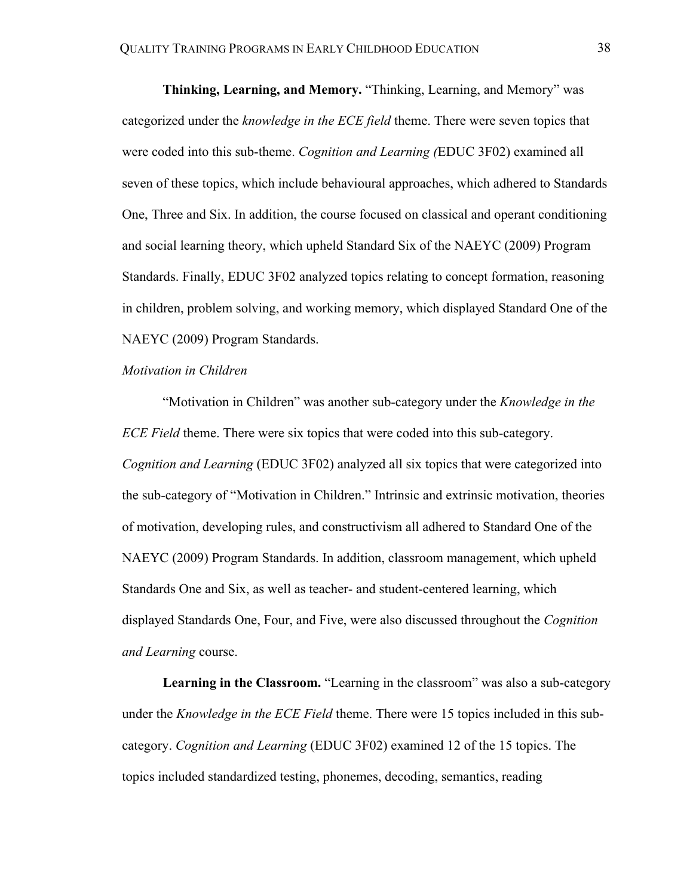**Thinking, Learning, and Memory.** "Thinking, Learning, and Memory" was categorized under the *knowledge in the ECE field* theme. There were seven topics that were coded into this sub-theme. *Cognition and Learning (*EDUC 3F02) examined all seven of these topics, which include behavioural approaches, which adhered to Standards One, Three and Six. In addition, the course focused on classical and operant conditioning and social learning theory, which upheld Standard Six of the NAEYC (2009) Program Standards. Finally, EDUC 3F02 analyzed topics relating to concept formation, reasoning in children, problem solving, and working memory, which displayed Standard One of the NAEYC (2009) Program Standards.

## *Motivation in Children*

"Motivation in Children" was another sub-category under the *Knowledge in the ECE Field* theme. There were six topics that were coded into this sub-category. *Cognition and Learning* (EDUC 3F02) analyzed all six topics that were categorized into the sub-category of "Motivation in Children." Intrinsic and extrinsic motivation, theories of motivation, developing rules, and constructivism all adhered to Standard One of the NAEYC (2009) Program Standards. In addition, classroom management, which upheld Standards One and Six, as well as teacher- and student-centered learning, which displayed Standards One, Four, and Five, were also discussed throughout the *Cognition and Learning* course.

**Learning in the Classroom.** "Learning in the classroom" was also a sub-category under the *Knowledge in the ECE Field* theme. There were 15 topics included in this subcategory. *Cognition and Learning* (EDUC 3F02) examined 12 of the 15 topics. The topics included standardized testing, phonemes, decoding, semantics, reading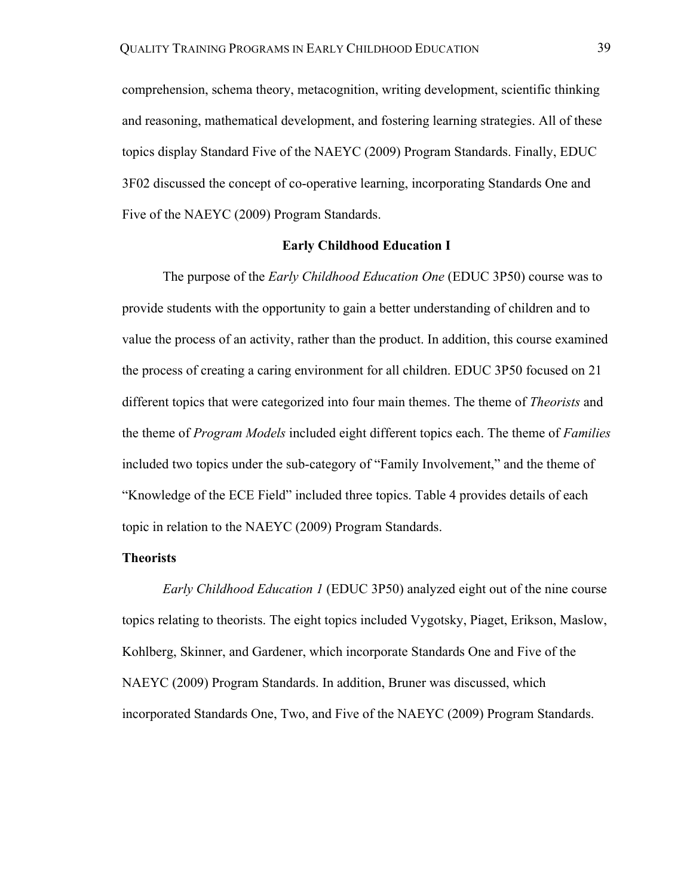comprehension, schema theory, metacognition, writing development, scientific thinking and reasoning, mathematical development, and fostering learning strategies. All of these topics display Standard Five of the NAEYC (2009) Program Standards. Finally, EDUC 3F02 discussed the concept of co-operative learning, incorporating Standards One and Five of the NAEYC (2009) Program Standards.

## **Early Childhood Education I**

The purpose of the *Early Childhood Education One* (EDUC 3P50) course was to provide students with the opportunity to gain a better understanding of children and to value the process of an activity, rather than the product. In addition, this course examined the process of creating a caring environment for all children. EDUC 3P50 focused on 21 different topics that were categorized into four main themes. The theme of *Theorists* and the theme of *Program Models* included eight different topics each. The theme of *Families*  included two topics under the sub-category of "Family Involvement," and the theme of "Knowledge of the ECE Field" included three topics. Table 4 provides details of each topic in relation to the NAEYC (2009) Program Standards.

## **Theorists**

*Early Childhood Education 1* (EDUC 3P50) analyzed eight out of the nine course topics relating to theorists. The eight topics included Vygotsky, Piaget, Erikson, Maslow, Kohlberg, Skinner, and Gardener, which incorporate Standards One and Five of the NAEYC (2009) Program Standards. In addition, Bruner was discussed, which incorporated Standards One, Two, and Five of the NAEYC (2009) Program Standards.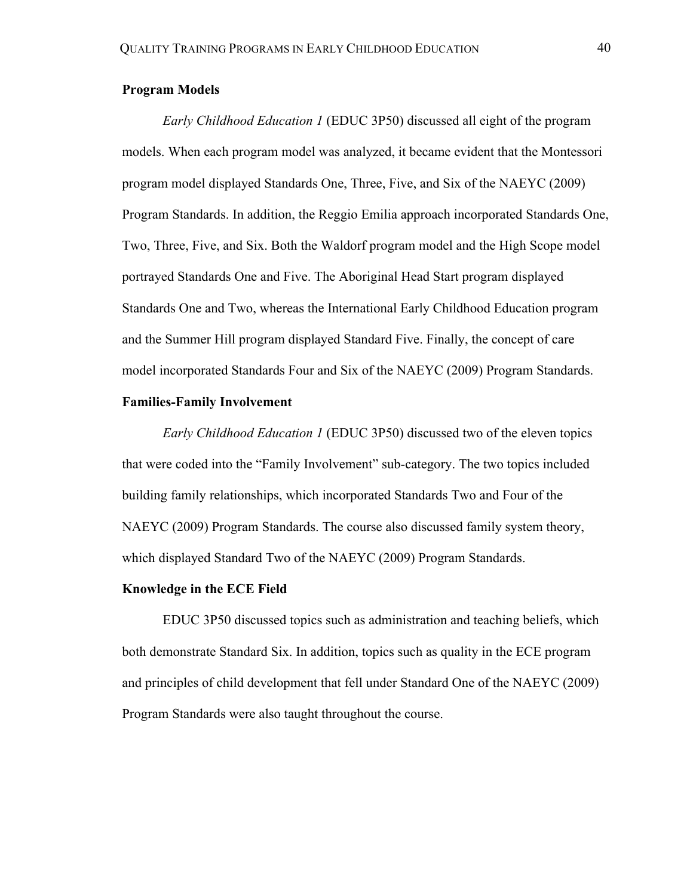## **Program Models**

*Early Childhood Education 1* (EDUC 3P50) discussed all eight of the program models. When each program model was analyzed, it became evident that the Montessori program model displayed Standards One, Three, Five, and Six of the NAEYC (2009) Program Standards. In addition, the Reggio Emilia approach incorporated Standards One, Two, Three, Five, and Six. Both the Waldorf program model and the High Scope model portrayed Standards One and Five. The Aboriginal Head Start program displayed Standards One and Two, whereas the International Early Childhood Education program and the Summer Hill program displayed Standard Five. Finally, the concept of care model incorporated Standards Four and Six of the NAEYC (2009) Program Standards.

## **Families-Family Involvement**

*Early Childhood Education 1* (EDUC 3P50) discussed two of the eleven topics that were coded into the "Family Involvement" sub-category. The two topics included building family relationships, which incorporated Standards Two and Four of the NAEYC (2009) Program Standards. The course also discussed family system theory, which displayed Standard Two of the NAEYC (2009) Program Standards.

### **Knowledge in the ECE Field**

EDUC 3P50 discussed topics such as administration and teaching beliefs, which both demonstrate Standard Six. In addition, topics such as quality in the ECE program and principles of child development that fell under Standard One of the NAEYC (2009) Program Standards were also taught throughout the course.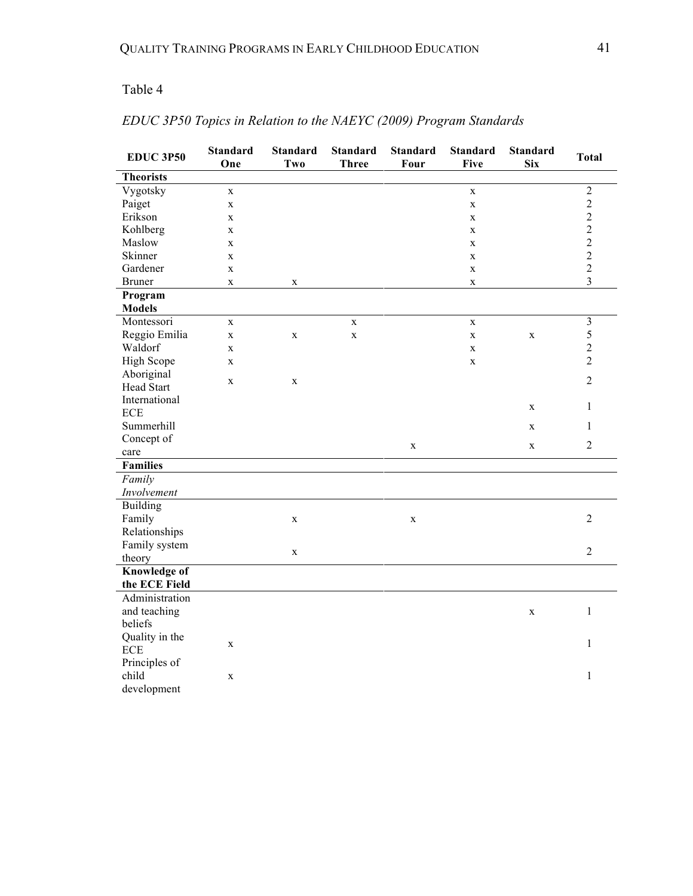## Table 4

| <b>EDUC 3P50</b>    | <b>Standard</b><br>One | <b>Standard</b><br>Two | <b>Standard</b><br><b>Three</b> | <b>Standard</b><br>Four | <b>Standard</b><br><b>Five</b> | <b>Standard</b><br><b>Six</b> | <b>Total</b>   |
|---------------------|------------------------|------------------------|---------------------------------|-------------------------|--------------------------------|-------------------------------|----------------|
| <b>Theorists</b>    |                        |                        |                                 |                         |                                |                               |                |
| Vygotsky            | $\mathbf X$            |                        |                                 |                         | $\mathbf X$                    |                               | $\sqrt{2}$     |
| Paiget              | $\mathbf X$            |                        |                                 |                         | $\mathbf X$                    |                               | $\overline{c}$ |
| Erikson             | $\mathbf{X}$           |                        |                                 |                         | $\mathbf X$                    |                               | $\overline{c}$ |
| Kohlberg            | $\mathbf{X}$           |                        |                                 |                         | $\mathbf X$                    |                               | $\overline{2}$ |
| Maslow              | $\mathbf X$            |                        |                                 |                         | $\mathbf X$                    |                               | $\overline{c}$ |
| Skinner             | $\mathbf{X}$           |                        |                                 |                         | $\mathbf X$                    |                               | $\overline{2}$ |
| Gardener            | $\mathbf X$            |                        |                                 |                         | $\mathbf X$                    |                               | $\overline{c}$ |
| <b>Bruner</b>       | $\mathbf X$            | $\mathbf X$            |                                 |                         | $\mathbf X$                    |                               | $\overline{3}$ |
| Program             |                        |                        |                                 |                         |                                |                               |                |
| <b>Models</b>       |                        |                        |                                 |                         |                                |                               |                |
| Montessori          | $\mathbf{X}$           |                        | $\mathbf{X}$                    |                         | $\mathbf{X}$                   |                               | $\mathfrak{Z}$ |
| Reggio Emilia       | $\mathbf X$            | $\mathbf X$            | $\mathbf X$                     |                         | $\mathbf X$                    | X                             | 5              |
| Waldorf             | $\mathbf X$            |                        |                                 |                         | $\mathbf X$                    |                               | $\overline{c}$ |
| <b>High Scope</b>   | $\mathbf{X}$           |                        |                                 |                         | $\mathbf X$                    |                               | $\overline{2}$ |
| Aboriginal          | $\mathbf X$            |                        |                                 |                         |                                |                               | $\overline{2}$ |
| <b>Head Start</b>   |                        | $\mathbf X$            |                                 |                         |                                |                               |                |
| International       |                        |                        |                                 |                         |                                | X                             | 1              |
| $\rm ECE$           |                        |                        |                                 |                         |                                |                               |                |
| Summerhill          |                        |                        |                                 |                         |                                | X                             | $\mathbf{1}$   |
| Concept of          |                        |                        |                                 | $\mathbf X$             |                                | $\mathbf X$                   | $\overline{2}$ |
| care                |                        |                        |                                 |                         |                                |                               |                |
| <b>Families</b>     |                        |                        |                                 |                         |                                |                               |                |
| Family              |                        |                        |                                 |                         |                                |                               |                |
| Involvement         |                        |                        |                                 |                         |                                |                               |                |
| <b>Building</b>     |                        |                        |                                 |                         |                                |                               |                |
| Family              |                        | $\mathbf X$            |                                 | $\mathbf X$             |                                |                               | $\overline{2}$ |
| Relationships       |                        |                        |                                 |                         |                                |                               |                |
| Family system       |                        | X                      |                                 |                         |                                |                               | $\overline{2}$ |
| theory              |                        |                        |                                 |                         |                                |                               |                |
| <b>Knowledge of</b> |                        |                        |                                 |                         |                                |                               |                |
| the ECE Field       |                        |                        |                                 |                         |                                |                               |                |
| Administration      |                        |                        |                                 |                         |                                |                               |                |
| and teaching        |                        |                        |                                 |                         |                                | $\mathbf X$                   | $\,1$          |
| beliefs             |                        |                        |                                 |                         |                                |                               |                |
| Quality in the      | $\mathbf X$            |                        |                                 |                         |                                |                               | 1              |
| $\rm ECE$           |                        |                        |                                 |                         |                                |                               |                |
| Principles of       |                        |                        |                                 |                         |                                |                               |                |
| child               | $\mathbf X$            |                        |                                 |                         |                                |                               | $\mathbf{1}$   |
| development         |                        |                        |                                 |                         |                                |                               |                |

# *EDUC 3P50 Topics in Relation to the NAEYC (2009) Program Standards*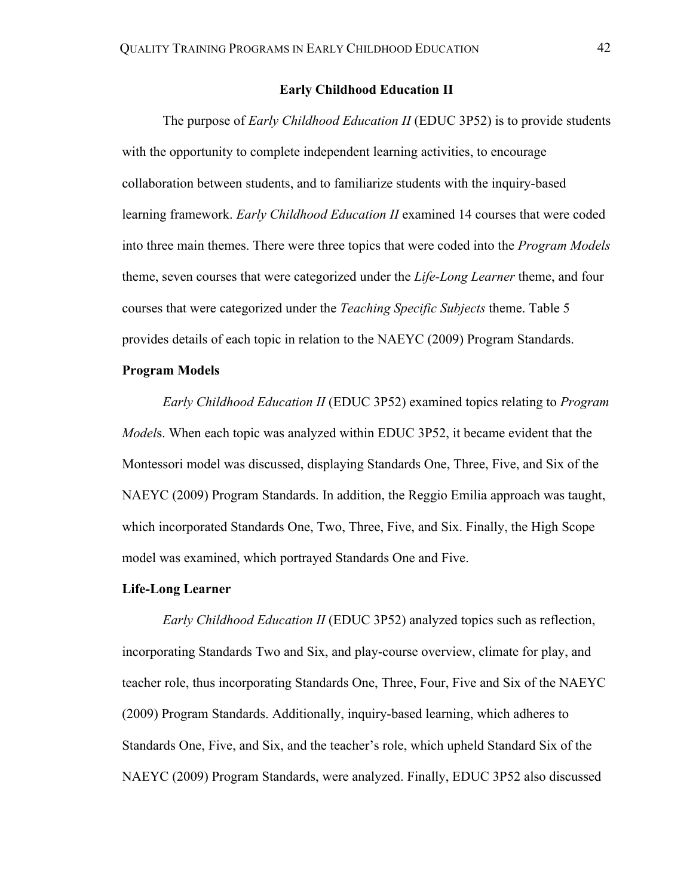## **Early Childhood Education II**

The purpose of *Early Childhood Education II* (EDUC 3P52) is to provide students with the opportunity to complete independent learning activities, to encourage collaboration between students, and to familiarize students with the inquiry-based learning framework. *Early Childhood Education II* examined 14 courses that were coded into three main themes. There were three topics that were coded into the *Program Models*  theme, seven courses that were categorized under the *Life-Long Learner* theme, and four courses that were categorized under the *Teaching Specific Subjects* theme. Table 5 provides details of each topic in relation to the NAEYC (2009) Program Standards.

## **Program Models**

*Early Childhood Education II* (EDUC 3P52) examined topics relating to *Program Model*s. When each topic was analyzed within EDUC 3P52, it became evident that the Montessori model was discussed, displaying Standards One, Three, Five, and Six of the NAEYC (2009) Program Standards. In addition, the Reggio Emilia approach was taught, which incorporated Standards One, Two, Three, Five, and Six. Finally, the High Scope model was examined, which portrayed Standards One and Five.

## **Life-Long Learner**

*Early Childhood Education II* (EDUC 3P52) analyzed topics such as reflection, incorporating Standards Two and Six, and play-course overview, climate for play, and teacher role, thus incorporating Standards One, Three, Four, Five and Six of the NAEYC (2009) Program Standards. Additionally, inquiry-based learning, which adheres to Standards One, Five, and Six, and the teacher's role, which upheld Standard Six of the NAEYC (2009) Program Standards, were analyzed. Finally, EDUC 3P52 also discussed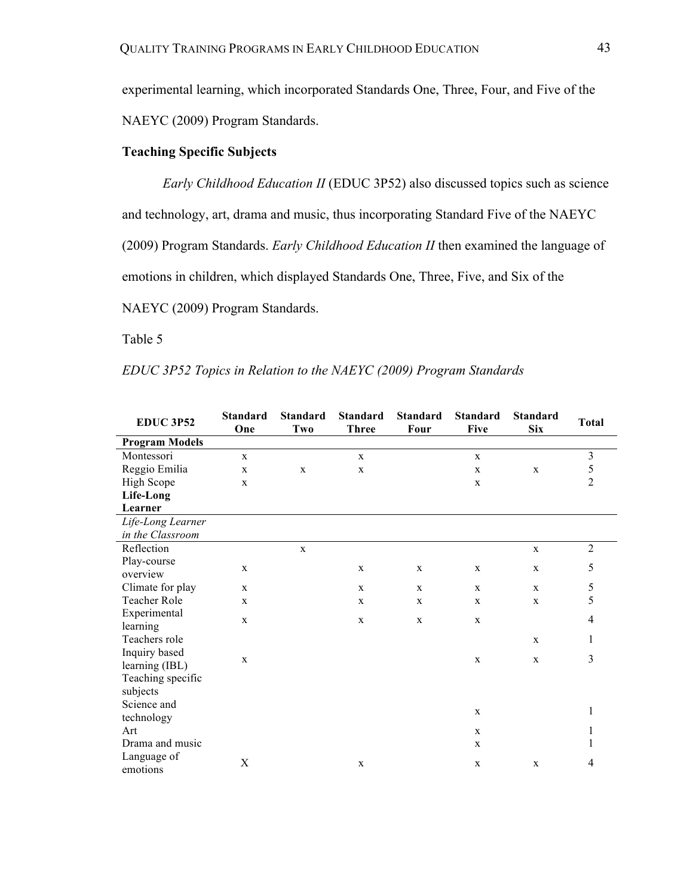experimental learning, which incorporated Standards One, Three, Four, and Five of the NAEYC (2009) Program Standards.

## **Teaching Specific Subjects**

*Early Childhood Education II* (EDUC 3P52) also discussed topics such as science and technology, art, drama and music, thus incorporating Standard Five of the NAEYC (2009) Program Standards. *Early Childhood Education II* then examined the language of emotions in children, which displayed Standards One, Three, Five, and Six of the NAEYC (2009) Program Standards.

Table 5

*EDUC 3P52 Topics in Relation to the NAEYC (2009) Program Standards*

| <b>EDUC 3P52</b>      | <b>Standard</b><br>One | <b>Standard</b><br>Two | <b>Standard</b><br><b>Three</b> | <b>Standard</b><br>Four | <b>Standard</b><br><b>Five</b> | <b>Standard</b><br><b>Six</b> | <b>Total</b>   |
|-----------------------|------------------------|------------------------|---------------------------------|-------------------------|--------------------------------|-------------------------------|----------------|
| <b>Program Models</b> |                        |                        |                                 |                         |                                |                               |                |
| Montessori            | $\mathbf X$            |                        | $\mathbf X$                     |                         | $\mathbf X$                    |                               | $\overline{3}$ |
| Reggio Emilia         | X                      | X                      | $\mathbf{X}$                    |                         | X                              | $\mathbf{X}$                  | 5              |
| High Scope            | X                      |                        |                                 |                         | $\mathbf X$                    |                               | $\overline{2}$ |
| Life-Long             |                        |                        |                                 |                         |                                |                               |                |
| Learner               |                        |                        |                                 |                         |                                |                               |                |
| Life-Long Learner     |                        |                        |                                 |                         |                                |                               |                |
| in the Classroom      |                        |                        |                                 |                         |                                |                               |                |
| Reflection            |                        | $\mathbf X$            |                                 |                         |                                | $\mathbf X$                   | $\overline{2}$ |
| Play-course           | $\mathbf x$            |                        | $\mathbf{X}$                    | $\mathbf X$             | X                              | $\mathbf X$                   | 5              |
| overview              |                        |                        |                                 |                         |                                |                               |                |
| Climate for play      | X                      |                        | X                               | X                       | $\mathbf X$                    | $\mathbf X$                   | $\sqrt{5}$     |
| Teacher Role          | X                      |                        | $\mathbf X$                     | $\mathbf x$             | $\mathbf X$                    | $\mathbf X$                   | 5              |
| Experimental          | X                      |                        | $\mathbf{X}$                    | X                       | X                              |                               | $\overline{4}$ |
| learning              |                        |                        |                                 |                         |                                |                               |                |
| Teachers role         |                        |                        |                                 |                         |                                | $\mathbf{X}$                  | 1              |
| Inquiry based         | X                      |                        |                                 |                         | $\mathbf X$                    | $\mathbf X$                   | 3              |
| learning (IBL)        |                        |                        |                                 |                         |                                |                               |                |
| Teaching specific     |                        |                        |                                 |                         |                                |                               |                |
| subjects              |                        |                        |                                 |                         |                                |                               |                |
| Science and           |                        |                        |                                 |                         | $\mathbf X$                    |                               | 1              |
| technology            |                        |                        |                                 |                         |                                |                               |                |
| Art                   |                        |                        |                                 |                         | $\mathbf X$                    |                               | 1              |
| Drama and music       |                        |                        |                                 |                         | $\mathbf X$                    |                               | 1              |
| Language of           | X                      |                        | $\mathbf X$                     |                         | $\mathbf X$                    | X                             | $\overline{4}$ |
| emotions              |                        |                        |                                 |                         |                                |                               |                |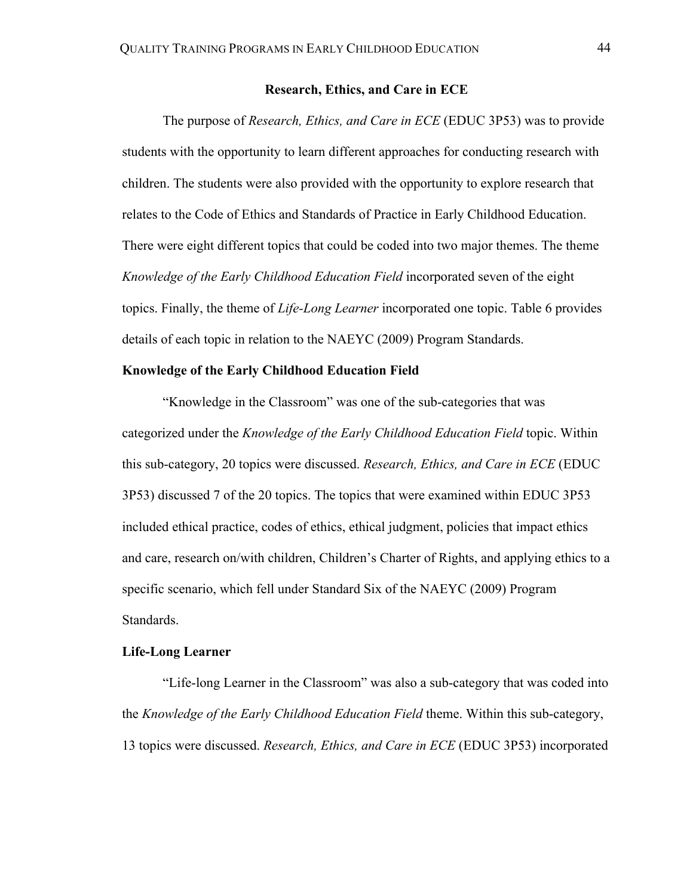## **Research, Ethics, and Care in ECE**

The purpose of *Research, Ethics, and Care in ECE* (EDUC 3P53) was to provide students with the opportunity to learn different approaches for conducting research with children. The students were also provided with the opportunity to explore research that relates to the Code of Ethics and Standards of Practice in Early Childhood Education. There were eight different topics that could be coded into two major themes. The theme *Knowledge of the Early Childhood Education Field* incorporated seven of the eight topics. Finally, the theme of *Life-Long Learner* incorporated one topic. Table 6 provides details of each topic in relation to the NAEYC (2009) Program Standards.

## **Knowledge of the Early Childhood Education Field**

"Knowledge in the Classroom" was one of the sub-categories that was categorized under the *Knowledge of the Early Childhood Education Field* topic. Within this sub-category, 20 topics were discussed. *Research, Ethics, and Care in ECE* (EDUC 3P53) discussed 7 of the 20 topics. The topics that were examined within EDUC 3P53 included ethical practice, codes of ethics, ethical judgment, policies that impact ethics and care, research on/with children, Children's Charter of Rights, and applying ethics to a specific scenario, which fell under Standard Six of the NAEYC (2009) Program Standards.

### **Life-Long Learner**

"Life-long Learner in the Classroom" was also a sub-category that was coded into the *Knowledge of the Early Childhood Education Field* theme. Within this sub-category, 13 topics were discussed. *Research, Ethics, and Care in ECE* (EDUC 3P53) incorporated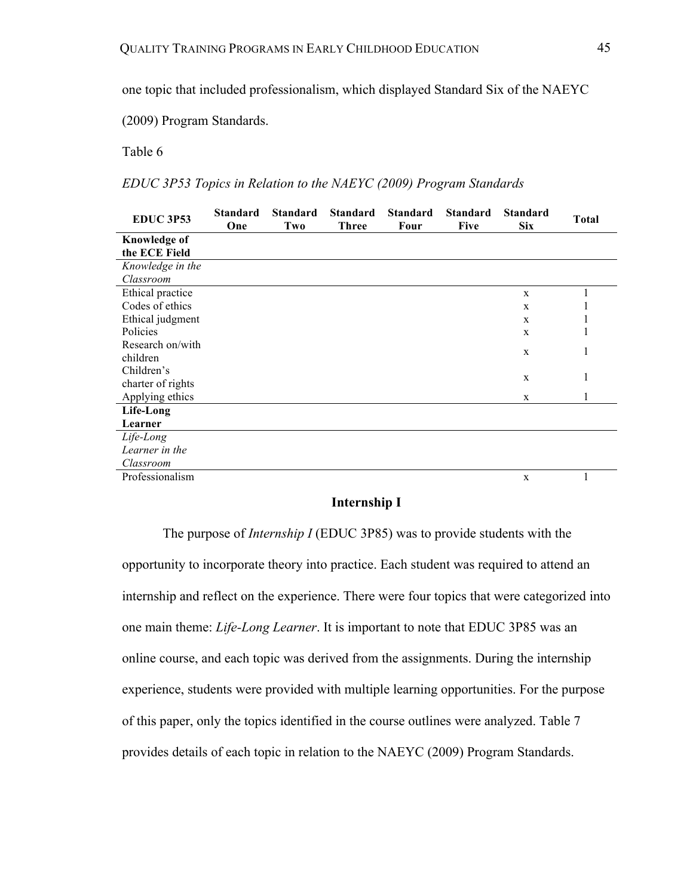one topic that included professionalism, which displayed Standard Six of the NAEYC

(2009) Program Standards.

Table 6

*EDUC 3P53 Topics in Relation to the NAEYC (2009) Program Standards*

| <b>EDUC 3P53</b>    | <b>Standard</b><br>One | <b>Standard</b><br>Two | <b>Standard</b><br><b>Three</b> | <b>Standard</b><br>Four | <b>Standard</b><br><b>Five</b> | <b>Standard</b><br><b>Six</b> | <b>Total</b> |
|---------------------|------------------------|------------------------|---------------------------------|-------------------------|--------------------------------|-------------------------------|--------------|
| <b>Knowledge of</b> |                        |                        |                                 |                         |                                |                               |              |
| the ECE Field       |                        |                        |                                 |                         |                                |                               |              |
| Knowledge in the    |                        |                        |                                 |                         |                                |                               |              |
| Classroom           |                        |                        |                                 |                         |                                |                               |              |
| Ethical practice    |                        |                        |                                 |                         |                                | X                             |              |
| Codes of ethics     |                        |                        |                                 |                         |                                | $\mathbf{x}$                  |              |
| Ethical judgment    |                        |                        |                                 |                         |                                | $\mathbf{x}$                  |              |
| Policies            |                        |                        |                                 |                         |                                | X                             | 1            |
| Research on/with    |                        |                        |                                 |                         |                                | X                             |              |
| children            |                        |                        |                                 |                         |                                |                               | 1            |
| Children's          |                        |                        |                                 |                         |                                | X                             |              |
| charter of rights   |                        |                        |                                 |                         |                                |                               | 1            |
| Applying ethics     |                        |                        |                                 |                         |                                | X                             |              |
| Life-Long           |                        |                        |                                 |                         |                                |                               |              |
| Learner             |                        |                        |                                 |                         |                                |                               |              |
| Life-Long           |                        |                        |                                 |                         |                                |                               |              |
| Learner in the      |                        |                        |                                 |                         |                                |                               |              |
| Classroom           |                        |                        |                                 |                         |                                |                               |              |
| Professionalism     |                        |                        |                                 |                         |                                | $\mathbf X$                   |              |

## **Internship I**

The purpose of *Internship I* (EDUC 3P85) was to provide students with the opportunity to incorporate theory into practice. Each student was required to attend an internship and reflect on the experience. There were four topics that were categorized into one main theme: *Life-Long Learner*. It is important to note that EDUC 3P85 was an online course, and each topic was derived from the assignments. During the internship experience, students were provided with multiple learning opportunities. For the purpose of this paper, only the topics identified in the course outlines were analyzed. Table 7 provides details of each topic in relation to the NAEYC (2009) Program Standards.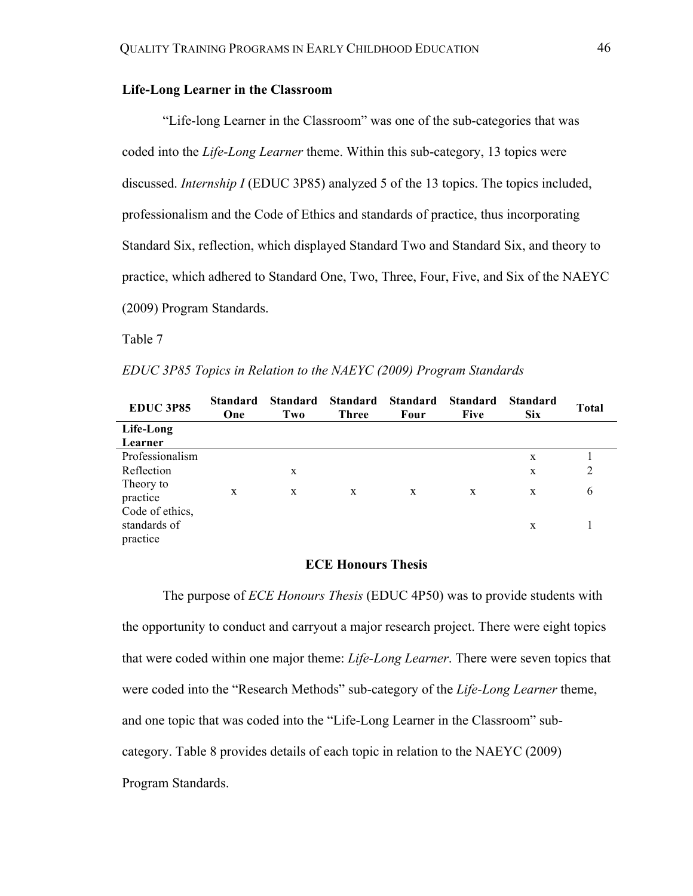## **Life-Long Learner in the Classroom**

"Life-long Learner in the Classroom" was one of the sub-categories that was coded into the *Life-Long Learner* theme. Within this sub-category, 13 topics were discussed. *Internship I* (EDUC 3P85) analyzed 5 of the 13 topics. The topics included, professionalism and the Code of Ethics and standards of practice, thus incorporating Standard Six, reflection, which displayed Standard Two and Standard Six, and theory to practice, which adhered to Standard One, Two, Three, Four, Five, and Six of the NAEYC (2009) Program Standards.

Table 7

| EDUC 3P85 Topics in Relation to the NAEYC (2009) Program Standards |  |  |  |
|--------------------------------------------------------------------|--|--|--|
|--------------------------------------------------------------------|--|--|--|

| <b>EDUC 3P85</b>                            | Standard<br>One | <b>Standard</b><br>Two | <b>Standard</b><br><b>Three</b> | <b>Standard</b><br>Four | <b>Standard</b><br><b>Five</b> | <b>Standard</b><br><b>Six</b> | <b>Total</b>   |
|---------------------------------------------|-----------------|------------------------|---------------------------------|-------------------------|--------------------------------|-------------------------------|----------------|
| Life-Long                                   |                 |                        |                                 |                         |                                |                               |                |
| Learner                                     |                 |                        |                                 |                         |                                |                               |                |
| Professionalism                             |                 |                        |                                 |                         |                                | X                             |                |
| Reflection                                  |                 | X                      |                                 |                         |                                | X                             | $\overline{2}$ |
| Theory to<br>practice                       | X               | X                      | X                               | X                       | X                              | X                             | 6              |
| Code of ethics,<br>standards of<br>practice |                 |                        |                                 |                         |                                | X                             |                |

### **ECE Honours Thesis**

The purpose of *ECE Honours Thesis* (EDUC 4P50) was to provide students with the opportunity to conduct and carryout a major research project. There were eight topics that were coded within one major theme: *Life-Long Learner*. There were seven topics that were coded into the "Research Methods" sub-category of the *Life-Long Learner* theme, and one topic that was coded into the "Life-Long Learner in the Classroom" subcategory. Table 8 provides details of each topic in relation to the NAEYC (2009) Program Standards.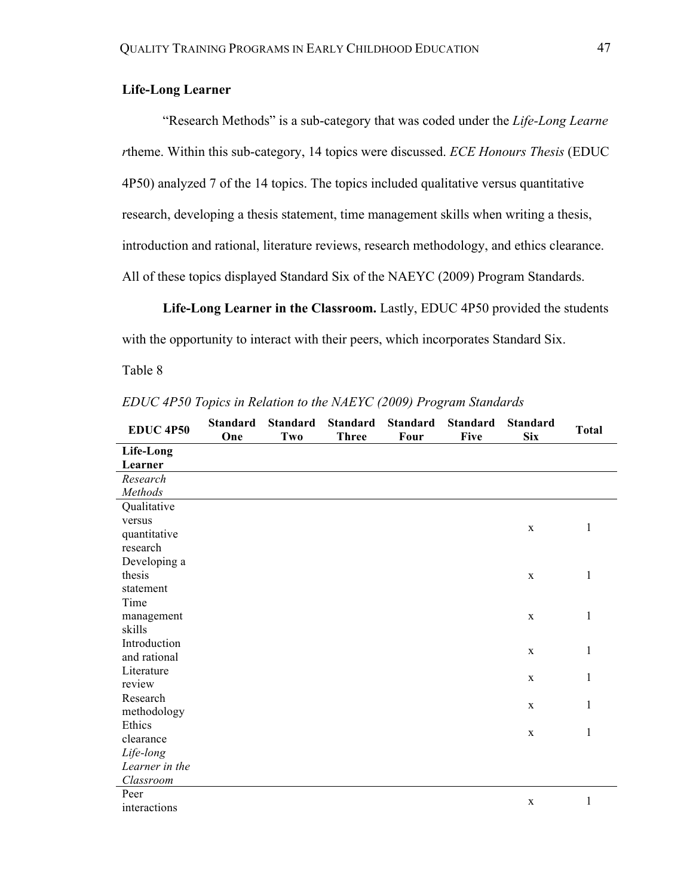## **Life-Long Learner**

"Research Methods" is a sub-category that was coded under the *Life-Long Learne r*theme. Within this sub-category, 14 topics were discussed. *ECE Honours Thesis* (EDUC 4P50) analyzed 7 of the 14 topics. The topics included qualitative versus quantitative research, developing a thesis statement, time management skills when writing a thesis, introduction and rational, literature reviews, research methodology, and ethics clearance. All of these topics displayed Standard Six of the NAEYC (2009) Program Standards.

**Life-Long Learner in the Classroom.** Lastly, EDUC 4P50 provided the students

with the opportunity to interact with their peers, which incorporates Standard Six.

Table 8

| <b>EDUC 4P50</b> | <b>Standard</b><br>One | <b>Standard</b><br>Two | <b>Standard</b><br><b>Three</b> | <b>Standard</b><br>Four | <b>Standard</b><br><b>Five</b> | <b>Standard</b><br><b>Six</b> | <b>Total</b> |  |
|------------------|------------------------|------------------------|---------------------------------|-------------------------|--------------------------------|-------------------------------|--------------|--|
| Life-Long        |                        |                        |                                 |                         |                                |                               |              |  |
| Learner          |                        |                        |                                 |                         |                                |                               |              |  |
| Research         |                        |                        |                                 |                         |                                |                               |              |  |
| Methods          |                        |                        |                                 |                         |                                |                               |              |  |
| Qualitative      |                        |                        |                                 |                         |                                |                               |              |  |
| versus           |                        |                        |                                 |                         |                                | $\mathbf X$                   | $\mathbf{1}$ |  |
| quantitative     |                        |                        |                                 |                         |                                |                               |              |  |
| research         |                        |                        |                                 |                         |                                |                               |              |  |
| Developing a     |                        |                        |                                 |                         |                                |                               |              |  |
| thesis           |                        |                        |                                 |                         |                                | $\mathbf X$                   | 1            |  |
| statement        |                        |                        |                                 |                         |                                |                               |              |  |
| Time             |                        |                        |                                 |                         |                                |                               |              |  |
| management       |                        |                        |                                 |                         |                                | $\mathbf X$                   | $\mathbf{1}$ |  |
| skills           |                        |                        |                                 |                         |                                |                               |              |  |
| Introduction     |                        |                        |                                 |                         |                                | $\mathbf X$                   | $\mathbf{1}$ |  |
| and rational     |                        |                        |                                 |                         |                                |                               |              |  |
| Literature       |                        |                        |                                 |                         |                                | $\mathbf X$                   | 1            |  |
| review           |                        |                        |                                 |                         |                                |                               |              |  |
| Research         |                        |                        |                                 |                         |                                | $\mathbf X$                   | 1            |  |
| methodology      |                        |                        |                                 |                         |                                |                               |              |  |
| Ethics           |                        |                        |                                 |                         |                                | $\mathbf X$                   | 1            |  |
| clearance        |                        |                        |                                 |                         |                                |                               |              |  |
| Life-long        |                        |                        |                                 |                         |                                |                               |              |  |
| Learner in the   |                        |                        |                                 |                         |                                |                               |              |  |
| Classroom        |                        |                        |                                 |                         |                                |                               |              |  |
| Peer             |                        |                        |                                 |                         |                                | $\mathbf X$                   | $\mathbf{1}$ |  |
| interactions     |                        |                        |                                 |                         |                                |                               |              |  |

*EDUC 4P50 Topics in Relation to the NAEYC (2009) Program Standards*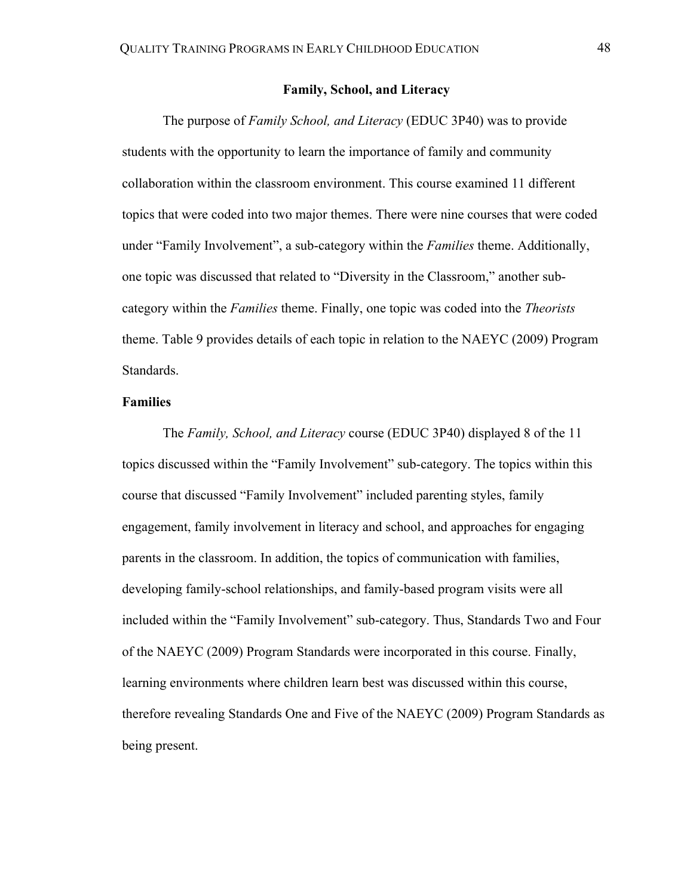## **Family, School, and Literacy**

The purpose of *Family School, and Literacy* (EDUC 3P40) was to provide students with the opportunity to learn the importance of family and community collaboration within the classroom environment. This course examined 11 different topics that were coded into two major themes. There were nine courses that were coded under "Family Involvement", a sub-category within the *Families* theme. Additionally, one topic was discussed that related to "Diversity in the Classroom," another subcategory within the *Families* theme. Finally, one topic was coded into the *Theorists* theme. Table 9 provides details of each topic in relation to the NAEYC (2009) Program Standards.

### **Families**

The *Family, School, and Literacy* course (EDUC 3P40) displayed 8 of the 11 topics discussed within the "Family Involvement" sub-category. The topics within this course that discussed "Family Involvement" included parenting styles, family engagement, family involvement in literacy and school, and approaches for engaging parents in the classroom. In addition, the topics of communication with families, developing family-school relationships, and family-based program visits were all included within the "Family Involvement" sub-category. Thus, Standards Two and Four of the NAEYC (2009) Program Standards were incorporated in this course. Finally, learning environments where children learn best was discussed within this course, therefore revealing Standards One and Five of the NAEYC (2009) Program Standards as being present.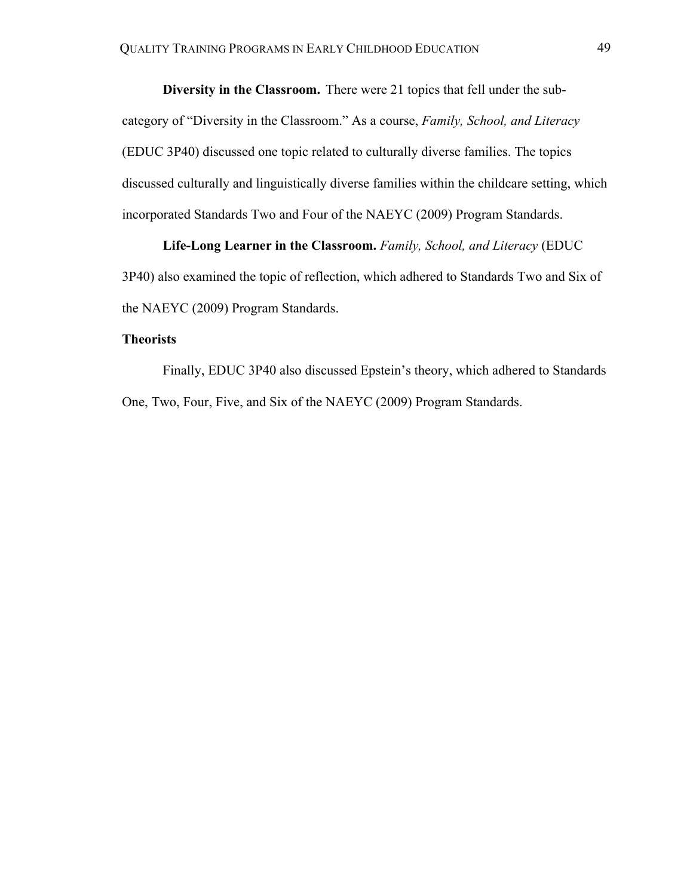**Diversity in the Classroom.** There were 21 topics that fell under the subcategory of "Diversity in the Classroom." As a course, *Family, School, and Literacy* (EDUC 3P40) discussed one topic related to culturally diverse families. The topics discussed culturally and linguistically diverse families within the childcare setting, which incorporated Standards Two and Four of the NAEYC (2009) Program Standards.

**Life-Long Learner in the Classroom.** *Family, School, and Literacy* (EDUC 3P40) also examined the topic of reflection, which adhered to Standards Two and Six of the NAEYC (2009) Program Standards.

## **Theorists**

Finally, EDUC 3P40 also discussed Epstein's theory, which adhered to Standards One, Two, Four, Five, and Six of the NAEYC (2009) Program Standards.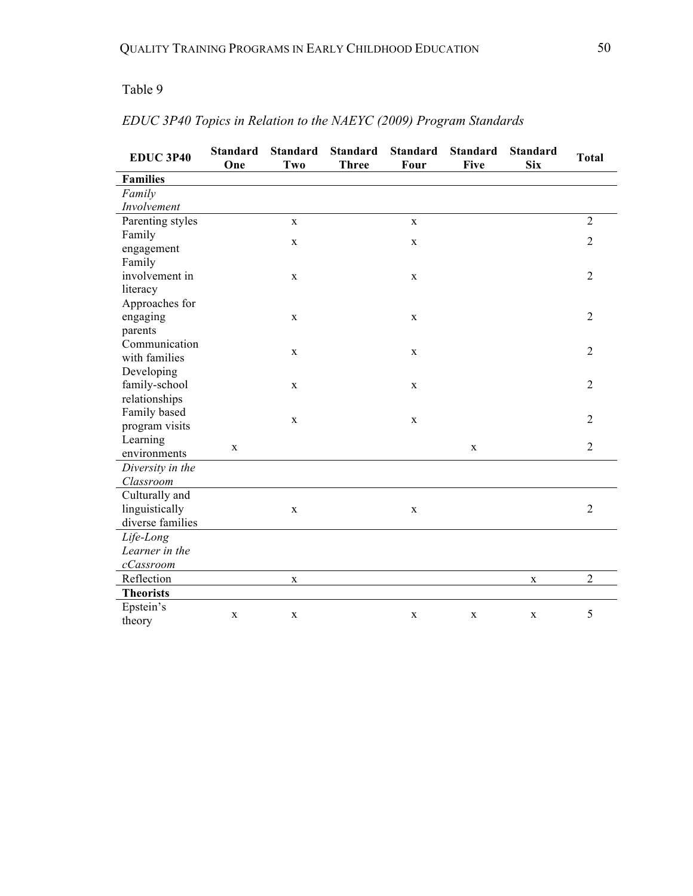## Table 9

| <b>EDUC 3P40</b>     | <b>Standard</b><br>One | <b>Standard</b><br>Two | <b>Standard</b><br><b>Three</b> | <b>Standard</b><br>Four | <b>Standard</b><br><b>Five</b> | <b>Standard</b><br><b>Six</b> | <b>Total</b>   |
|----------------------|------------------------|------------------------|---------------------------------|-------------------------|--------------------------------|-------------------------------|----------------|
| <b>Families</b>      |                        |                        |                                 |                         |                                |                               |                |
| Family               |                        |                        |                                 |                         |                                |                               |                |
| Involvement          |                        |                        |                                 |                         |                                |                               |                |
| Parenting styles     |                        | $\mathbf{X}$           |                                 | $\mathbf X$             |                                |                               | $\overline{2}$ |
| Family               |                        |                        |                                 |                         |                                |                               |                |
| engagement           |                        | $\mathbf{X}$           |                                 | $\mathbf X$             |                                |                               | $\overline{2}$ |
| Family               |                        |                        |                                 |                         |                                |                               |                |
| involvement in       |                        | $\mathbf X$            |                                 | $\mathbf X$             |                                |                               | $\overline{2}$ |
| literacy             |                        |                        |                                 |                         |                                |                               |                |
| Approaches for       |                        |                        |                                 |                         |                                |                               |                |
| engaging             |                        | $\mathbf{X}$           |                                 | $\mathbf X$             |                                |                               | $\overline{2}$ |
| parents              |                        |                        |                                 |                         |                                |                               |                |
| Communication        |                        |                        |                                 |                         |                                |                               |                |
| with families        |                        | $\mathbf X$            |                                 | X                       |                                |                               | $\overline{2}$ |
| Developing           |                        |                        |                                 |                         |                                |                               |                |
| family-school        |                        | $\mathbf X$            |                                 | $\mathbf X$             |                                |                               | $\overline{2}$ |
| relationships        |                        |                        |                                 |                         |                                |                               |                |
| Family based         |                        |                        |                                 |                         |                                |                               |                |
| program visits       |                        | $\mathbf X$            |                                 | $\mathbf X$             |                                |                               | $\overline{2}$ |
| Learning             |                        |                        |                                 |                         |                                |                               |                |
| environments         | $\mathbf X$            |                        |                                 |                         | $\mathbf X$                    |                               | $\overline{2}$ |
| Diversity in the     |                        |                        |                                 |                         |                                |                               |                |
| Classroom            |                        |                        |                                 |                         |                                |                               |                |
| Culturally and       |                        |                        |                                 |                         |                                |                               |                |
| linguistically       |                        | $\mathbf X$            |                                 | $\mathbf X$             |                                |                               | $\overline{2}$ |
| diverse families     |                        |                        |                                 |                         |                                |                               |                |
| Life-Long            |                        |                        |                                 |                         |                                |                               |                |
| Learner in the       |                        |                        |                                 |                         |                                |                               |                |
| $c\mathit{C}assroom$ |                        |                        |                                 |                         |                                |                               |                |
| Reflection           |                        | $\mathbf X$            |                                 |                         |                                | X                             | $\overline{2}$ |
| <b>Theorists</b>     |                        |                        |                                 |                         |                                |                               |                |
| Epstein's            |                        |                        |                                 |                         |                                |                               |                |
| theory               | $\mathbf X$            | $\mathbf{X}$           |                                 | $\mathbf X$             | $\mathbf X$                    | $\mathbf X$                   | 5              |

# *EDUC 3P40 Topics in Relation to the NAEYC (2009) Program Standards*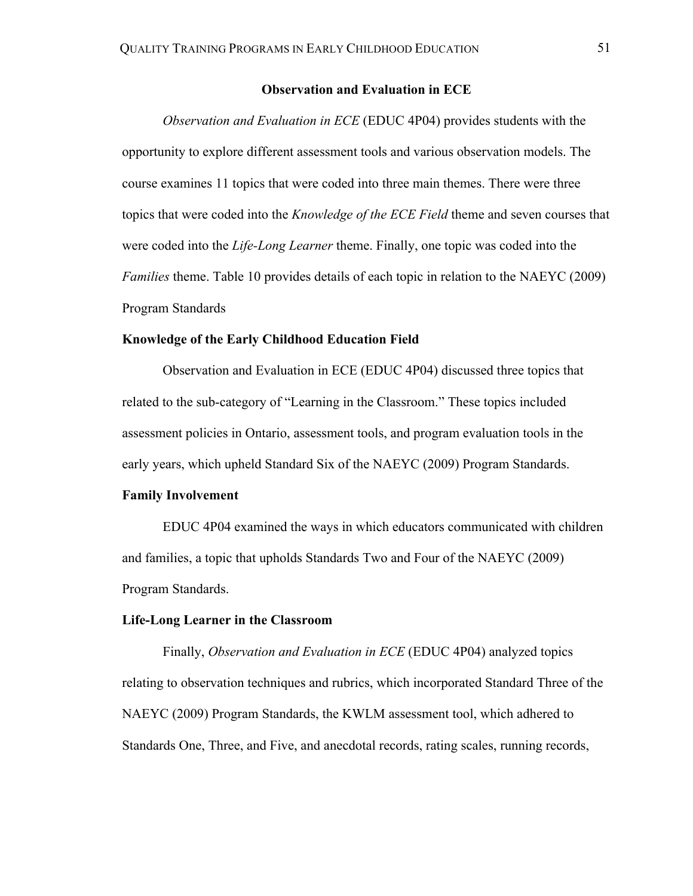## **Observation and Evaluation in ECE**

*Observation and Evaluation in ECE* (EDUC 4P04) provides students with the opportunity to explore different assessment tools and various observation models. The course examines 11 topics that were coded into three main themes. There were three topics that were coded into the *Knowledge of the ECE Field* theme and seven courses that were coded into the *Life-Long Learner* theme. Finally, one topic was coded into the *Families* theme. Table 10 provides details of each topic in relation to the NAEYC (2009) Program Standards

## **Knowledge of the Early Childhood Education Field**

Observation and Evaluation in ECE (EDUC 4P04) discussed three topics that related to the sub-category of "Learning in the Classroom." These topics included assessment policies in Ontario, assessment tools, and program evaluation tools in the early years, which upheld Standard Six of the NAEYC (2009) Program Standards.

#### **Family Involvement**

EDUC 4P04 examined the ways in which educators communicated with children and families, a topic that upholds Standards Two and Four of the NAEYC (2009) Program Standards.

#### **Life-Long Learner in the Classroom**

Finally, *Observation and Evaluation in ECE* (EDUC 4P04) analyzed topics relating to observation techniques and rubrics, which incorporated Standard Three of the NAEYC (2009) Program Standards, the KWLM assessment tool, which adhered to Standards One, Three, and Five, and anecdotal records, rating scales, running records,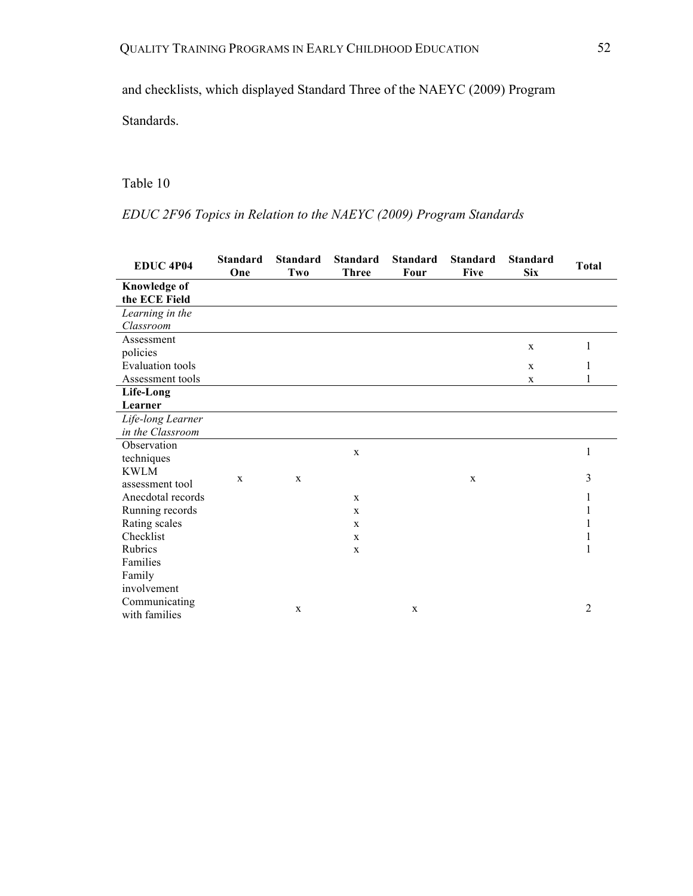and checklists, which displayed Standard Three of the NAEYC (2009) Program

Standards.

## Table 10

# *EDUC 2F96 Topics in Relation to the NAEYC (2009) Program Standards*

| EDUC <sub>4P04</sub>                 | <b>Standard</b><br>One | <b>Standard</b><br>Two | <b>Standard</b><br><b>Three</b> | <b>Standard</b><br><b>Four</b> | <b>Standard</b><br><b>Five</b> | <b>Standard</b><br><b>Six</b> | <b>Total</b>   |
|--------------------------------------|------------------------|------------------------|---------------------------------|--------------------------------|--------------------------------|-------------------------------|----------------|
| <b>Knowledge of</b><br>the ECE Field |                        |                        |                                 |                                |                                |                               |                |
| Learning in the                      |                        |                        |                                 |                                |                                |                               |                |
| Classroom                            |                        |                        |                                 |                                |                                |                               |                |
| Assessment                           |                        |                        |                                 |                                |                                | X                             | 1              |
| policies                             |                        |                        |                                 |                                |                                |                               |                |
| <b>Evaluation</b> tools              |                        |                        |                                 |                                |                                | $\mathbf x$                   | 1              |
| Assessment tools                     |                        |                        |                                 |                                |                                | $\mathbf x$                   | 1              |
| Life-Long                            |                        |                        |                                 |                                |                                |                               |                |
| Learner                              |                        |                        |                                 |                                |                                |                               |                |
| Life-long Learner                    |                        |                        |                                 |                                |                                |                               |                |
| in the Classroom                     |                        |                        |                                 |                                |                                |                               |                |
| Observation                          |                        |                        | X                               |                                |                                |                               | 1              |
| techniques                           |                        |                        |                                 |                                |                                |                               |                |
| <b>KWLM</b>                          | X                      | $\mathbf X$            |                                 |                                | X                              |                               | 3              |
| assessment tool                      |                        |                        |                                 |                                |                                |                               |                |
| Anecdotal records                    |                        |                        | $\mathbf{X}$                    |                                |                                |                               | 1              |
| Running records                      |                        |                        | X                               |                                |                                |                               | 1              |
| Rating scales                        |                        |                        | X                               |                                |                                |                               | 1              |
| Checklist                            |                        |                        | $\mathbf{X}$                    |                                |                                |                               | 1              |
| Rubrics                              |                        |                        | $\mathbf X$                     |                                |                                |                               | 1              |
| Families                             |                        |                        |                                 |                                |                                |                               |                |
| Family                               |                        |                        |                                 |                                |                                |                               |                |
| involvement                          |                        |                        |                                 |                                |                                |                               |                |
| Communicating<br>with families       |                        | X                      |                                 | $\mathbf x$                    |                                |                               | $\overline{2}$ |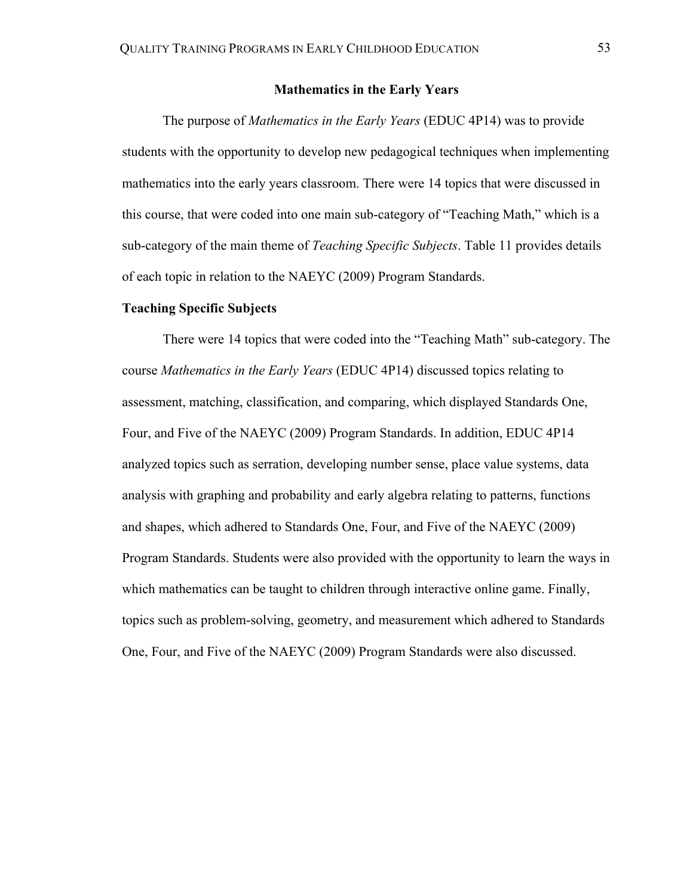## **Mathematics in the Early Years**

The purpose of *Mathematics in the Early Years* (EDUC 4P14) was to provide students with the opportunity to develop new pedagogical techniques when implementing mathematics into the early years classroom. There were 14 topics that were discussed in this course, that were coded into one main sub-category of "Teaching Math," which is a sub-category of the main theme of *Teaching Specific Subjects*. Table 11 provides details of each topic in relation to the NAEYC (2009) Program Standards.

#### **Teaching Specific Subjects**

There were 14 topics that were coded into the "Teaching Math" sub-category. The course *Mathematics in the Early Years* (EDUC 4P14) discussed topics relating to assessment, matching, classification, and comparing, which displayed Standards One, Four, and Five of the NAEYC (2009) Program Standards. In addition, EDUC 4P14 analyzed topics such as serration, developing number sense, place value systems, data analysis with graphing and probability and early algebra relating to patterns, functions and shapes, which adhered to Standards One, Four, and Five of the NAEYC (2009) Program Standards. Students were also provided with the opportunity to learn the ways in which mathematics can be taught to children through interactive online game. Finally, topics such as problem-solving, geometry, and measurement which adhered to Standards One, Four, and Five of the NAEYC (2009) Program Standards were also discussed.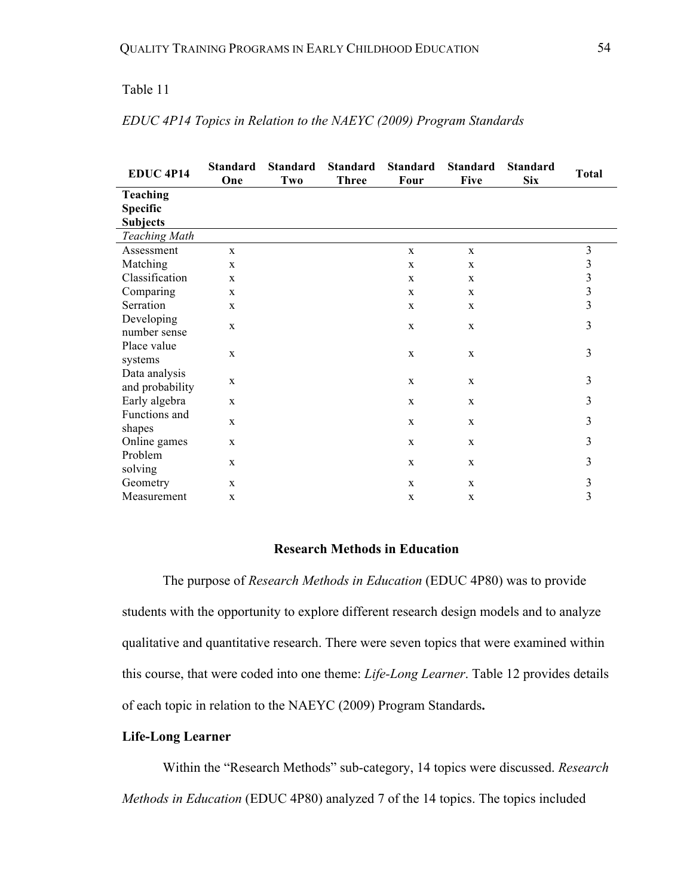## Table 11

| <b>EDUC 4P14</b>                 | <b>Standard</b><br>One | <b>Standard</b><br>Two | <b>Standard</b><br><b>Three</b> | <b>Standard</b><br>Four | <b>Standard</b><br><b>Five</b> | <b>Standard</b><br><b>Six</b> | <b>Total</b>                               |
|----------------------------------|------------------------|------------------------|---------------------------------|-------------------------|--------------------------------|-------------------------------|--------------------------------------------|
| <b>Teaching</b>                  |                        |                        |                                 |                         |                                |                               |                                            |
| <b>Specific</b>                  |                        |                        |                                 |                         |                                |                               |                                            |
| <b>Subjects</b>                  |                        |                        |                                 |                         |                                |                               |                                            |
| <b>Teaching Math</b>             |                        |                        |                                 |                         |                                |                               |                                            |
| Assessment                       | $\mathbf{x}$           |                        |                                 | $\mathbf{X}$            | $\mathbf{X}$                   |                               | $\mathfrak{Z}$                             |
| Matching                         | $\mathbf{x}$           |                        |                                 | $\mathbf X$             | X                              |                               |                                            |
| Classification                   | $\mathbf{x}$           |                        |                                 | X                       | X                              |                               | $\begin{array}{c} 3 \\ 3 \\ 3 \end{array}$ |
| Comparing                        | $\mathbf{x}$           |                        |                                 | X                       | X                              |                               |                                            |
| Serration                        | $\mathbf{x}$           |                        |                                 | X                       | X                              |                               | $\overline{3}$                             |
| Developing<br>number sense       | $\mathbf{X}$           |                        |                                 | $\mathbf X$             | $\mathbf X$                    |                               | 3                                          |
| Place value<br>systems           | $\mathbf X$            |                        |                                 | $\mathbf X$             | $\mathbf X$                    |                               | 3                                          |
| Data analysis<br>and probability | $\mathbf X$            |                        |                                 | $\mathbf X$             | $\mathbf X$                    |                               | 3                                          |
| Early algebra                    | $\mathbf{X}$           |                        |                                 | $\mathbf{X}$            | $\mathbf X$                    |                               | 3                                          |
| Functions and<br>shapes          | $\mathbf{x}$           |                        |                                 | $\mathbf{X}$            | X                              |                               | 3                                          |
| Online games                     | $\mathbf{X}$           |                        |                                 | $\mathbf X$             | $\mathbf{X}$                   |                               | 3                                          |
| Problem<br>solving               | $\mathbf{X}$           |                        |                                 | $\mathbf X$             | $\mathbf{X}$                   |                               | 3                                          |
| Geometry                         | $\mathbf{X}$           |                        |                                 | X                       | X                              |                               | $\mathfrak{Z}$                             |
| Measurement                      | $\mathbf{X}$           |                        |                                 | $\mathbf X$             | X                              |                               | 3                                          |

## *EDUC 4P14 Topics in Relation to the NAEYC (2009) Program Standards*

## **Research Methods in Education**

The purpose of *Research Methods in Education* (EDUC 4P80) was to provide students with the opportunity to explore different research design models and to analyze qualitative and quantitative research. There were seven topics that were examined within this course, that were coded into one theme: *Life-Long Learner*. Table 12 provides details of each topic in relation to the NAEYC (2009) Program Standards**.**

## **Life-Long Learner**

Within the "Research Methods" sub-category, 14 topics were discussed. *Research Methods in Education* (EDUC 4P80) analyzed 7 of the 14 topics. The topics included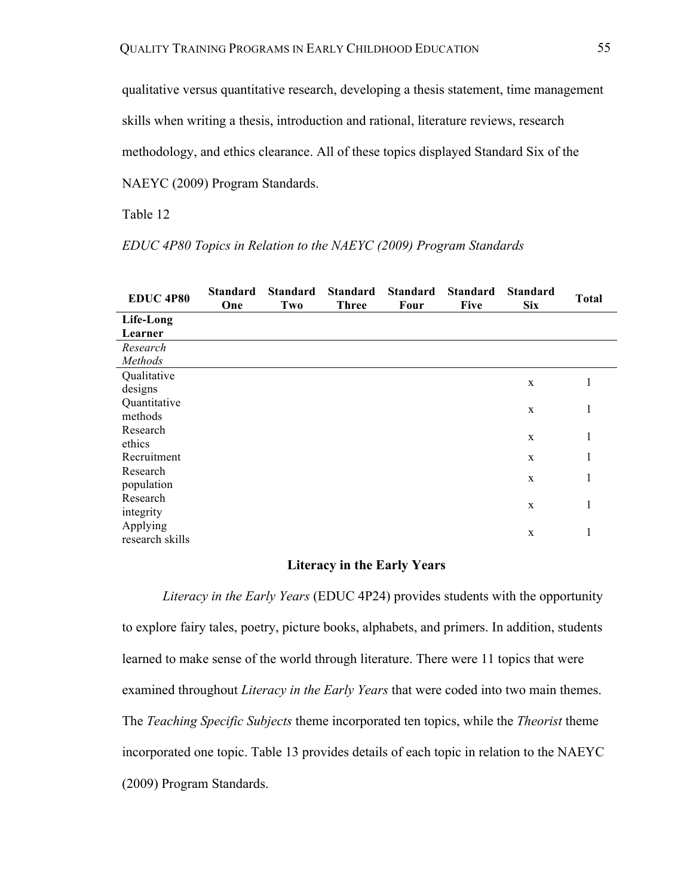qualitative versus quantitative research, developing a thesis statement, time management

skills when writing a thesis, introduction and rational, literature reviews, research

methodology, and ethics clearance. All of these topics displayed Standard Six of the

NAEYC (2009) Program Standards.

Table 12

*EDUC 4P80 Topics in Relation to the NAEYC (2009) Program Standards*

| <b>EDUC 4P80</b> | <b>Standard</b><br>One | <b>Standard</b><br>Two | <b>Standard</b><br><b>Three</b> | <b>Standard</b><br><b>Four</b> | <b>Standard</b><br><b>Five</b> | <b>Standard</b><br><b>Six</b> | <b>Total</b> |
|------------------|------------------------|------------------------|---------------------------------|--------------------------------|--------------------------------|-------------------------------|--------------|
| Life-Long        |                        |                        |                                 |                                |                                |                               |              |
| Learner          |                        |                        |                                 |                                |                                |                               |              |
| Research         |                        |                        |                                 |                                |                                |                               |              |
| Methods          |                        |                        |                                 |                                |                                |                               |              |
| Qualitative      |                        |                        |                                 |                                |                                |                               | 1            |
| designs          |                        |                        |                                 |                                |                                | $\mathbf X$                   |              |
| Quantitative     |                        |                        |                                 |                                |                                |                               | 1            |
| methods          |                        |                        |                                 |                                |                                | $\mathbf X$                   |              |
| Research         |                        |                        |                                 |                                |                                |                               |              |
| ethics           |                        |                        |                                 |                                |                                | $\mathbf X$                   | 1            |
| Recruitment      |                        |                        |                                 |                                |                                | $\mathbf{X}$                  | 1            |
| Research         |                        |                        |                                 |                                |                                |                               | 1            |
| population       |                        |                        |                                 |                                |                                | $\mathbf X$                   |              |
| Research         |                        |                        |                                 |                                |                                | $\mathbf X$                   | 1            |
| integrity        |                        |                        |                                 |                                |                                |                               |              |
| Applying         |                        |                        |                                 |                                |                                |                               | 1            |
| research skills  |                        |                        |                                 |                                |                                | $\mathbf X$                   |              |

## **Literacy in the Early Years**

*Literacy in the Early Years* (EDUC 4P24) provides students with the opportunity to explore fairy tales, poetry, picture books, alphabets, and primers. In addition, students learned to make sense of the world through literature. There were 11 topics that were examined throughout *Literacy in the Early Years* that were coded into two main themes. The *Teaching Specific Subjects* theme incorporated ten topics, while the *Theorist* theme incorporated one topic. Table 13 provides details of each topic in relation to the NAEYC (2009) Program Standards.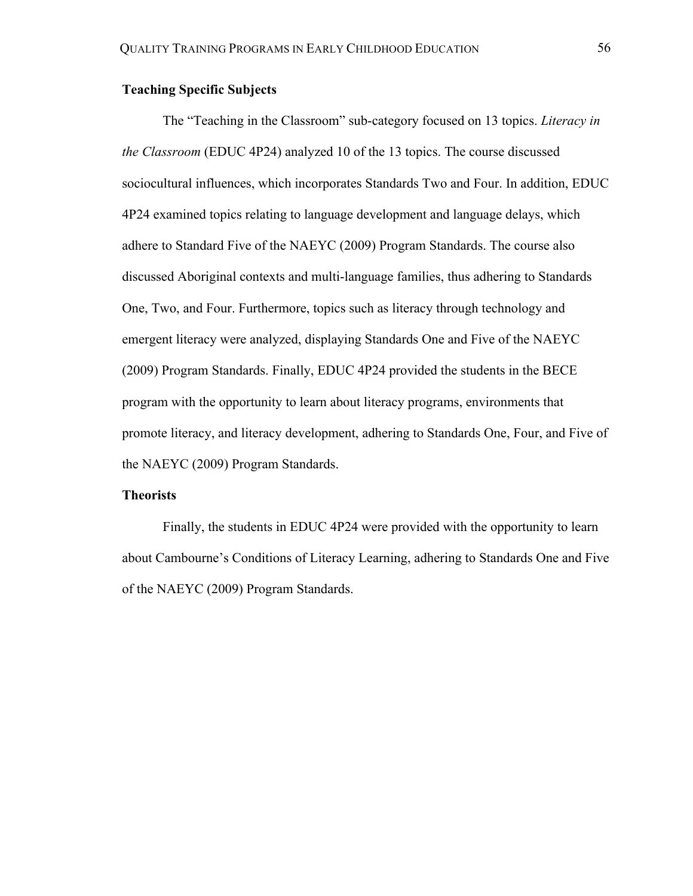## **Teaching Specific Subjects**

The "Teaching in the Classroom" sub-category focused on 13 topics. *Literacy in the Classroom* (EDUC 4P24) analyzed 10 of the 13 topics. The course discussed sociocultural influences, which incorporates Standards Two and Four. In addition, EDUC 4P24 examined topics relating to language development and language delays, which adhere to Standard Five of the NAEYC (2009) Program Standards. The course also discussed Aboriginal contexts and multi-language families, thus adhering to Standards One, Two, and Four. Furthermore, topics such as literacy through technology and emergent literacy were analyzed, displaying Standards One and Five of the NAEYC (2009) Program Standards. Finally, EDUC 4P24 provided the students in the BECE program with the opportunity to learn about literacy programs, environments that promote literacy, and literacy development, adhering to Standards One, Four, and Five of the NAEYC (2009) Program Standards.

### **Theorists**

Finally, the students in EDUC 4P24 were provided with the opportunity to learn about Cambourne's Conditions of Literacy Learning, adhering to Standards One and Five of the NAEYC (2009) Program Standards.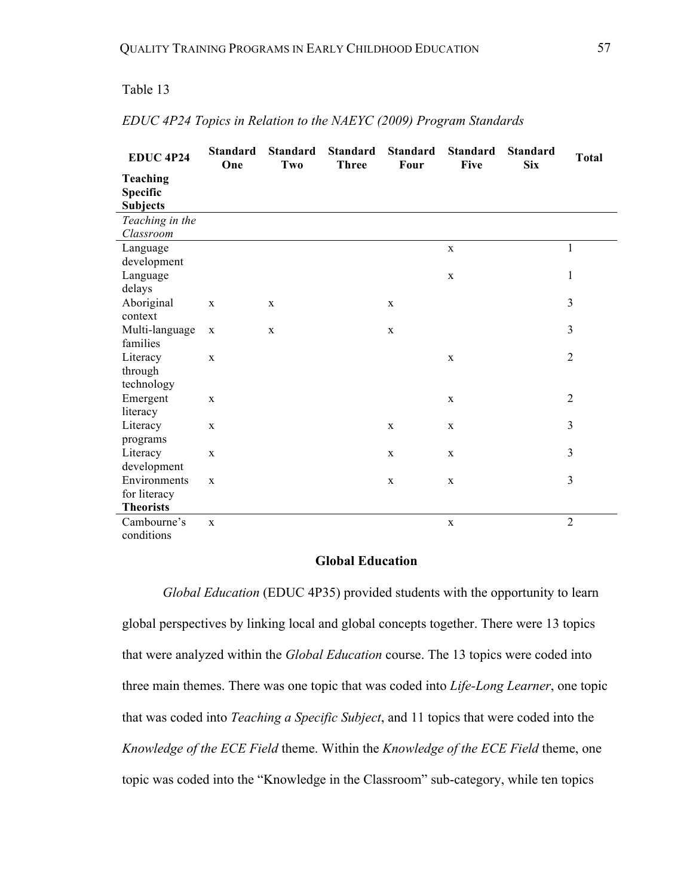## Table 13

| <b>EDUC 4P24</b> | <b>Standard</b><br>One | <b>Standard</b><br>Two | <b>Standard</b><br><b>Three</b> | <b>Standard</b><br>Four | <b>Standard</b><br>Five | <b>Standard</b><br><b>Six</b> | <b>Total</b>   |
|------------------|------------------------|------------------------|---------------------------------|-------------------------|-------------------------|-------------------------------|----------------|
| Teaching         |                        |                        |                                 |                         |                         |                               |                |
| Specific         |                        |                        |                                 |                         |                         |                               |                |
| <b>Subjects</b>  |                        |                        |                                 |                         |                         |                               |                |
| Teaching in the  |                        |                        |                                 |                         |                         |                               |                |
| Classroom        |                        |                        |                                 |                         |                         |                               |                |
| Language         |                        |                        |                                 |                         | $\mathbf X$             |                               | $\mathbf{1}$   |
| development      |                        |                        |                                 |                         |                         |                               |                |
| Language         |                        |                        |                                 |                         | $\mathbf{X}$            |                               | 1              |
| delays           |                        |                        |                                 |                         |                         |                               |                |
| Aboriginal       | $\mathbf X$            | X                      |                                 | $\mathbf X$             |                         |                               | 3              |
| context          |                        |                        |                                 |                         |                         |                               |                |
| Multi-language   | $\mathbf X$            | $\mathbf X$            |                                 | $\mathbf X$             |                         |                               | 3              |
| families         |                        |                        |                                 |                         |                         |                               |                |
| Literacy         | $\mathbf X$            |                        |                                 |                         | $\mathbf X$             |                               | $\overline{2}$ |
| through          |                        |                        |                                 |                         |                         |                               |                |
| technology       |                        |                        |                                 |                         |                         |                               |                |
| Emergent         | $\mathbf{x}$           |                        |                                 |                         | $\mathbf X$             |                               | $\overline{2}$ |
| literacy         |                        |                        |                                 |                         |                         |                               |                |
| Literacy         | $\mathbf X$            |                        |                                 | $\mathbf X$             | $\mathbf X$             |                               | 3              |
| programs         |                        |                        |                                 |                         |                         |                               |                |
| Literacy         | $\mathbf X$            |                        |                                 | $\mathbf X$             | $\mathbf{X}$            |                               | 3              |
| development      |                        |                        |                                 |                         |                         |                               |                |
| Environments     | $\mathbf X$            |                        |                                 | $\mathbf X$             | $\mathbf X$             |                               | 3              |
| for literacy     |                        |                        |                                 |                         |                         |                               |                |
| <b>Theorists</b> |                        |                        |                                 |                         |                         |                               |                |
| Cambourne's      | $\mathbf X$            |                        |                                 |                         | $\mathbf X$             |                               | $\overline{2}$ |
| conditions       |                        |                        |                                 |                         |                         |                               |                |

## *EDUC 4P24 Topics in Relation to the NAEYC (2009) Program Standards*

## **Global Education**

*Global Education* (EDUC 4P35) provided students with the opportunity to learn global perspectives by linking local and global concepts together. There were 13 topics that were analyzed within the *Global Education* course. The 13 topics were coded into three main themes. There was one topic that was coded into *Life-Long Learner*, one topic that was coded into *Teaching a Specific Subject*, and 11 topics that were coded into the *Knowledge of the ECE Field* theme. Within the *Knowledge of the ECE Field* theme, one topic was coded into the "Knowledge in the Classroom" sub-category, while ten topics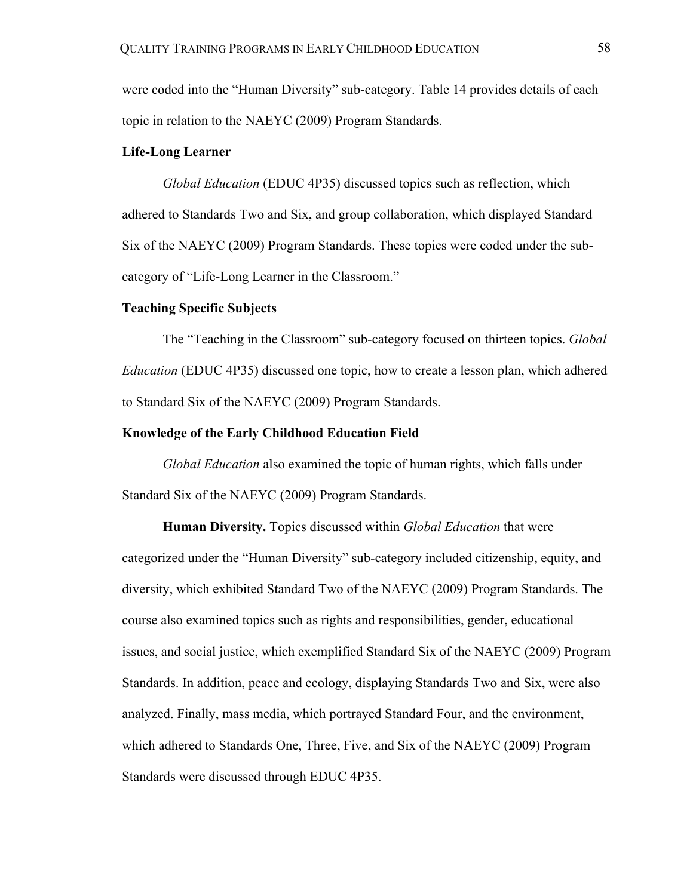were coded into the "Human Diversity" sub-category. Table 14 provides details of each topic in relation to the NAEYC (2009) Program Standards.

## **Life-Long Learner**

*Global Education* (EDUC 4P35) discussed topics such as reflection, which adhered to Standards Two and Six, and group collaboration, which displayed Standard Six of the NAEYC (2009) Program Standards. These topics were coded under the subcategory of "Life-Long Learner in the Classroom."

### **Teaching Specific Subjects**

The "Teaching in the Classroom" sub-category focused on thirteen topics. *Global Education* (EDUC 4P35) discussed one topic, how to create a lesson plan, which adhered to Standard Six of the NAEYC (2009) Program Standards.

## **Knowledge of the Early Childhood Education Field**

*Global Education* also examined the topic of human rights, which falls under Standard Six of the NAEYC (2009) Program Standards.

**Human Diversity.** Topics discussed within *Global Education* that were categorized under the "Human Diversity" sub-category included citizenship, equity, and diversity, which exhibited Standard Two of the NAEYC (2009) Program Standards. The course also examined topics such as rights and responsibilities, gender, educational issues, and social justice, which exemplified Standard Six of the NAEYC (2009) Program Standards. In addition, peace and ecology, displaying Standards Two and Six, were also analyzed. Finally, mass media, which portrayed Standard Four, and the environment, which adhered to Standards One, Three, Five, and Six of the NAEYC (2009) Program Standards were discussed through EDUC 4P35.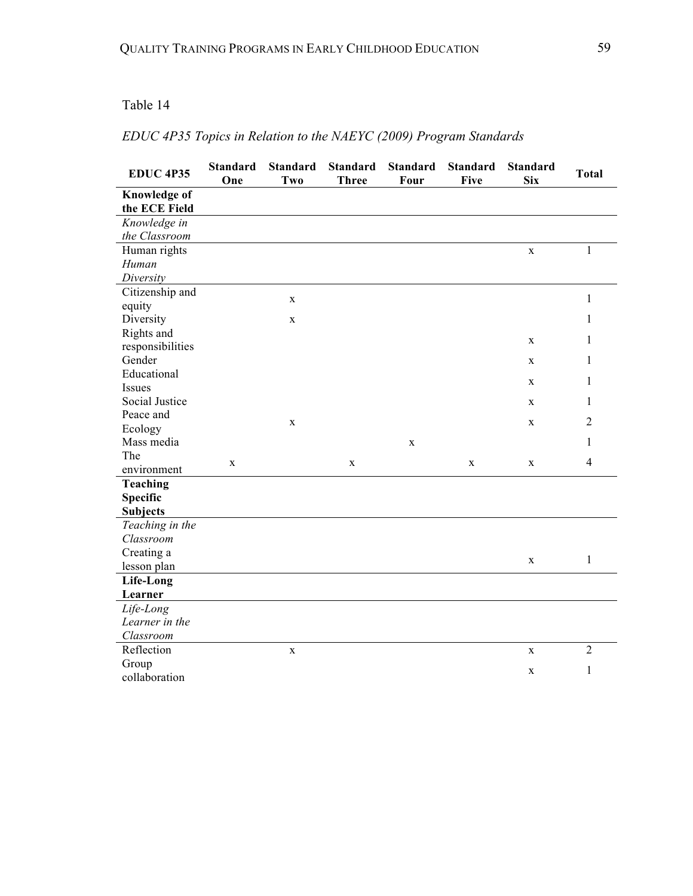## Table 14

## *EDUC 4P35 Topics in Relation to the NAEYC (2009) Program Standards*

| <b>EDUC 4P35</b>                     | <b>Standard</b><br>One | <b>Standard</b><br>Two | <b>Standard</b><br><b>Three</b> | <b>Standard</b><br>Four | <b>Standard</b><br><b>Five</b> | <b>Standard</b><br><b>Six</b> | <b>Total</b>   |
|--------------------------------------|------------------------|------------------------|---------------------------------|-------------------------|--------------------------------|-------------------------------|----------------|
| <b>Knowledge of</b><br>the ECE Field |                        |                        |                                 |                         |                                |                               |                |
| Knowledge in                         |                        |                        |                                 |                         |                                |                               |                |
| the Classroom                        |                        |                        |                                 |                         |                                |                               |                |
| Human rights                         |                        |                        |                                 |                         |                                | $\mathbf{X}$                  | 1              |
| Human                                |                        |                        |                                 |                         |                                |                               |                |
| Diversity                            |                        |                        |                                 |                         |                                |                               |                |
| Citizenship and                      |                        | $\mathbf X$            |                                 |                         |                                |                               | $\mathbf{1}$   |
| equity                               |                        |                        |                                 |                         |                                |                               |                |
| Diversity                            |                        | $\mathbf X$            |                                 |                         |                                |                               | 1              |
| Rights and                           |                        |                        |                                 |                         |                                | $\mathbf X$                   | 1              |
| responsibilities                     |                        |                        |                                 |                         |                                |                               |                |
| Gender                               |                        |                        |                                 |                         |                                | $\mathbf{X}$                  | 1              |
| Educational                          |                        |                        |                                 |                         |                                | $\mathbf{X}$                  | 1              |
| <b>Issues</b>                        |                        |                        |                                 |                         |                                |                               |                |
| Social Justice                       |                        |                        |                                 |                         |                                | X                             | 1              |
| Peace and                            |                        | $\mathbf X$            |                                 |                         |                                | $\mathbf X$                   | $\overline{2}$ |
| Ecology                              |                        |                        |                                 |                         |                                |                               |                |
| Mass media                           |                        |                        |                                 | $\mathbf{X}$            |                                |                               | 1              |
| The                                  | $\mathbf X$            |                        | $\mathbf X$                     |                         | $\mathbf X$                    | $\mathbf X$                   | $\overline{4}$ |
| environment                          |                        |                        |                                 |                         |                                |                               |                |
| Teaching                             |                        |                        |                                 |                         |                                |                               |                |
| <b>Specific</b>                      |                        |                        |                                 |                         |                                |                               |                |
| <b>Subjects</b>                      |                        |                        |                                 |                         |                                |                               |                |
| Teaching in the                      |                        |                        |                                 |                         |                                |                               |                |
| Classroom                            |                        |                        |                                 |                         |                                |                               |                |
| Creating a                           |                        |                        |                                 |                         |                                | $\mathbf X$                   | $\mathbf{1}$   |
| lesson plan                          |                        |                        |                                 |                         |                                |                               |                |
| Life-Long                            |                        |                        |                                 |                         |                                |                               |                |
| Learner                              |                        |                        |                                 |                         |                                |                               |                |
| Life-Long                            |                        |                        |                                 |                         |                                |                               |                |
| Learner in the                       |                        |                        |                                 |                         |                                |                               |                |
| Classroom                            |                        |                        |                                 |                         |                                |                               |                |
| Reflection                           |                        | $\mathbf X$            |                                 |                         |                                | $\mathbf X$                   | $\overline{2}$ |
| Group                                |                        |                        |                                 |                         |                                | $\mathbf X$                   | $\mathbf{1}$   |
| collaboration                        |                        |                        |                                 |                         |                                |                               |                |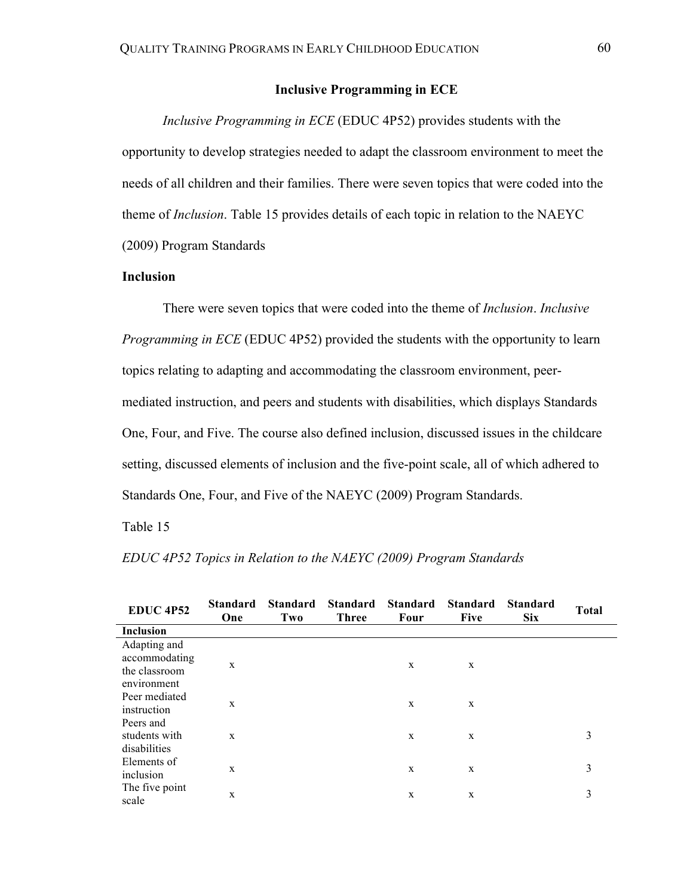## **Inclusive Programming in ECE**

*Inclusive Programming in ECE* (EDUC 4P52) provides students with the opportunity to develop strategies needed to adapt the classroom environment to meet the needs of all children and their families. There were seven topics that were coded into the theme of *Inclusion*. Table 15 provides details of each topic in relation to the NAEYC (2009) Program Standards

## **Inclusion**

There were seven topics that were coded into the theme of *Inclusion*. *Inclusive Programming in ECE* (EDUC 4P52) provided the students with the opportunity to learn topics relating to adapting and accommodating the classroom environment, peermediated instruction, and peers and students with disabilities, which displays Standards One, Four, and Five. The course also defined inclusion, discussed issues in the childcare setting, discussed elements of inclusion and the five-point scale, all of which adhered to Standards One, Four, and Five of the NAEYC (2009) Program Standards.

## Table 15

| <b>EDUC 4P52</b> | <b>Standard</b><br>One | <b>Standard</b><br>Two | <b>Standard</b><br><b>Three</b> | <b>Standard</b><br>Four | <b>Standard</b><br><b>Five</b> | <b>Standard</b><br>Six | <b>Total</b> |  |
|------------------|------------------------|------------------------|---------------------------------|-------------------------|--------------------------------|------------------------|--------------|--|
| <b>Inclusion</b> |                        |                        |                                 |                         |                                |                        |              |  |
| Adapting and     |                        |                        |                                 |                         |                                |                        |              |  |
| accommodating    | X                      |                        |                                 | X                       | X                              |                        |              |  |
| the classroom    |                        |                        |                                 |                         |                                |                        |              |  |
| environment      |                        |                        |                                 |                         |                                |                        |              |  |
| Peer mediated    | X                      |                        |                                 | X                       | X                              |                        |              |  |
| instruction      |                        |                        |                                 |                         |                                |                        |              |  |
| Peers and        |                        |                        |                                 |                         |                                |                        |              |  |
| students with    | X                      |                        |                                 | X                       | X                              |                        | 3            |  |
| disabilities     |                        |                        |                                 |                         |                                |                        |              |  |
| Elements of      | X                      |                        |                                 | X                       | X                              |                        | 3            |  |
| inclusion        |                        |                        |                                 |                         |                                |                        |              |  |
| The five point   | X                      |                        |                                 | X                       | X                              |                        | 3            |  |
| scale            |                        |                        |                                 |                         |                                |                        |              |  |

*EDUC 4P52 Topics in Relation to the NAEYC (2009) Program Standards*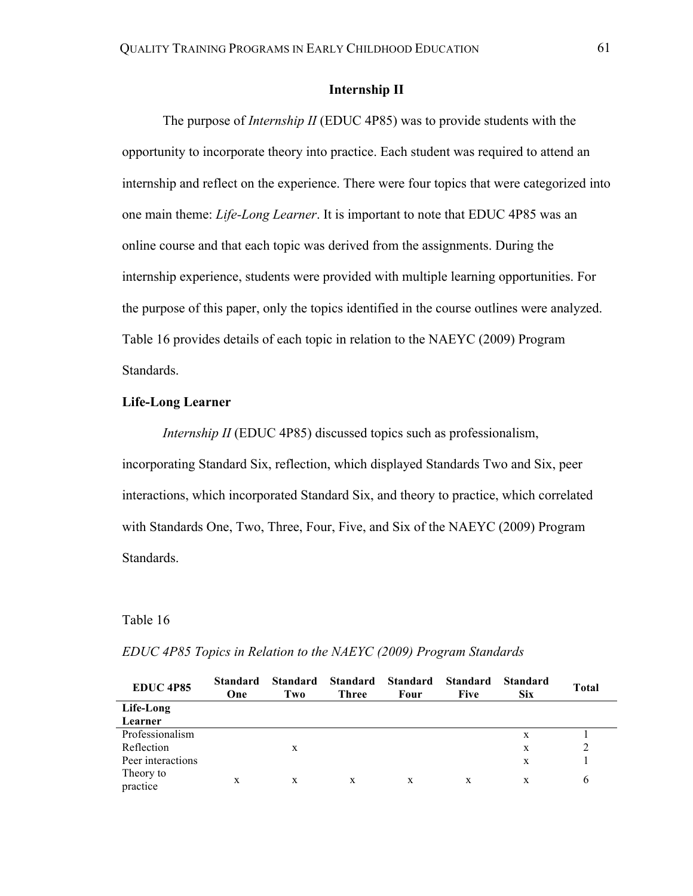## **Internship II**

The purpose of *Internship II* (EDUC 4P85) was to provide students with the opportunity to incorporate theory into practice. Each student was required to attend an internship and reflect on the experience. There were four topics that were categorized into one main theme: *Life-Long Learner*. It is important to note that EDUC 4P85 was an online course and that each topic was derived from the assignments. During the internship experience, students were provided with multiple learning opportunities. For the purpose of this paper, only the topics identified in the course outlines were analyzed. Table 16 provides details of each topic in relation to the NAEYC (2009) Program Standards.

### **Life-Long Learner**

*Internship II* (EDUC 4P85) discussed topics such as professionalism, incorporating Standard Six, reflection, which displayed Standards Two and Six, peer interactions, which incorporated Standard Six, and theory to practice, which correlated with Standards One, Two, Three, Four, Five, and Six of the NAEYC (2009) Program Standards.

#### Table 16

| <b>EDUC 4P85</b>      | <b>Standard</b><br>One | <b>Standard</b><br>Two | <b>Standard</b><br>Three | <b>Standard</b><br>Four | <b>Standard</b><br>Five | <b>Standard</b><br><b>Six</b> | Total |
|-----------------------|------------------------|------------------------|--------------------------|-------------------------|-------------------------|-------------------------------|-------|
| Life-Long             |                        |                        |                          |                         |                         |                               |       |
| Learner               |                        |                        |                          |                         |                         |                               |       |
| Professionalism       |                        |                        |                          |                         |                         | X                             |       |
| Reflection            |                        | X                      |                          |                         |                         | X                             |       |
| Peer interactions     |                        |                        |                          |                         |                         | X                             |       |
| Theory to<br>practice | X                      | X                      | X                        | X                       | X                       | X                             | 6     |

#### *EDUC 4P85 Topics in Relation to the NAEYC (2009) Program Standards*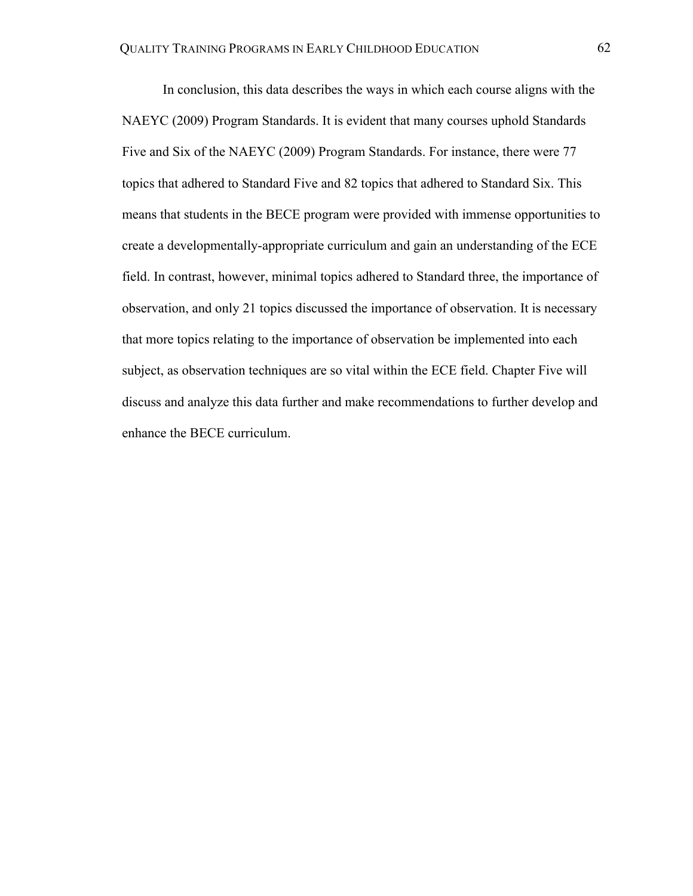In conclusion, this data describes the ways in which each course aligns with the NAEYC (2009) Program Standards. It is evident that many courses uphold Standards Five and Six of the NAEYC (2009) Program Standards. For instance, there were 77 topics that adhered to Standard Five and 82 topics that adhered to Standard Six. This means that students in the BECE program were provided with immense opportunities to create a developmentally-appropriate curriculum and gain an understanding of the ECE field. In contrast, however, minimal topics adhered to Standard three, the importance of observation, and only 21 topics discussed the importance of observation. It is necessary that more topics relating to the importance of observation be implemented into each subject, as observation techniques are so vital within the ECE field. Chapter Five will discuss and analyze this data further and make recommendations to further develop and enhance the BECE curriculum.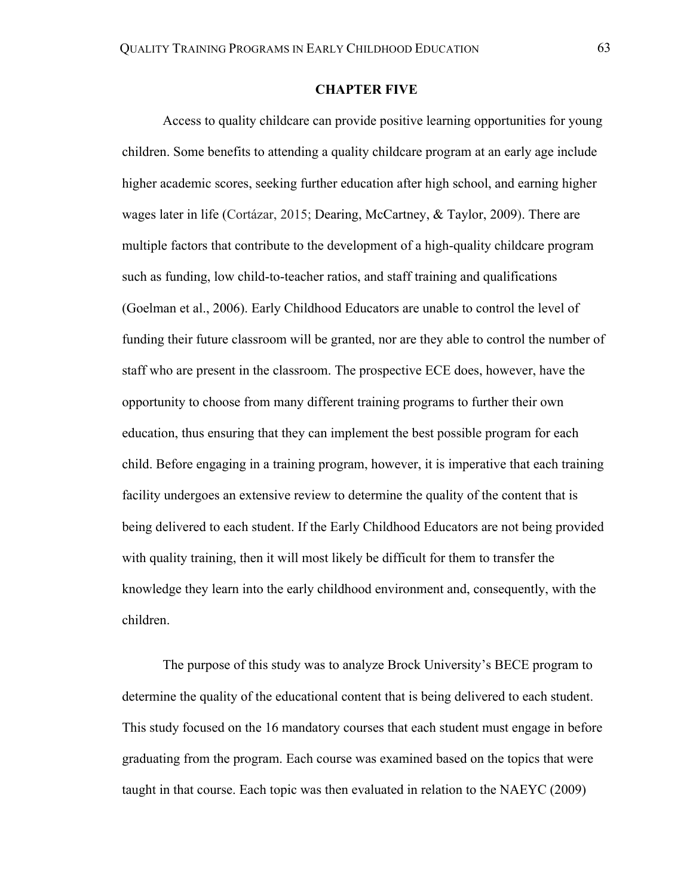## **CHAPTER FIVE**

Access to quality childcare can provide positive learning opportunities for young children. Some benefits to attending a quality childcare program at an early age include higher academic scores, seeking further education after high school, and earning higher wages later in life (Cortázar, 2015; Dearing, McCartney, & Taylor, 2009). There are multiple factors that contribute to the development of a high-quality childcare program such as funding, low child-to-teacher ratios, and staff training and qualifications (Goelman et al., 2006). Early Childhood Educators are unable to control the level of funding their future classroom will be granted, nor are they able to control the number of staff who are present in the classroom. The prospective ECE does, however, have the opportunity to choose from many different training programs to further their own education, thus ensuring that they can implement the best possible program for each child. Before engaging in a training program, however, it is imperative that each training facility undergoes an extensive review to determine the quality of the content that is being delivered to each student. If the Early Childhood Educators are not being provided with quality training, then it will most likely be difficult for them to transfer the knowledge they learn into the early childhood environment and, consequently, with the children.

The purpose of this study was to analyze Brock University's BECE program to determine the quality of the educational content that is being delivered to each student. This study focused on the 16 mandatory courses that each student must engage in before graduating from the program. Each course was examined based on the topics that were taught in that course. Each topic was then evaluated in relation to the NAEYC (2009)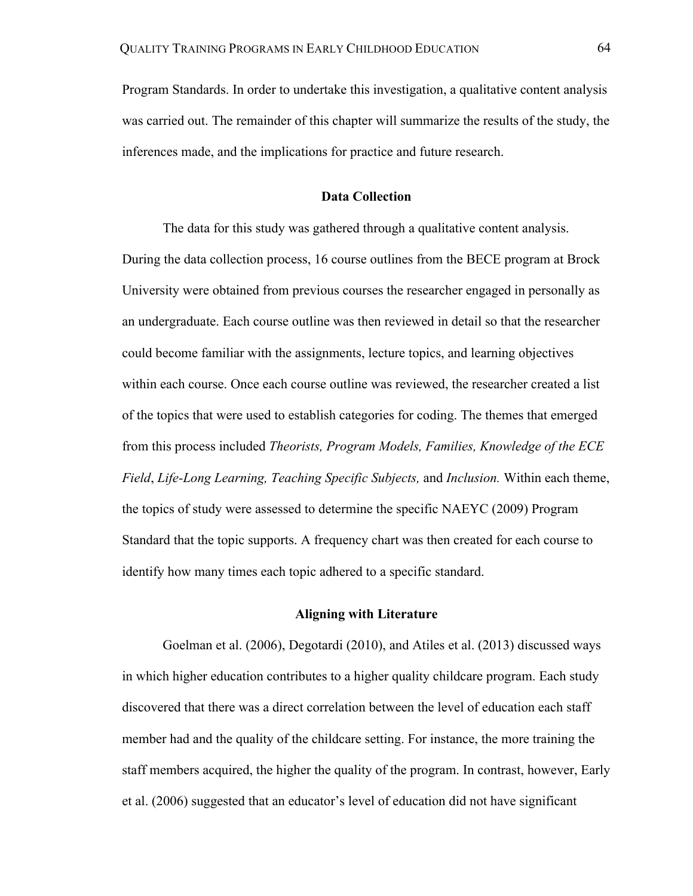Program Standards. In order to undertake this investigation, a qualitative content analysis was carried out. The remainder of this chapter will summarize the results of the study, the inferences made, and the implications for practice and future research.

## **Data Collection**

The data for this study was gathered through a qualitative content analysis. During the data collection process, 16 course outlines from the BECE program at Brock University were obtained from previous courses the researcher engaged in personally as an undergraduate. Each course outline was then reviewed in detail so that the researcher could become familiar with the assignments, lecture topics, and learning objectives within each course. Once each course outline was reviewed, the researcher created a list of the topics that were used to establish categories for coding. The themes that emerged from this process included *Theorists, Program Models, Families, Knowledge of the ECE Field*, *Life-Long Learning, Teaching Specific Subjects,* and *Inclusion.* Within each theme, the topics of study were assessed to determine the specific NAEYC (2009) Program Standard that the topic supports. A frequency chart was then created for each course to identify how many times each topic adhered to a specific standard.

### **Aligning with Literature**

Goelman et al. (2006), Degotardi (2010), and Atiles et al. (2013) discussed ways in which higher education contributes to a higher quality childcare program. Each study discovered that there was a direct correlation between the level of education each staff member had and the quality of the childcare setting. For instance, the more training the staff members acquired, the higher the quality of the program. In contrast, however, Early et al. (2006) suggested that an educator's level of education did not have significant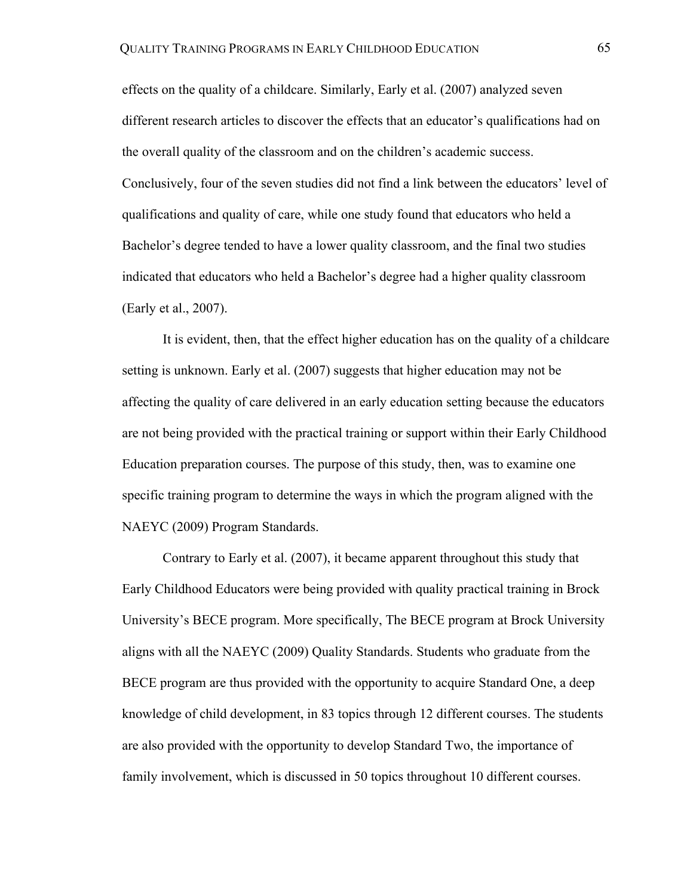effects on the quality of a childcare. Similarly, Early et al. (2007) analyzed seven different research articles to discover the effects that an educator's qualifications had on the overall quality of the classroom and on the children's academic success. Conclusively, four of the seven studies did not find a link between the educators' level of qualifications and quality of care, while one study found that educators who held a Bachelor's degree tended to have a lower quality classroom, and the final two studies indicated that educators who held a Bachelor's degree had a higher quality classroom (Early et al., 2007).

It is evident, then, that the effect higher education has on the quality of a childcare setting is unknown. Early et al. (2007) suggests that higher education may not be affecting the quality of care delivered in an early education setting because the educators are not being provided with the practical training or support within their Early Childhood Education preparation courses. The purpose of this study, then, was to examine one specific training program to determine the ways in which the program aligned with the NAEYC (2009) Program Standards.

Contrary to Early et al. (2007), it became apparent throughout this study that Early Childhood Educators were being provided with quality practical training in Brock University's BECE program. More specifically, The BECE program at Brock University aligns with all the NAEYC (2009) Quality Standards. Students who graduate from the BECE program are thus provided with the opportunity to acquire Standard One, a deep knowledge of child development, in 83 topics through 12 different courses. The students are also provided with the opportunity to develop Standard Two, the importance of family involvement, which is discussed in 50 topics throughout 10 different courses.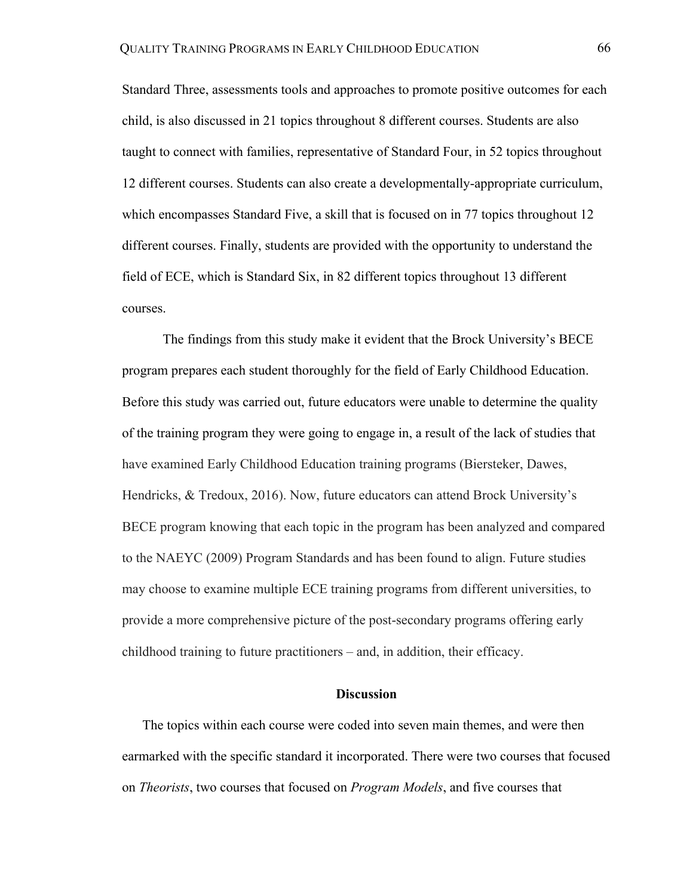Standard Three, assessments tools and approaches to promote positive outcomes for each child, is also discussed in 21 topics throughout 8 different courses. Students are also taught to connect with families, representative of Standard Four, in 52 topics throughout 12 different courses. Students can also create a developmentally-appropriate curriculum, which encompasses Standard Five, a skill that is focused on in 77 topics throughout 12 different courses. Finally, students are provided with the opportunity to understand the field of ECE, which is Standard Six, in 82 different topics throughout 13 different courses.

The findings from this study make it evident that the Brock University's BECE program prepares each student thoroughly for the field of Early Childhood Education. Before this study was carried out, future educators were unable to determine the quality of the training program they were going to engage in, a result of the lack of studies that have examined Early Childhood Education training programs (Biersteker, Dawes, Hendricks, & Tredoux, 2016). Now, future educators can attend Brock University's BECE program knowing that each topic in the program has been analyzed and compared to the NAEYC (2009) Program Standards and has been found to align. Future studies may choose to examine multiple ECE training programs from different universities, to provide a more comprehensive picture of the post-secondary programs offering early childhood training to future practitioners – and, in addition, their efficacy.

## **Discussion**

The topics within each course were coded into seven main themes, and were then earmarked with the specific standard it incorporated. There were two courses that focused on *Theorists*, two courses that focused on *Program Models*, and five courses that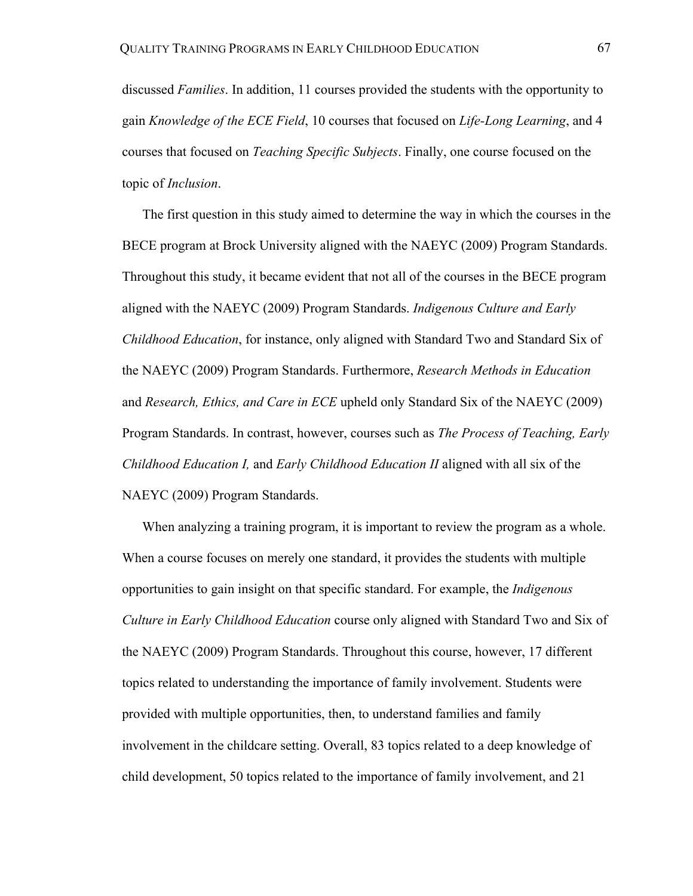discussed *Families*. In addition, 11 courses provided the students with the opportunity to gain *Knowledge of the ECE Field*, 10 courses that focused on *Life-Long Learning*, and 4 courses that focused on *Teaching Specific Subjects*. Finally, one course focused on the topic of *Inclusion*.

The first question in this study aimed to determine the way in which the courses in the BECE program at Brock University aligned with the NAEYC (2009) Program Standards. Throughout this study, it became evident that not all of the courses in the BECE program aligned with the NAEYC (2009) Program Standards. *Indigenous Culture and Early Childhood Education*, for instance, only aligned with Standard Two and Standard Six of the NAEYC (2009) Program Standards. Furthermore, *Research Methods in Education*  and *Research, Ethics, and Care in ECE* upheld only Standard Six of the NAEYC (2009) Program Standards. In contrast, however, courses such as *The Process of Teaching, Early Childhood Education I,* and *Early Childhood Education II* aligned with all six of the NAEYC (2009) Program Standards.

When analyzing a training program, it is important to review the program as a whole. When a course focuses on merely one standard, it provides the students with multiple opportunities to gain insight on that specific standard. For example, the *Indigenous Culture in Early Childhood Education* course only aligned with Standard Two and Six of the NAEYC (2009) Program Standards. Throughout this course, however, 17 different topics related to understanding the importance of family involvement. Students were provided with multiple opportunities, then, to understand families and family involvement in the childcare setting. Overall, 83 topics related to a deep knowledge of child development, 50 topics related to the importance of family involvement, and 21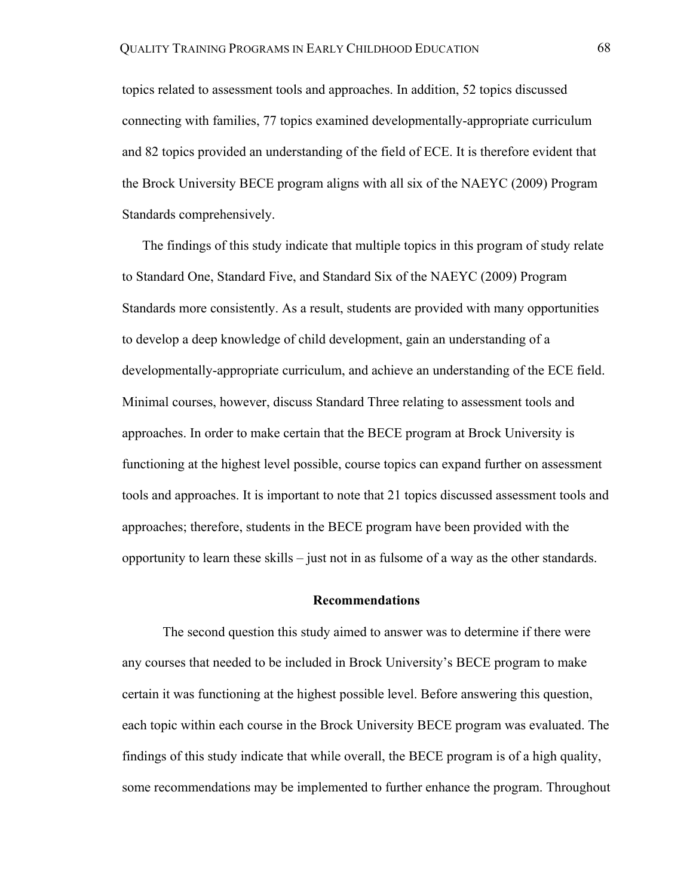topics related to assessment tools and approaches. In addition, 52 topics discussed connecting with families, 77 topics examined developmentally-appropriate curriculum and 82 topics provided an understanding of the field of ECE. It is therefore evident that the Brock University BECE program aligns with all six of the NAEYC (2009) Program Standards comprehensively.

The findings of this study indicate that multiple topics in this program of study relate to Standard One, Standard Five, and Standard Six of the NAEYC (2009) Program Standards more consistently. As a result, students are provided with many opportunities to develop a deep knowledge of child development, gain an understanding of a developmentally-appropriate curriculum, and achieve an understanding of the ECE field. Minimal courses, however, discuss Standard Three relating to assessment tools and approaches. In order to make certain that the BECE program at Brock University is functioning at the highest level possible, course topics can expand further on assessment tools and approaches. It is important to note that 21 topics discussed assessment tools and approaches; therefore, students in the BECE program have been provided with the opportunity to learn these skills – just not in as fulsome of a way as the other standards.

### **Recommendations**

The second question this study aimed to answer was to determine if there were any courses that needed to be included in Brock University's BECE program to make certain it was functioning at the highest possible level. Before answering this question, each topic within each course in the Brock University BECE program was evaluated. The findings of this study indicate that while overall, the BECE program is of a high quality, some recommendations may be implemented to further enhance the program. Throughout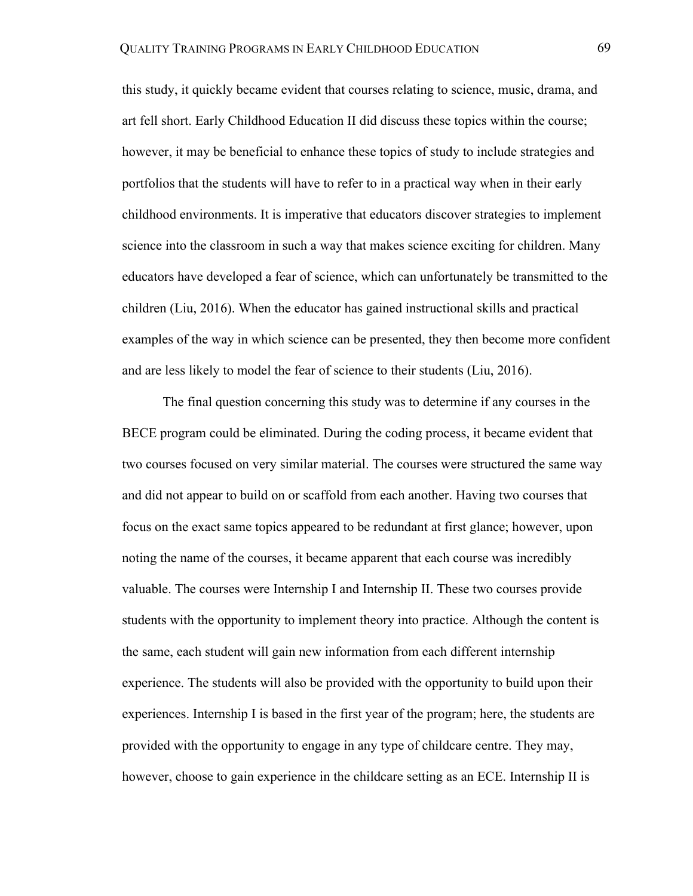this study, it quickly became evident that courses relating to science, music, drama, and art fell short. Early Childhood Education II did discuss these topics within the course; however, it may be beneficial to enhance these topics of study to include strategies and portfolios that the students will have to refer to in a practical way when in their early childhood environments. It is imperative that educators discover strategies to implement science into the classroom in such a way that makes science exciting for children. Many educators have developed a fear of science, which can unfortunately be transmitted to the children (Liu, 2016). When the educator has gained instructional skills and practical examples of the way in which science can be presented, they then become more confident and are less likely to model the fear of science to their students (Liu, 2016).

The final question concerning this study was to determine if any courses in the BECE program could be eliminated. During the coding process, it became evident that two courses focused on very similar material. The courses were structured the same way and did not appear to build on or scaffold from each another. Having two courses that focus on the exact same topics appeared to be redundant at first glance; however, upon noting the name of the courses, it became apparent that each course was incredibly valuable. The courses were Internship I and Internship II. These two courses provide students with the opportunity to implement theory into practice. Although the content is the same, each student will gain new information from each different internship experience. The students will also be provided with the opportunity to build upon their experiences. Internship I is based in the first year of the program; here, the students are provided with the opportunity to engage in any type of childcare centre. They may, however, choose to gain experience in the childcare setting as an ECE. Internship II is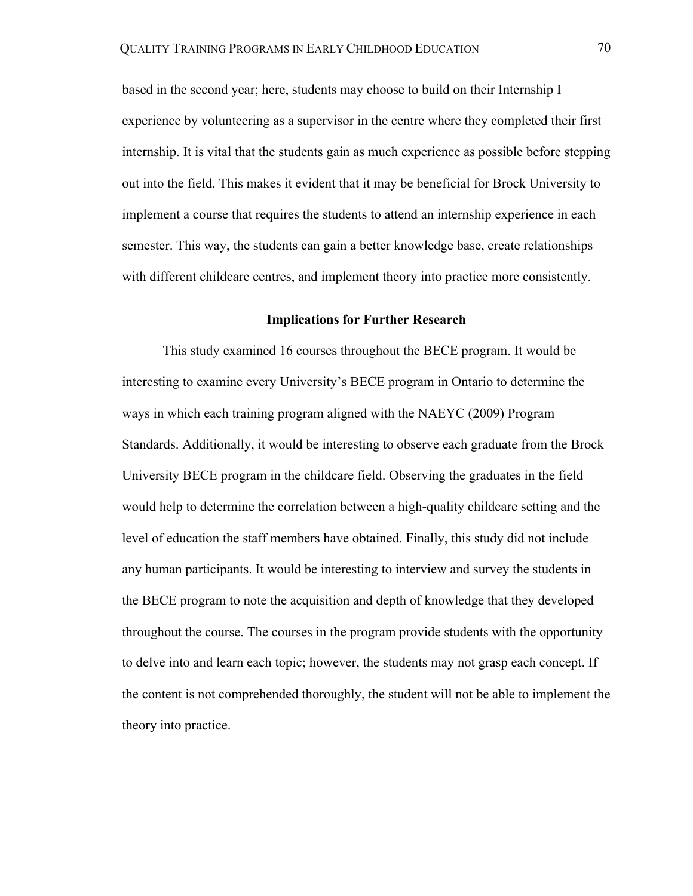based in the second year; here, students may choose to build on their Internship I experience by volunteering as a supervisor in the centre where they completed their first internship. It is vital that the students gain as much experience as possible before stepping out into the field. This makes it evident that it may be beneficial for Brock University to implement a course that requires the students to attend an internship experience in each semester. This way, the students can gain a better knowledge base, create relationships with different childcare centres, and implement theory into practice more consistently.

## **Implications for Further Research**

This study examined 16 courses throughout the BECE program. It would be interesting to examine every University's BECE program in Ontario to determine the ways in which each training program aligned with the NAEYC (2009) Program Standards. Additionally, it would be interesting to observe each graduate from the Brock University BECE program in the childcare field. Observing the graduates in the field would help to determine the correlation between a high-quality childcare setting and the level of education the staff members have obtained. Finally, this study did not include any human participants. It would be interesting to interview and survey the students in the BECE program to note the acquisition and depth of knowledge that they developed throughout the course. The courses in the program provide students with the opportunity to delve into and learn each topic; however, the students may not grasp each concept. If the content is not comprehended thoroughly, the student will not be able to implement the theory into practice.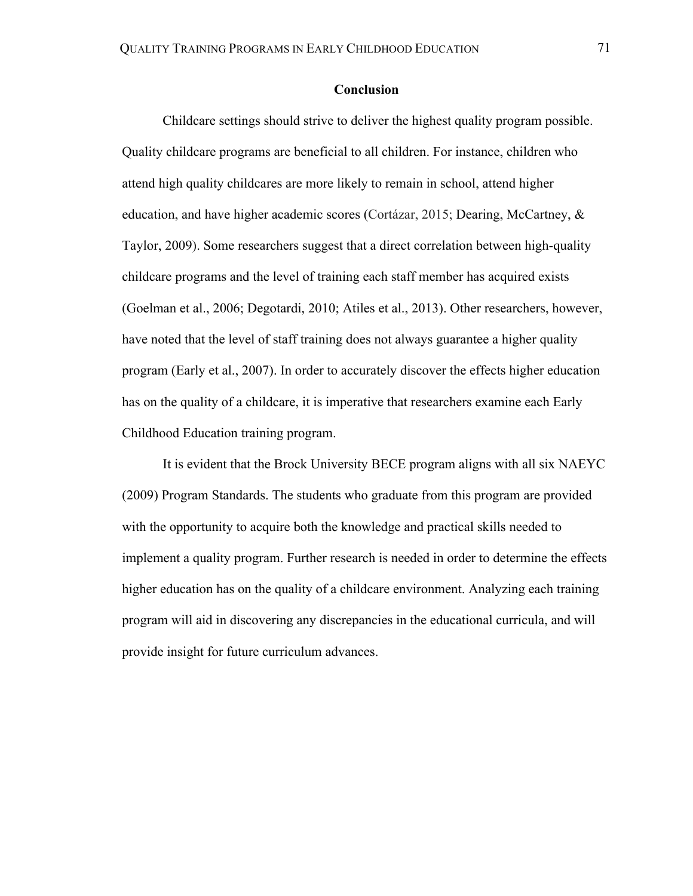## **Conclusion**

Childcare settings should strive to deliver the highest quality program possible. Quality childcare programs are beneficial to all children. For instance, children who attend high quality childcares are more likely to remain in school, attend higher education, and have higher academic scores (Cortázar, 2015; Dearing, McCartney, & Taylor, 2009). Some researchers suggest that a direct correlation between high-quality childcare programs and the level of training each staff member has acquired exists (Goelman et al., 2006; Degotardi, 2010; Atiles et al., 2013). Other researchers, however, have noted that the level of staff training does not always guarantee a higher quality program (Early et al., 2007). In order to accurately discover the effects higher education has on the quality of a childcare, it is imperative that researchers examine each Early Childhood Education training program.

It is evident that the Brock University BECE program aligns with all six NAEYC (2009) Program Standards. The students who graduate from this program are provided with the opportunity to acquire both the knowledge and practical skills needed to implement a quality program. Further research is needed in order to determine the effects higher education has on the quality of a childcare environment. Analyzing each training program will aid in discovering any discrepancies in the educational curricula, and will provide insight for future curriculum advances.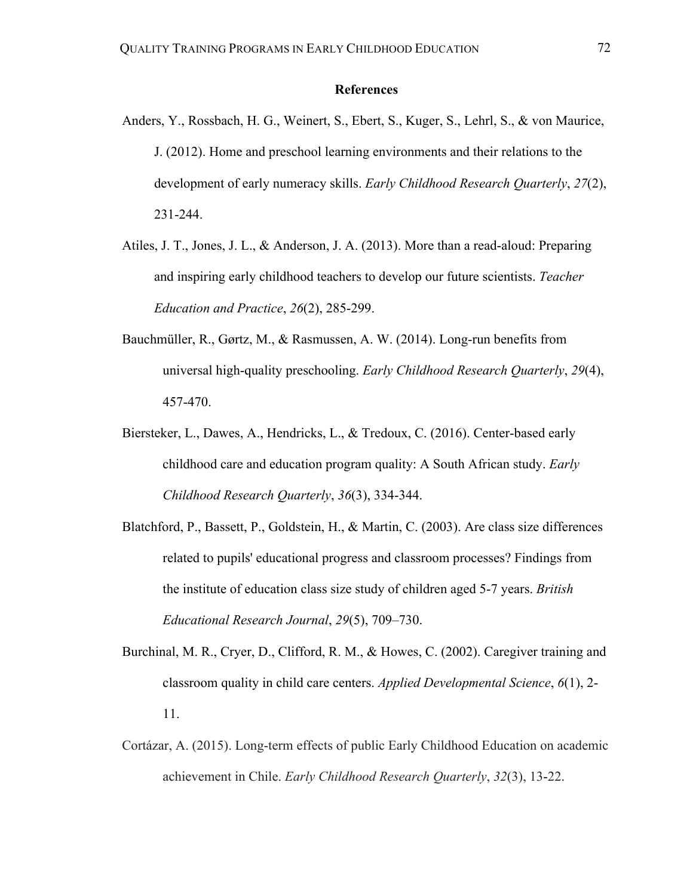## **References**

- Anders, Y., Rossbach, H. G., Weinert, S., Ebert, S., Kuger, S., Lehrl, S., & von Maurice, J. (2012). Home and preschool learning environments and their relations to the development of early numeracy skills. *Early Childhood Research Quarterly*, *27*(2), 231-244.
- Atiles, J. T., Jones, J. L., & Anderson, J. A. (2013). More than a read-aloud: Preparing and inspiring early childhood teachers to develop our future scientists. *Teacher Education and Practice*, *26*(2), 285-299.
- Bauchmüller, R., Gørtz, M., & Rasmussen, A. W. (2014). Long-run benefits from universal high-quality preschooling. *Early Childhood Research Quarterly*, *29*(4), 457-470.
- Biersteker, L., Dawes, A., Hendricks, L., & Tredoux, C. (2016). Center-based early childhood care and education program quality: A South African study. *Early Childhood Research Quarterly*, *36*(3), 334-344.
- Blatchford, P., Bassett, P., Goldstein, H., & Martin, C. (2003). Are class size differences related to pupils' educational progress and classroom processes? Findings from the institute of education class size study of children aged 5-7 years. *British Educational Research Journal*, *29*(5), 709–730.
- Burchinal, M. R., Cryer, D., Clifford, R. M., & Howes, C. (2002). Caregiver training and classroom quality in child care centers. *Applied Developmental Science*, *6*(1), 2- 11.
- Cortázar, A. (2015). Long-term effects of public Early Childhood Education on academic achievement in Chile. *Early Childhood Research Quarterly*, *32*(3), 13-22.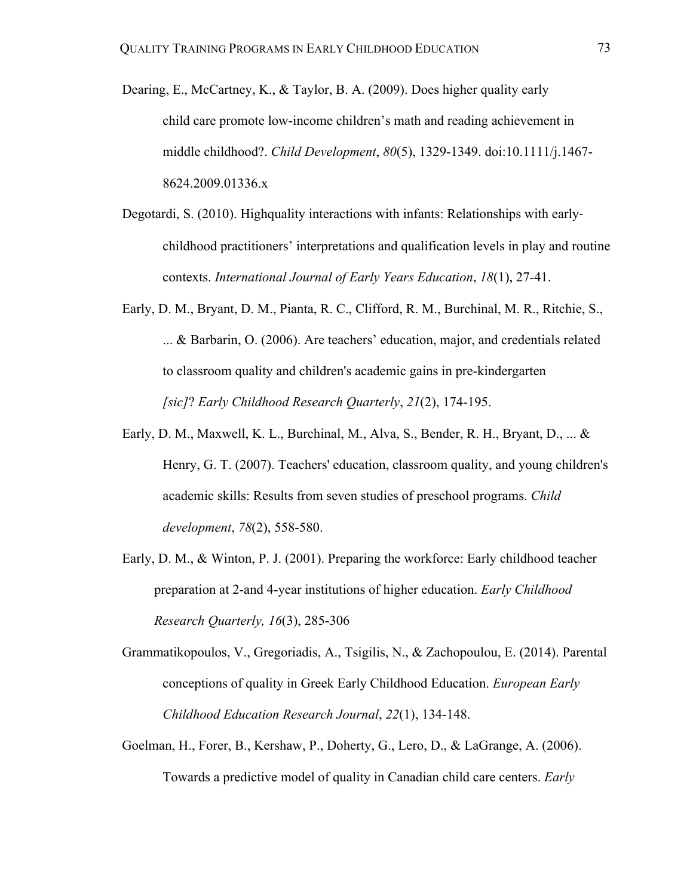- Dearing, E., McCartney, K., & Taylor, B. A. (2009). Does higher quality early child care promote low-income children's math and reading achievement in middle childhood?. *Child Development*, *80*(5), 1329-1349. doi:10.1111/j.1467- 8624.2009.01336.x
- Degotardi, S. (2010). Highquality interactions with infants: Relationships with earlychildhood practitioners' interpretations and qualification levels in play and routine contexts. *International Journal of Early Years Education*, *18*(1), 27-41.
- Early, D. M., Bryant, D. M., Pianta, R. C., Clifford, R. M., Burchinal, M. R., Ritchie, S., ... & Barbarin, O. (2006). Are teachers' education, major, and credentials related to classroom quality and children's academic gains in pre-kindergarten *[sic]*? *Early Childhood Research Quarterly*, *21*(2), 174-195.
- Early, D. M., Maxwell, K. L., Burchinal, M., Alva, S., Bender, R. H., Bryant, D., ... & Henry, G. T. (2007). Teachers' education, classroom quality, and young children's academic skills: Results from seven studies of preschool programs. *Child development*, *78*(2), 558-580.
- Early, D. M., & Winton, P. J. (2001). Preparing the workforce: Early childhood teacher preparation at 2-and 4-year institutions of higher education. *Early Childhood Research Quarterly, 16*(3), 285-306
- Grammatikopoulos, V., Gregoriadis, A., Tsigilis, N., & Zachopoulou, E. (2014). Parental conceptions of quality in Greek Early Childhood Education. *European Early Childhood Education Research Journal*, *22*(1), 134-148.
- Goelman, H., Forer, B., Kershaw, P., Doherty, G., Lero, D., & LaGrange, A. (2006). Towards a predictive model of quality in Canadian child care centers. *Early*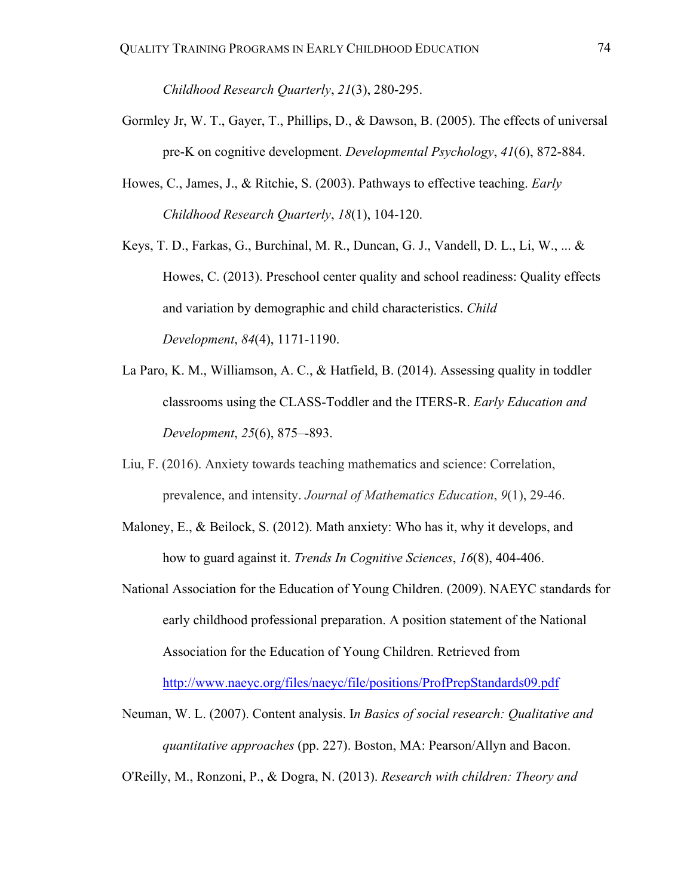*Childhood Research Quarterly*, *21*(3), 280-295.

- Gormley Jr, W. T., Gayer, T., Phillips, D., & Dawson, B. (2005). The effects of universal pre-K on cognitive development. *Developmental Psychology*, *41*(6), 872-884.
- Howes, C., James, J., & Ritchie, S. (2003). Pathways to effective teaching. *Early Childhood Research Quarterly*, *18*(1), 104-120.
- Keys, T. D., Farkas, G., Burchinal, M. R., Duncan, G. J., Vandell, D. L., Li, W., ... & Howes, C. (2013). Preschool center quality and school readiness: Quality effects and variation by demographic and child characteristics. *Child Development*, *84*(4), 1171-1190.
- La Paro, K. M., Williamson, A. C., & Hatfield, B. (2014). Assessing quality in toddler classrooms using the CLASS-Toddler and the ITERS-R. *Early Education and Development*, *25*(6), 875–-893.
- Liu, F. (2016). Anxiety towards teaching mathematics and science: Correlation, prevalence, and intensity. *Journal of Mathematics Education*, *9*(1), 29-46.
- Maloney, E., & Beilock, S. (2012). Math anxiety: Who has it, why it develops, and how to guard against it. *Trends In Cognitive Sciences*, *16*(8), 404-406.
- National Association for the Education of Young Children. (2009). NAEYC standards for early childhood professional preparation. A position statement of the National Association for the Education of Young Children. Retrieved from http://www.naeyc.org/files/naeyc/file/positions/ProfPrepStandards09.pdf
- Neuman, W. L. (2007). Content analysis. I*n Basics of social research: Qualitative and quantitative approaches* (pp. 227). Boston, MA: Pearson/Allyn and Bacon.
- O'Reilly, M., Ronzoni, P., & Dogra, N. (2013). *Research with children: Theory and*